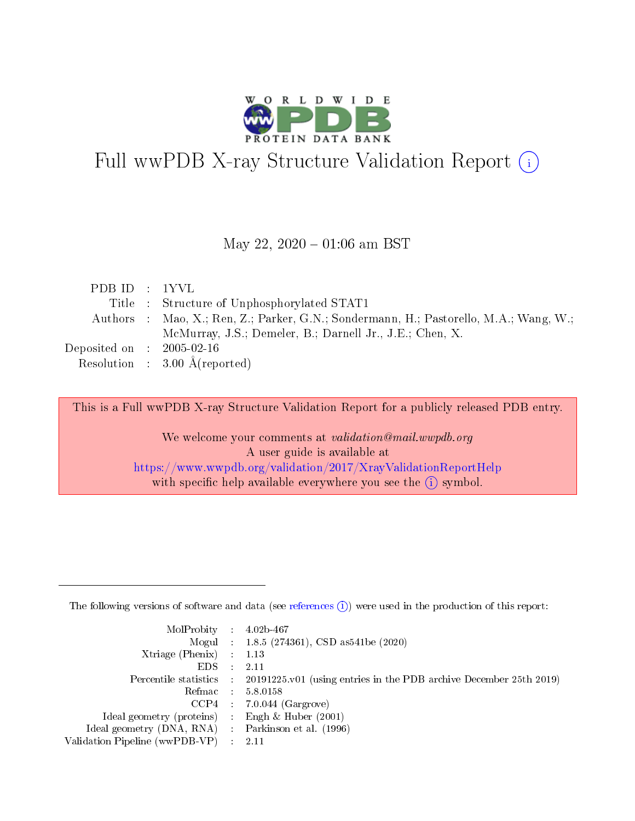

# Full wwPDB X-ray Structure Validation Report (i)

#### May 22,  $2020 - 01:06$  am BST

| PDBID : 1YVL                   |                                                                                       |
|--------------------------------|---------------------------------------------------------------------------------------|
|                                | Title: Structure of Unphosphorylated STAT1                                            |
|                                | Authors : Mao, X.; Ren, Z.; Parker, G.N.; Sondermann, H.; Pastorello, M.A.; Wang, W.; |
|                                | McMurray, J.S.; Demeler, B.; Darnell Jr., J.E.; Chen, X.                              |
| Deposited on $\,$ : 2005-02-16 |                                                                                       |
|                                | Resolution : $3.00 \text{ Å}$ (reported)                                              |

This is a Full wwPDB X-ray Structure Validation Report for a publicly released PDB entry.

We welcome your comments at validation@mail.wwpdb.org A user guide is available at <https://www.wwpdb.org/validation/2017/XrayValidationReportHelp> with specific help available everywhere you see the  $(i)$  symbol.

The following versions of software and data (see [references](https://www.wwpdb.org/validation/2017/XrayValidationReportHelp#references)  $(1)$ ) were used in the production of this report:

| $MolProbability$ : 4.02b-467                      |                              |                                                                                            |
|---------------------------------------------------|------------------------------|--------------------------------------------------------------------------------------------|
|                                                   |                              | Mogul : $1.8.5$ (274361), CSD as 541be (2020)                                              |
| Xtriage (Phenix) $: 1.13$                         |                              |                                                                                            |
| EDS –                                             | $\sim$                       | -2.11                                                                                      |
|                                                   |                              | Percentile statistics : 20191225.v01 (using entries in the PDB archive December 25th 2019) |
| Refmac : 5.8.0158                                 |                              |                                                                                            |
| CCP4                                              |                              | $7.0.044$ (Gargrove)                                                                       |
| Ideal geometry (proteins)                         | $\mathcal{L}_{\mathrm{eff}}$ | Engh & Huber $(2001)$                                                                      |
| Ideal geometry (DNA, RNA) Parkinson et al. (1996) |                              |                                                                                            |
| Validation Pipeline (wwPDB-VP) : 2.11             |                              |                                                                                            |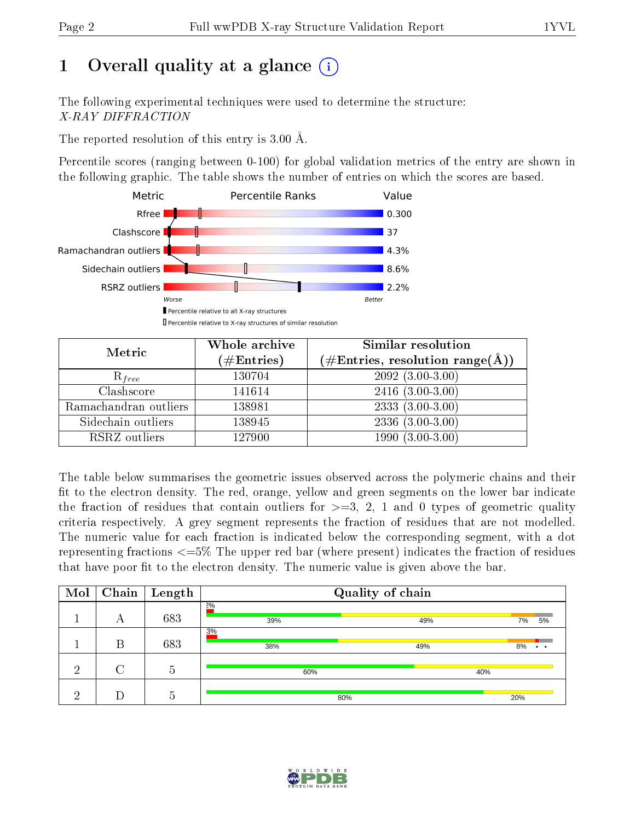## 1 [O](https://www.wwpdb.org/validation/2017/XrayValidationReportHelp#overall_quality)verall quality at a glance  $(i)$

The following experimental techniques were used to determine the structure: X-RAY DIFFRACTION

The reported resolution of this entry is 3.00 Å.

Percentile scores (ranging between 0-100) for global validation metrics of the entry are shown in the following graphic. The table shows the number of entries on which the scores are based.



| Metric                | Whole archive        | Similar resolution                                                     |
|-----------------------|----------------------|------------------------------------------------------------------------|
|                       | $(\#\text{Entries})$ | $(\#\text{Entries},\,\text{resolution}\,\,\text{range}(\textup{\AA}))$ |
| $R_{free}$            | 130704               | $2092(3.00-3.00)$                                                      |
| Clashscore            | 141614               | $2416(3.00-3.00)$                                                      |
| Ramachandran outliers | 138981               | $2333(3.00-3.00)$                                                      |
| Sidechain outliers    | 138945               | $2336(3.00-3.00)$                                                      |
| RSRZ outliers         | 127900               | $1990(3.00-3.00)$                                                      |

The table below summarises the geometric issues observed across the polymeric chains and their fit to the electron density. The red, orange, yellow and green segments on the lower bar indicate the fraction of residues that contain outliers for  $>=3, 2, 1$  and 0 types of geometric quality criteria respectively. A grey segment represents the fraction of residues that are not modelled. The numeric value for each fraction is indicated below the corresponding segment, with a dot representing fractions <=5% The upper red bar (where present) indicates the fraction of residues that have poor fit to the electron density. The numeric value is given above the bar.

| Mol |   | $\fbox{Chain}$ Length | Quality of chain |     |                       |  |  |  |
|-----|---|-----------------------|------------------|-----|-----------------------|--|--|--|
|     | А | 683                   | 2%<br>39%        | 49% | 7%<br>5%              |  |  |  |
|     | В | 683                   | 3%<br>38%        | 49% | 8%<br>$\cdot$ $\cdot$ |  |  |  |
| ച   |   | 5                     | 60%              | 40% |                       |  |  |  |
| ച   |   | h.                    | 80%              |     | 20%                   |  |  |  |

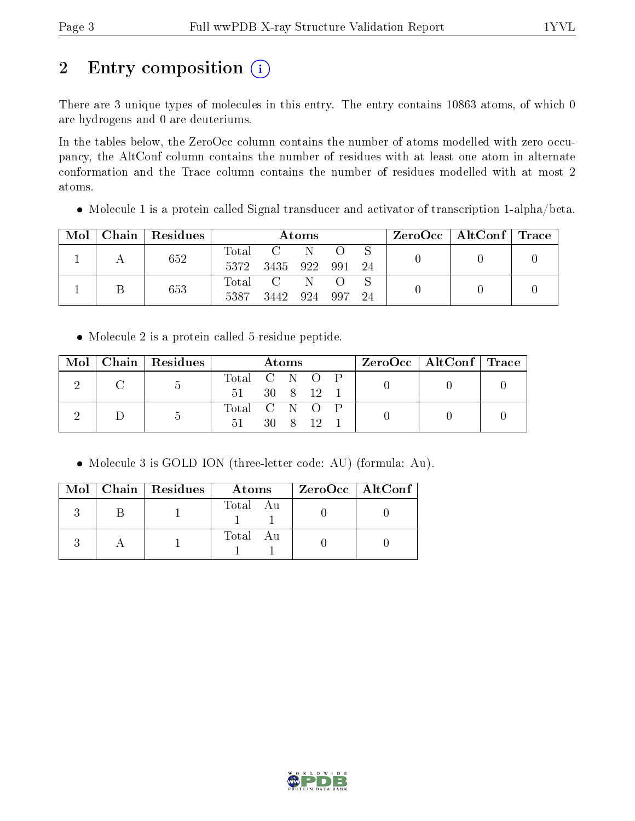## 2 Entry composition (i)

There are 3 unique types of molecules in this entry. The entry contains 10863 atoms, of which 0 are hydrogens and 0 are deuteriums.

In the tables below, the ZeroOcc column contains the number of atoms modelled with zero occupancy, the AltConf column contains the number of residues with at least one atom in alternate conformation and the Trace column contains the number of residues modelled with at most 2 atoms.

Molecule 1 is a protein called Signal transducer and activator of transcription 1-alpha/beta.

| Mol | Chain   Residues | Atoms               |                                |  |  |      | $\rm ZeroOcc \mid AltConf \mid Trace$ |  |
|-----|------------------|---------------------|--------------------------------|--|--|------|---------------------------------------|--|
|     | 652              | Total<br>5372       | 3435 922 991                   |  |  | - 24 |                                       |  |
|     | 653              | $\rm Total$<br>5387 | $\overline{C}$<br>3442 924 997 |  |  | 24   |                                       |  |

Molecule 2 is a protein called 5-residue peptide.

| Mol |  | Chain   Residues | Atoms         |              |  |     | $ZeroOcc \mid AltConf \mid Trace$ |  |  |  |
|-----|--|------------------|---------------|--------------|--|-----|-----------------------------------|--|--|--|
|     |  |                  | Total C N O P |              |  |     |                                   |  |  |  |
|     |  |                  | 51            | $30 \t8$     |  | 12. |                                   |  |  |  |
|     |  |                  | Total C N O P |              |  |     |                                   |  |  |  |
|     |  |                  | 51            | $30 \quad 8$ |  |     |                                   |  |  |  |

Molecule 3 is GOLD ION (three-letter code: AU) (formula: Au).

|  | Mol   Chain   Residues | Atoms         | $ZeroOcc \   \$ AltConf |
|--|------------------------|---------------|-------------------------|
|  |                        | Total Au      |                         |
|  |                        | Total<br>– Au |                         |

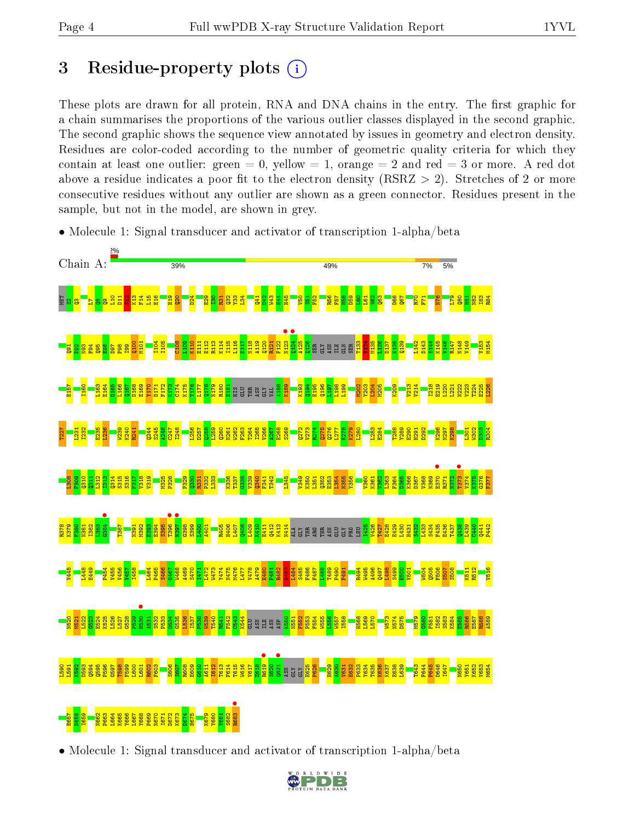### 3 Residue-property plots  $(i)$

These plots are drawn for all protein, RNA and DNA chains in the entry. The first graphic for a chain summarises the proportions of the various outlier classes displayed in the second graphic. The second graphic shows the sequence view annotated by issues in geometry and electron density. Residues are color-coded according to the number of geometric quality criteria for which they contain at least one outlier: green  $= 0$ , yellow  $= 1$ , orange  $= 2$  and red  $= 3$  or more. A red dot above a residue indicates a poor fit to the electron density (RSRZ  $> 2$ ). Stretches of 2 or more consecutive residues without any outlier are shown as a green connector. Residues present in the sample, but not in the model, are shown in grey.



• Molecule 1: Signal transducer and activator of transcription 1-alpha/beta

• Molecule 1: Signal transducer and activator of transcription 1-alpha/beta

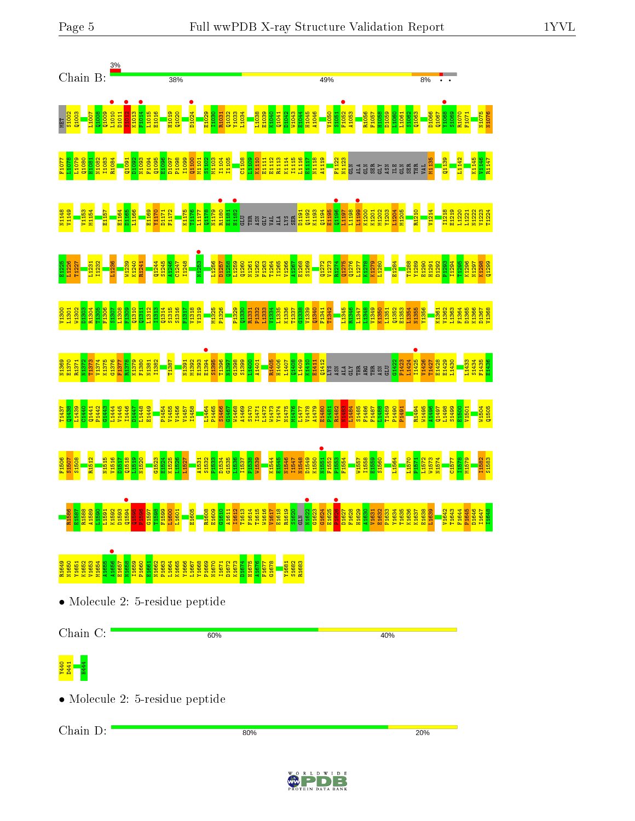



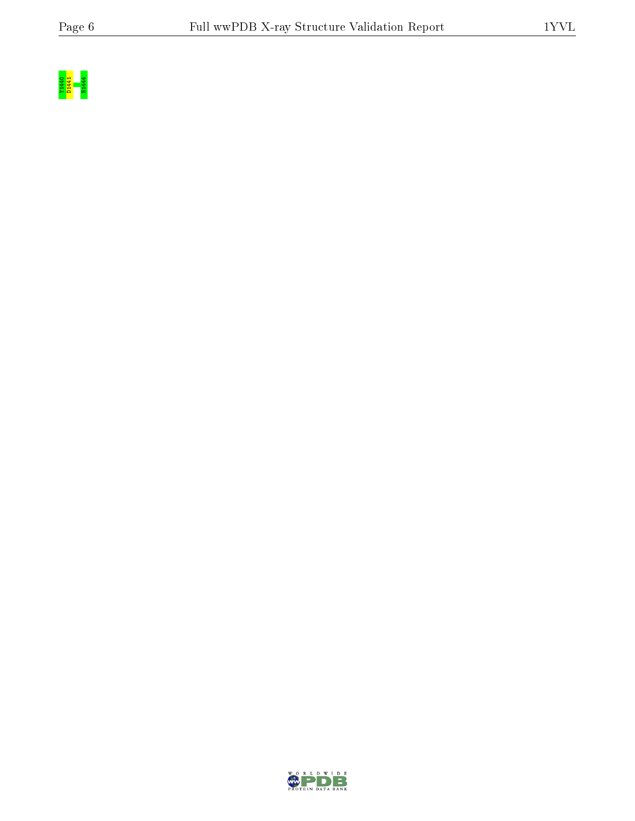

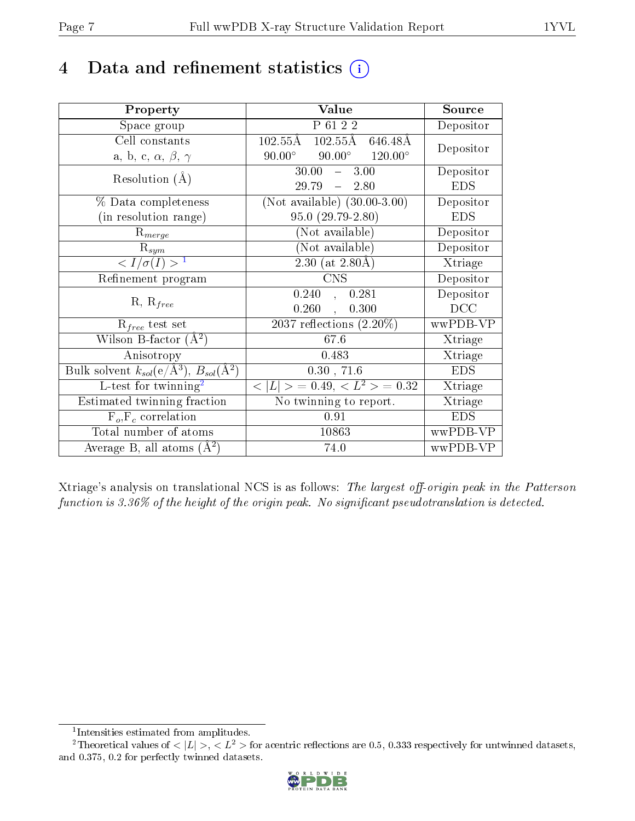## 4 Data and refinement statistics  $(i)$

| Property                                                         | Value                                                  | Source     |
|------------------------------------------------------------------|--------------------------------------------------------|------------|
| Space group                                                      | P 61 2 2                                               | Depositor  |
| Cell constants                                                   | $102.55\text{\AA}$<br>$102.55\text{\AA}$<br>646.48Å    | Depositor  |
| a, b, c, $\alpha$ , $\beta$ , $\gamma$                           | $90.00^\circ$<br>$90.00^\circ$<br>$120.00^{\circ}$     |            |
| Resolution $(A)$                                                 | 30.00<br>$-3.00$                                       | Depositor  |
|                                                                  | 29.79<br>$-2.80$                                       | <b>EDS</b> |
| % Data completeness                                              | (Not available) $(30.00-3.00)$                         | Depositor  |
| (in resolution range)                                            | $95.0(29.79-2.80)$                                     | <b>EDS</b> |
| $R_{merge}$                                                      | (Not available)                                        | Depositor  |
| $\mathrm{R}_{sym}$                                               | (Not available)                                        | Depositor  |
| $\langle I/\sigma(I) \rangle^{-1}$                               | 2.30 (at $2.80\text{\AA}$ )                            | Xtriage    |
| Refinement program                                               | <b>CNS</b>                                             | Depositor  |
|                                                                  | 0.240<br>0.281<br>$\frac{1}{2}$                        | Depositor  |
| $R, R_{free}$                                                    | 0.260<br>0.300<br>$\ddot{\phantom{a}}$                 | DCC        |
| $R_{free}$ test set                                              | $\overline{2037}$ reflections $(2.20\%)$               | wwPDB-VP   |
| Wilson B-factor $(A^2)$                                          | 67.6                                                   | Xtriage    |
| Anisotropy                                                       | 0.483                                                  | Xtriage    |
| Bulk solvent $k_{sol}(\text{e}/\text{A}^3), B_{sol}(\text{A}^2)$ | 0.30, 71.6                                             | <b>EDS</b> |
| L-test for twinning <sup>2</sup>                                 | $\overline{< L >$ = 0.49, $\overline{<}$ $L^2>$ = 0.32 | Xtriage    |
| Estimated twinning fraction                                      | $\overline{\text{No}}$ twinning to report.             | Xtriage    |
| $F_o, F_c$ correlation                                           | 0.91                                                   | <b>EDS</b> |
| Total number of atoms                                            | 10863                                                  | wwPDB-VP   |
| Average B, all atoms $(A^2)$                                     | 74.0                                                   | wwPDB-VP   |

Xtriage's analysis on translational NCS is as follows: The largest off-origin peak in the Patterson function is  $3.36\%$  of the height of the origin peak. No significant pseudotranslation is detected.

<sup>&</sup>lt;sup>2</sup>Theoretical values of  $\langle |L| \rangle$ ,  $\langle L^2 \rangle$  for acentric reflections are 0.5, 0.333 respectively for untwinned datasets, and 0.375, 0.2 for perfectly twinned datasets.



<span id="page-6-1"></span><span id="page-6-0"></span><sup>1</sup> Intensities estimated from amplitudes.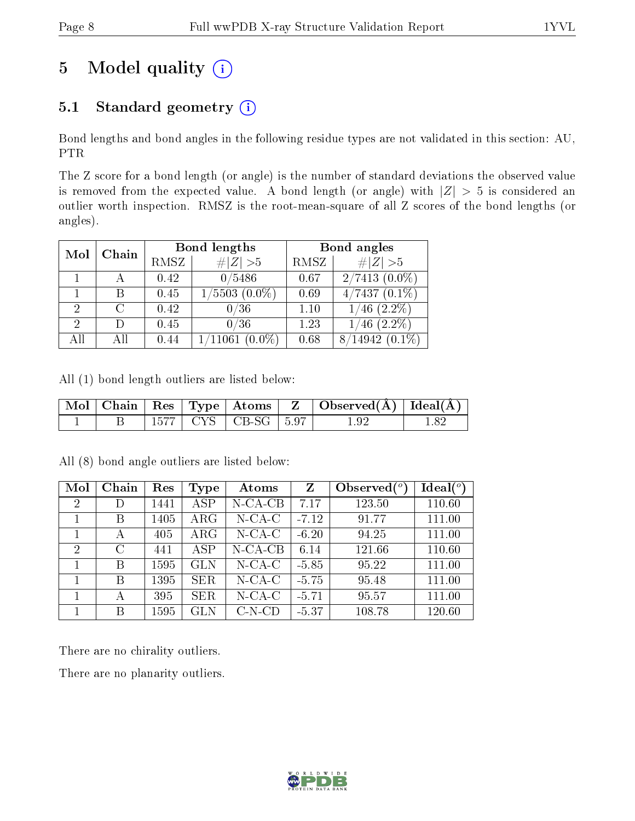## 5 Model quality  $(i)$

### 5.1 Standard geometry  $(i)$

Bond lengths and bond angles in the following residue types are not validated in this section: AU, PTR

The Z score for a bond length (or angle) is the number of standard deviations the observed value is removed from the expected value. A bond length (or angle) with  $|Z| > 5$  is considered an outlier worth inspection. RMSZ is the root-mean-square of all Z scores of the bond lengths (or angles).

| Mol                         | Chain  |      | Bond lengths         | Bond angles |                   |  |
|-----------------------------|--------|------|----------------------|-------------|-------------------|--|
|                             |        | RMSZ | # Z  > 5             | RMSZ        | # $ Z >5$         |  |
|                             |        | 0.42 | 0/5486               | 0.67        | $2/7413(0.0\%)$   |  |
|                             | В      | 0.45 | $1/5503$ $(0.0\%)$   | 0.69        | $4/7437(0.1\%)$   |  |
| $\mathcal{D}_{\mathcal{L}}$ | $\cap$ | 0.42 | 0/36                 | 1.10        | $(2.2\%)$<br>1/46 |  |
| $\overline{2}$              | Ð      | 0.45 | 0/36                 | 1.23        | $(2.2\%)$<br>46   |  |
| All                         | ΑII    | 0.44 | 1/11061<br>$(0.0\%)$ | 0.68        | 8/14942           |  |

All (1) bond length outliers are listed below:

|  |  |                             | $\vert$ Mol   Chain   Res   Type   Atoms   Z   Observed( $\AA$ )   Ideal( $\AA$ ) |  |
|--|--|-----------------------------|-----------------------------------------------------------------------------------|--|
|  |  | $1577$   CYS   CB-SG   5.97 | 1.92                                                                              |  |

| Mol            | Chain   | Res  | <b>Type</b> | Atoms      | Z       | Observed $(°)$ | Ideal $(°)$ |
|----------------|---------|------|-------------|------------|---------|----------------|-------------|
| $\overline{2}$ | D       | 1441 | <b>ASP</b>  | $N$ -CA-CB | 7.17    | 123.50         | 110.60      |
|                | В       | 1405 | ARG         | $N$ -CA-C  | $-7.12$ | 91.77          | 111.00      |
|                | А       | 405  | $\rm{ARG}$  | $N$ -CA-C  | $-6.20$ | 94.25          | 111.00      |
| $\overline{2}$ | $\rm C$ | 441  | <b>ASP</b>  | $N$ -CA-CB | 6.14    | 121.66         | 110.60      |
|                | В       | 1595 | <b>GLN</b>  | $N$ -CA-C  | $-5.85$ | 95.22          | 111.00      |
|                | В       | 1395 | <b>SER</b>  | $N$ -CA-C  | $-5.75$ | 95.48          | 111.00      |
|                | А       | 395  | <b>SER</b>  | $N$ -CA-C  | $-5.71$ | 95.57          | 111.00      |
|                | В       | 1595 | <b>GLN</b>  | $C-N-CD$   | $-5.37$ | 108.78         | 120.60      |

All (8) bond angle outliers are listed below:

There are no chirality outliers.

There are no planarity outliers.

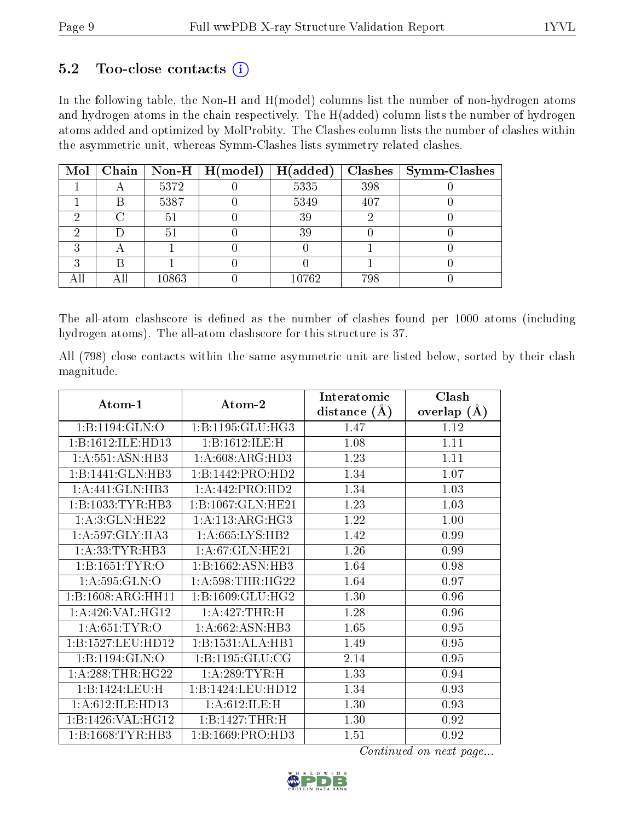#### $5.2$  Too-close contacts  $(i)$

In the following table, the Non-H and H(model) columns list the number of non-hydrogen atoms and hydrogen atoms in the chain respectively. The H(added) column lists the number of hydrogen atoms added and optimized by MolProbity. The Clashes column lists the number of clashes within the asymmetric unit, whereas Symm-Clashes lists symmetry related clashes.

|  |       | Mol   Chain   Non-H   H(model) | H(added) |     | $Clashes$   Symm-Clashes |
|--|-------|--------------------------------|----------|-----|--------------------------|
|  | 5372  |                                | 5335     | 398 |                          |
|  | 5387  |                                | 5349     | 407 |                          |
|  | 51    |                                | 39       |     |                          |
|  | 51    |                                | 39       |     |                          |
|  |       |                                |          |     |                          |
|  |       |                                |          |     |                          |
|  | 10863 |                                | 10762    | 798 |                          |

The all-atom clashscore is defined as the number of clashes found per 1000 atoms (including hydrogen atoms). The all-atom clashscore for this structure is 37.

All (798) close contacts within the same asymmetric unit are listed below, sorted by their clash magnitude.

| Atom-1              |                     | Interatomic      | Clash         |
|---------------------|---------------------|------------------|---------------|
|                     | Atom-2              | distance $(\AA)$ | overlap $(A)$ |
| 1:B:1194:GLN:O      | 1:B:1195:GLU:HG3    | 1.47             | 1.12          |
| 1:B:1612:ILE:HD13   | 1:B:1612:ILE:H      | 1.08             | 1.11          |
| 1: A: 551: ASN: HB3 | 1: A:608: ARG:HD3   | 1.23             | 1.11          |
| 1:B:1441:GLN:HB3    | 1:B:1442:PRO:HD2    | 1.34             | 1.07          |
| 1:A:441:GLN:HB3     | 1:A:442:PRO:HD2     | 1.34             | 1.03          |
| 1:B:1033:TYR:HB3    | 1:B:1067:GLN:HE21   | 1.23             | 1.03          |
| 1: A:3: GLN: HE22   | 1: A:113: ARG: HG3  | 1.22             | 1.00          |
| 1: A:597: GLY:HA3   | 1: A:665:LYS:HB2    | 1.42             | 0.99          |
| 1: A:33: TYR: HB3   | 1: A:67: GLN: HE21  | 1.26             | 0.99          |
| 1:B:1651:TYR:O      | 1:B:1662:ASN:HB3    | 1.64             | 0.98          |
| 1: A:595: GLN:O     | 1: A:598:THR:HG22   | 1.64             | 0.97          |
| 1:B:1608:ARG:HH11   | 1:B:1609:GLU:HG2    | 1.30             | 0.96          |
| 1: A:426: VAL:HG12  | 1:A:427:THR:H       | 1.28             | 0.96          |
| 1: A:651:TYR:O      | 1:A:662:ASN:HB3     | 1.65             | 0.95          |
| 1:B:1527:LEU:HD12   | 1:B:1531:ALA:HB1    | 1.49             | 0.95          |
| 1:B:1194:GLN:O      | 1: B: 1195: GLU: CG | 2.14             | 0.95          |
| 1: A:288:THR:HG22   | 1:A:289:TYR:H       | 1.33             | 0.94          |
| 1:B:1424:LEU:H      | 1:B:1424:LEU:HD12   | 1.34             | 0.93          |
| 1:A:612:ILE:HD13    | 1: A:612: ILE:H     | 1.30             | 0.93          |
| 1:B:1426:VAL:HG12   | 1:B:1427:THR:H      | 1.30             | 0.92          |
| 1:B:1668:TYR:HB3    | 1:B:1669:PRO:HD3    | 1.51             | 0.92          |

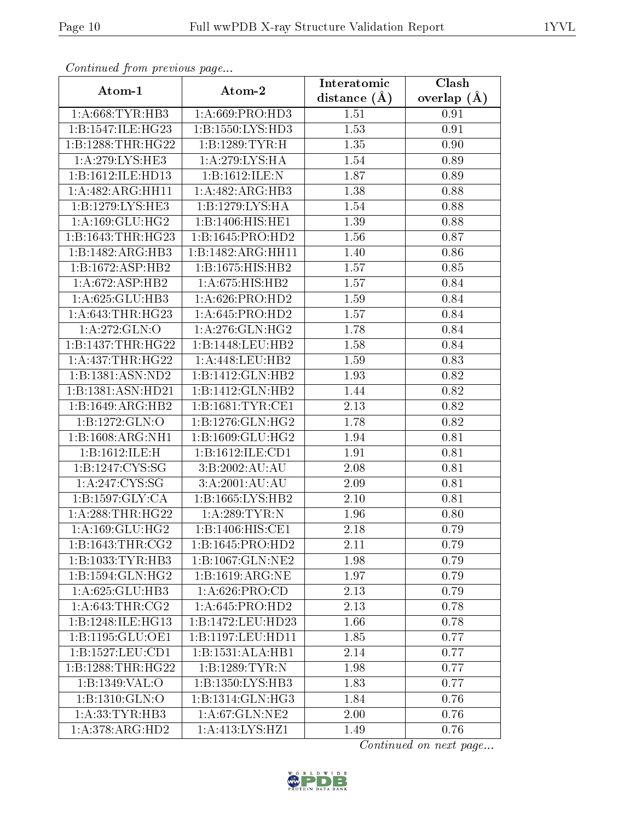| contentava promono ao pago |                              | Interatomic       | Clash         |
|----------------------------|------------------------------|-------------------|---------------|
| Atom-1                     | Atom-2                       | distance $(\AA)$  | overlap $(A)$ |
| 1: A:668:TYR:HB3           | 1: A:669: PRO:HD3            | 1.51              | 0.91          |
| 1:B:1547:ILE:HG23          | 1:B:1550:LYS:HD3             | $\overline{1.53}$ | 0.91          |
| 1:B:1288:THR:HG22          | 1:B:1289:TYR:H               | 1.35              | 0.90          |
| 1: A:279: LYS: HE3         | 1: A:279: LYS: HA            | 1.54              | 0.89          |
| 1:B:1612:ILE:HD13          | 1:B:1612:ILE:N               | 1.87              | 0.89          |
| 1:A:482:ARG:HH11           | 1:A:482:ARG:HB3              | 1.38              | 0.88          |
| 1:B:1279:LYS:HE3           | 1:B:1279:LYS:HA              | 1.54              | 0.88          |
| 1: A:169: GLU:HG2          | 1:B:1406:HIS:HEL             | 1.39              | 0.88          |
| 1:B:1643:THR:HG23          | 1:B:1645:PRO:HD2             | 1.56              | 0.87          |
| 1:B:1482:ARG:HB3           | 1:B:1482:ARG:HH11            | 1.40              | 0.86          |
| 1:B:1672:ASP:HB2           | 1:B:1675:HIS:HB2             | 1.57              | 0.85          |
| 1: A:672: ASP:HB2          | 1: A:675: HIS: HB2           | 1.57              | 0.84          |
| 1:A:625:GLU:HB3            | 1:A:626:PRO:HD2              | 1.59              | 0.84          |
| 1: A:643:THR:HG23          | 1: A:645: PRO:HD2            | 1.57              | 0.84          |
| 1: A:272: GLN:O            | 1: A:276: GLN: HG2           | 1.78              | 0.84          |
| 1:B:1437:THR:HG22          | 1:B:1448:LEU:HB2             | 1.58              | 0.84          |
| 1: A: 437: THR: HG22       | 1:A:448:LEU:HB2              | 1.59              | 0.83          |
| 1:B:1381:ASN:ND2           | 1:B:1412:GLN:HB2             | 1.93              | 0.82          |
| 1:B:1381:ASN:HD21          | 1:B:1412:GLN:HB2             | 1.44              | 0.82          |
| 1:B:1649:ARG:HB2           | 1:B:1681:TYR:CE1             | $2.13\,$          | 0.82          |
| 1:B:1272:GLN:O             | 1:B:1276:GLN:HG2             | 1.78              | 0.82          |
| 1:B:1608:ARG:NH1           | 1:B:1609:GLU:HG2             | 1.94              | 0.81          |
| 1:B:1612:ILE:H             | 1:B:1612:ILE:CD1             | 1.91              | 0.81          |
| 1:B:1247:CYS:SG            | 3:B:2002:AU:AU               | 2.08              | 0.81          |
| 1:A:247:CYS:SG             | 3:A:2001:AU:AU               | 2.09              | 0.81          |
| 1: B: 1597: GLY: CA        | 1:B:1665:LYS:HB2             | 2.10              | 0.81          |
| 1: A:288:THR:HG22          | 1: A:289:TYR:N               | 1.96              | 0.80          |
| 1: A:169: GLU: HG2         | 1:B:1406:HIS:CE1             | 2.18              | 0.79          |
| 1: B: 1643: THR: CG2       | 1:B:1645:PRO:HD2             | 2.11              | 0.79          |
| 1:B:1033:TYR:HB3           | 1:B:1067:GLN:NE2             | 1.98              | 0.79          |
| 1:B:1594:GLN:HG2           | 1:B:1619:ARG:NE              | 1.97              | 0.79          |
| 1:A:625:GLU:HB3            | 1: A:626: PRO:CD             | 2.13              | 0.79          |
| 1: A:643:THR:CG2           | 1: A:645: PRO:HD2            | 2.13              | 0.78          |
| 1:B:1248:ILE:HG13          | 1:B:1472:LEU:HD23            | 1.66              | 0.78          |
| 1:B:1195:GLU:OE1           | 1:B:1197:LEU:HD11            | 1.85              | 0.77          |
| 1:B:1527:LEU:CD1           | 1:B:1531:ALA:HB1             | 2.14              | 0.77          |
| 1:B:1288:THR:HG22          | 1:B:1289:TYR:N               | 1.98              | 0.77          |
| 1:B:1349:VAL:O             | 1:B:1350:LYS:HB3             | 1.83              | 0.77          |
| 1:B:1310:GLN:O             | 1:B:1314:GLN:H <sub>G3</sub> | 1.84              | 0.76          |
| 1: A:33: TYR: HB3          | 1:A:67:GLN:NE2               | 2.00              | 0.76          |
| 1:A:378:ARG:HD2            | 1:A:413:LYS:HZ1              | 1.49              | 0.76          |

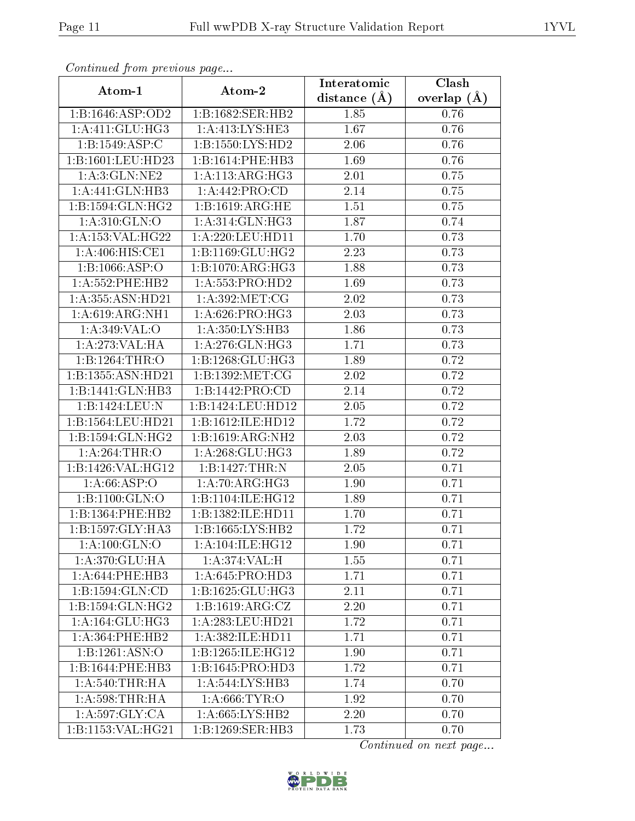|                     |                                     | Interatomic    | Clash         |
|---------------------|-------------------------------------|----------------|---------------|
| Atom-1              | Atom-2                              | distance $(A)$ | overlap $(A)$ |
| 1:B:1646:ASP:OD2    | 1:B:1682:SER:HB2                    | 1.85           | 0.76          |
| 1: A:411: GLU:HG3   | 1: A:413:LYS:HE3                    | 1.67           | 0.76          |
| 1:B:1549:ASP:C      | 1: B: 1550: LYS: HD2                | 2.06           | 0.76          |
| 1:B:1601:LEU:HD23   | 1:B:1614:PHE:HB3                    | 1.69           | 0.76          |
| 1: A:3: GLN: NE2    | 1:A:113:ARG:HG3                     | 2.01           | 0.75          |
| 1:A:441:GLN:HB3     | 1:A:442:PRO:CD                      | 2.14           | 0.75          |
| 1:B:1594:GLN:HG2    | 1:B:1619:ARG:HE                     | 1.51           | 0.75          |
| 1: A:310: GLN:O     | 1: A:314: GLN: HG3                  | 1.87           | 0.74          |
| 1:A:153:VAL:HG22    | 1:A:220:LEU:HD11                    | 1.70           | 0.73          |
| 1: A:406: HIS: CE1  | 1:B:1169:GLU:HG2                    | 2.23           | 0.73          |
| 1:B:1066:ASP:O      | 1:B:1070:ARG:HG3                    | 1.88           | 0.73          |
| $1: A:552:$ PHE:HB2 | 1:A:553:PRO:HD2                     | 1.69           | 0.73          |
| 1:A:355:ASN:HD21    | 1: A:392:MET:CG                     | 2.02           | 0.73          |
| 1:A:619:ARG:NH1     | 1: A:626: PRO:HG3                   | 2.03           | 0.73          |
| 1: A:349: VAL:O     | 1: A:350: LYS: HB3                  | 1.86           | 0.73          |
| 1:A:273:VAL:HA      | 1: A:276: GLN: HG3                  | 1.71           | 0.73          |
| 1:B:1264:THR:O      | 1:B:1268:GLU:HG3                    | 1.89           | 0.72          |
| 1:B:1355:ASN:HD21   | 1:B:1392:MET:CG                     | 2.02           | 0.72          |
| 1:B:1441:GLN:HB3    | 1:B:1442:PRO:CD                     | 2.14           | 0.72          |
| 1:B:1424:LEU:N      | 1:B:1424:LEU:HD12                   | 2.05           | 0.72          |
| 1:B:1564:LEU:HD21   | 1:B:1612:ILE:HD12                   | 1.72           | 0.72          |
| 1:B:1594:GLN:HG2    | 1:B:1619:ARG:NH2                    | 2.03           | 0.72          |
| 1:A:264:THR:O       | 1: A:268: GLU:HG3                   | 1.89           | 0.72          |
| 1:B:1426:VAL:HG12   | 1:B:1427:THR:N                      | 2.05           | 0.71          |
| 1: A:66:ASP:O       | 1:A:70:ARG:HG3                      | 1.90           | 0.71          |
| 1:B:1100:GLN:O      | 1:B:1104:ILE:HG12                   | 1.89           | 0.71          |
| 1:B:1364:PHE:HB2    | 1:B:1382:ILE:HD11                   | 1.70           | 0.71          |
| 1:B:1597:GLY:HA3    | 1:B:1665:LYS:HB2                    | 1.72           | 0.71          |
| 1:A:100:GLN:O       | 1:A:104:ILE:HG12                    | 1.90           | 0.71          |
| 1: A:370: GLU: HA   | 1:A:374:VAL:H                       | 1.55           | 0.71          |
| 1:A:644:PHE:HB3     | 1: A:645: PRO:HD3                   | 1.71           | 0.71          |
| 1:B:1594:GLN:CD     | 1:B:1625:GLU:HG3                    | 2.11           | 0.71          |
| 1:B:1594:GLN:HG2    | 1: B: 1619: ARG: CZ                 | 2.20           | 0.71          |
| 1:A:164:GLU:HG3     | 1:A:283:LEU:HD21                    | 1.72           | 0.71          |
| $1: A:364:$ PHE:HB2 | 1: A:382: ILE: HDI1                 | 1.71           | 0.71          |
| 1:B:1261:ASN:O      | 1:B:1265:ILE:HG12                   | 1.90           | 0.71          |
| 1:B:1644:PHE:HB3    | 1:B:1645:PRO:HD3                    | 1.72           | 0.71          |
| 1: A:540:THR:HA     | $1:A:544:\overline{\text{LYS:HB3}}$ | 1.74           | 0.70          |
| 1: A:598:THR:HA     | 1: A:666:TYR:O                      | 1.92           | 0.70          |
| 1:A:597:GLY:CA      | 1:A:665:LYS:HB2                     | 2.20           | 0.70          |
| 1:B:1153:VAL:HG21   | 1:B:1269:SER:HB3                    | 1.73           | 0.70          |

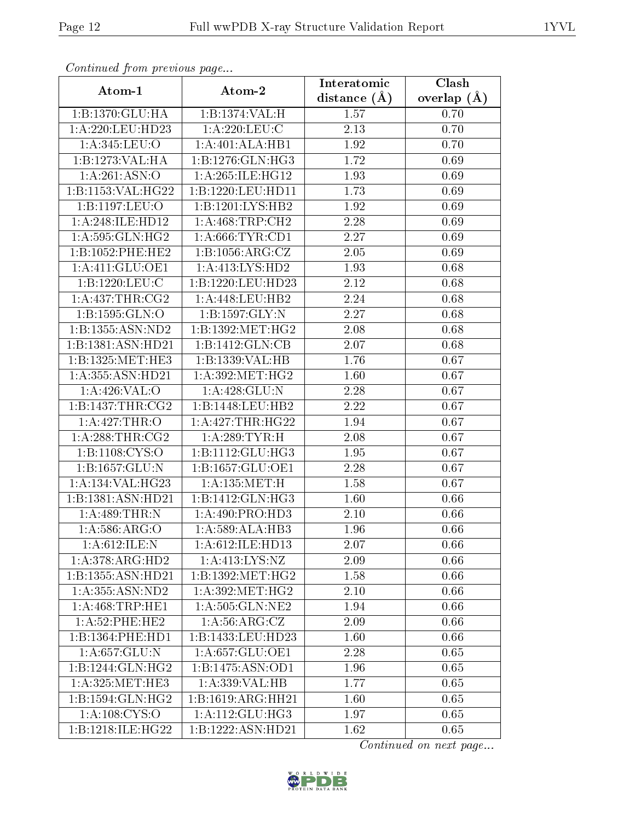| continuou pront protio de pago |                     | Interatomic    | Clash             |
|--------------------------------|---------------------|----------------|-------------------|
| Atom-1                         | Atom-2              | distance $(A)$ | overlap $(A)$     |
| 1:B:1370:GLU:HA                | 1:B:1374:VAL:H      | 1.57           | 0.70              |
| 1:A:220:LEU:HD23               | 1: A:220: LEU: C    | $2.13\,$       | 0.70              |
| 1: A:345: LEU:O                | 1:A:401:ALA:HB1     | 1.92           | 0.70              |
| 1:B:1273:VAL:HA                | 1:B:1276:GLN:HG3    | 1.72           | 0.69              |
| 1:A:261:ASN:O                  | 1: A:265: ILE: HG12 | 1.93           | 0.69              |
| 1:B:1153:VAL:HG22              | 1:B:1220:LEU:HD11   | 1.73           | 0.69              |
| 1:B:1197:LEU:O                 | 1:B:1201:LYS:HB2    | 1.92           | 0.69              |
| 1:A:248:ILE:HD12               | 1: A:468:TRP:CH2    | 2.28           | 0.69              |
| 1: A:595: GLN: HG2             | 1: A:666:TYR:CD1    | 2.27           | 0.69              |
| 1:B:1052:PHE:HE2               | 1:B:1056:ARG:CZ     | 2.05           | 0.69              |
| 1:A:411:GLU:OE1                | 1: A: 413: LYS: HD2 | 1.93           | 0.68              |
| 1:B:1220:LEU:C                 | 1:B:1220:LEU:HD23   | 2.12           | 0.68              |
| 1: A: 437: THR: CG2            | 1:A:448:LEU:HB2     | 2.24           | 0.68              |
| 1:B:1595:GLN:O                 | 1:B:1597:GLY:N      | 2.27           | 0.68              |
| 1:B:1355:ASN:ND2               | 1:B:1392:MET:HG2    | 2.08           | 0.68              |
| 1:B:1381:ASN:HD21              | 1:B:1412:GLN:CB     | 2.07           | 0.68              |
| 1:B:1325:MET:HE3               | 1:B:1339:VAL:HB     | 1.76           | 0.67              |
| 1:A:355:ASN:HD21               | 1: A:392:MET:HG2    | 1.60           | 0.67              |
| 1: A:426: VAL: O               | 1: A:428: GLU:N     | $2.28\,$       | $\overline{0.67}$ |
| 1: B: 1437: THR: CG2           | 1:B:1448:LEU:HB2    | 2.22           | 0.67              |
| 1:A:427:THR:O                  | 1: A:427:THR:HG22   | 1.94           | 0.67              |
| 1: A:288:THR:CG2               | 1: A:289:TYR:H      | 2.08           | 0.67              |
| 1:B:1108:CYS:O                 | 1:B:1112:GLU:HG3    | 1.95           | 0.67              |
| 1:B:1657:GLU:N                 | 1:B:1657:GLU:OE1    | 2.28           | 0.67              |
| 1:A:134:VAL:HG23               | 1: A: 135: MET:H    | 1.58           | 0.67              |
| 1:B:1381:ASN:HD21              | 1:B:1412:GLN:HG3    | 1.60           | 0.66              |
| 1:A:489:THR:N                  | 1: A:490: PRO:HD3   | 2.10           | 0.66              |
| 1: A:586: ARG:O                | 1:A:589:ALA:HB3     | 1.96           | 0.66              |
| 1: A:612: ILE:N                | 1: A:612: ILE: HD13 | 2.07           | 0.66              |
| 1:A:378:ARG:HD2                | 1: A: 413: LYS: NZ  | 2.09           | 0.66              |
| 1:B:1355:ASN:HD21              | 1:B:1392:MET:HG2    | 1.58           | 0.66              |
| 1: A:355: ASN:ND2              | 1: A:392:MET:HG2    | 2.10           | 0.66              |
| 1: A:468:TRP:HE1               | 1: A:505: GLN:NE2   | 1.94           | 0.66              |
| 1:A:52:PHE:HE2                 | 1: A:56: ARG: CZ    | 2.09           | 0.66              |
| 1:B:1364:PHE:HD1               | 1:B:1433:LEU:HD23   | 1.60           | 0.66              |
| 1: A:657: GLU:N                | 1: A:657: GLU:OE1   | 2.28           | 0.65              |
| 1:B:1244:GLN:HG2               | 1:B:1475:ASN:OD1    | 1.96           | 0.65              |
| 1: A:325: MET:HE3              | 1:A:339:VAL:HB      | 1.77           | 0.65              |
| 1:B:1594:GLN:HG2               | 1:B:1619:ARG:HH21   | 1.60           | 0.65              |
| 1: A: 108: CYS:O               | 1: A:112: GLU: HG3  | 1.97           | 0.65              |
| 1:B:1218:ILE:HG22              | 1:B:1222:ASN:HD21   | 1.62           | 0.65              |

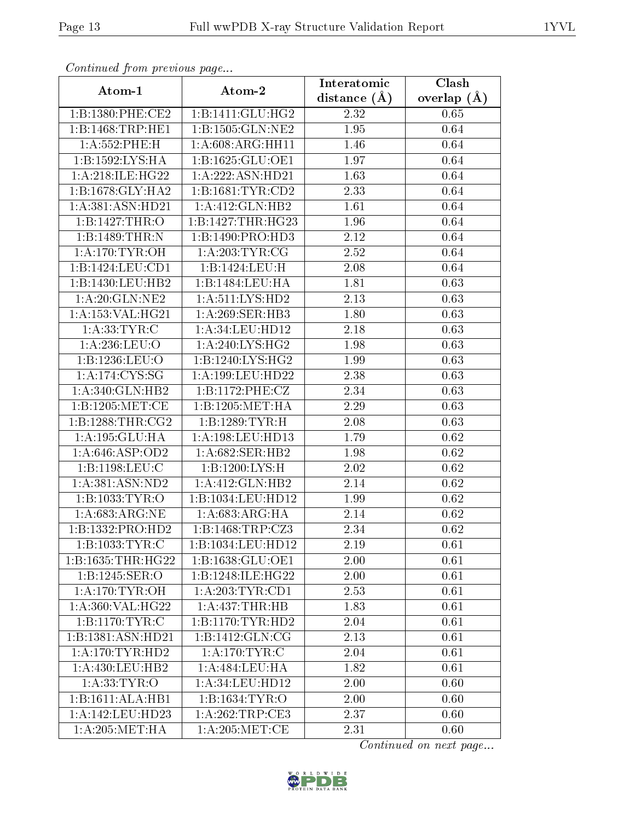|                                                      |                      | Interatomic    | $\overline{\text{Clash}}$ |
|------------------------------------------------------|----------------------|----------------|---------------------------|
| Atom-1                                               | Atom-2               | distance $(A)$ | overlap $(A)$             |
| 1:B:1380:PHE:CE2                                     | 1:B:1411:GLU:HG2     | 2.32           | 0.65                      |
| 1:B:1468:TRP:HE1                                     | 1:B:1505:GLN:NE2     | 1.95           | 0.64                      |
| 1: A: 552: PHE: H                                    | 1:A:608:ARG:HH11     | 1.46           | 0.64                      |
| 1:B:1592:LYS:HA                                      | 1:B:1625:GLU:OE1     | 1.97           | 0.64                      |
| 1: A:218: ILE:HG22                                   | 1:A:222:ASN:HD21     | 1.63           | 0.64                      |
| 1:B:1678:GLY:HA2                                     | 1:B:1681:TYR:CD2     | 2.33           | 0.64                      |
| 1:A:381:ASN:HD21                                     | 1:A:412:GLN:HB2      | 1.61           | 0.64                      |
| 1:B:1427:THR:O                                       | 1:B:1427:THR:HG23    | 1.96           | 0.64                      |
| 1:B:1489:THR:N                                       | 1:B:1490:PRO:HD3     | 2.12           | 0.64                      |
| 1: A:170: TYR: OH                                    | 1: A:203:TYR:CG      | 2.52           | 0.64                      |
| 1:B:1424:LEU:CD1                                     | 1:B:1424:LEU:H       | 2.08           | 0.64                      |
| 1:B:1430:LEU:HB2                                     | 1:B:1484:LEU:HA      | 1.81           | 0.63                      |
| 1: A:20: GLN:NE2                                     | 1: A:511:LYS:HD2     | 2.13           | 0.63                      |
| 1:A:153:VAL:HG21                                     | 1: A:269: SER: HB3   | 1.80           | 0.63                      |
| 1: A: 33: TYR: C                                     | 1: A:34:LEU:HD12     | 2.18           | 0.63                      |
| 1: A:236:LEU:O                                       | 1: A:240: LYS: HG2   | 1.98           | 0.63                      |
| 1:B:1236:LEU:O                                       | 1: B: 1240: LYS: HG2 | 1.99           | 0.63                      |
| $1: A:174: \overline{\text{C} \text{YS}: \text{SG}}$ | 1: A: 199: LEU: HD22 | 2.38           | 0.63                      |
| 1:A:340:GLN:HB2                                      | 1:B:1172:PHE:CZ      | 2.34           | 0.63                      |
| 1:B:1205:MET:CE                                      | 1:B:1205:MET:HA      | 2.29           | 0.63                      |
| 1: B: 1288: THR: CG2                                 | 1:B:1289:TYR:H       | 2.08           | 0.63                      |
| 1:A:195:GLU:HA                                       | 1:A:198:LEU:HD13     | 1.79           | 0.62                      |
| 1: A:646: ASP:OD2                                    | 1: A:682: SER: HB2   | 1.98           | 0.62                      |
| 1:B:1198:LEU:C                                       | 1:B:1200:LYS:H       | 2.02           | 0.62                      |
| 1: A:381: ASN:ND2                                    | 1: A: 412: GLN: HB2  | 2.14           | 0.62                      |
| $1:B:1033:\overline{\mathrm{TYR:O}}$                 | 1:B:1034:LEU:HD12    | 1.99           | 0.62                      |
| 1:A:683:ARG:NE                                       | 1: A:683:ARG:HA      | 2.14           | 0.62                      |
| 1:B:1332:PRO:HD2                                     | 1:B:1468:TRP:CZ3     | 2.34           | 0.62                      |
| 1:B:1033:TYR:C                                       | 1:B:1034:LEU:HD12    | 2.19           | 0.61                      |
| 1:B:1635:THR:HG22                                    | 1:B:1638:GLU:OE1     | 2.00           | 0.61                      |
| 1:B:1245:SER:O                                       | 1:B:1248:ILE:HG22    | 2.00           | 0.61                      |
| 1: A:170: TYR:OH                                     | 1: A:203:TYR:CD1     | 2.53           | 0.61                      |
| 1:A:360:VAL:HG22                                     | 1: A:437:THR:HB      | 1.83           | 0.61                      |
| 1:B:1170:TYR:C                                       | 1:B:1170:TYR:HD2     | 2.04           | 0.61                      |
| 1:B:1381:ASN:HD21                                    | 1:B:1412:GLN:CG      | 2.13           | 0.61                      |
| 1: A:170: TYR: HD2                                   | 1: A:170: TYR: C     | 2.04           | 0.61                      |
| 1: A: 430: LEU: HB2                                  | 1:A:484:LEU:HA       | 1.82           | 0.61                      |
| 1: A: 33: TYR: O                                     | 1: A:34:LEU:HD12     | 2.00           | 0.60                      |
| 1:B:1611:ALA:HB1                                     | 1:B:1634:TYR:O       | 2.00           | 0.60                      |
| 1:A:142:LEU:HD23                                     | 1:A:262:TRP:CE3      | 2.37           | 0.60                      |
| 1: A:205:MET:HA                                      | 1: A:205: MET:CE     | 2.31           | 0.60                      |

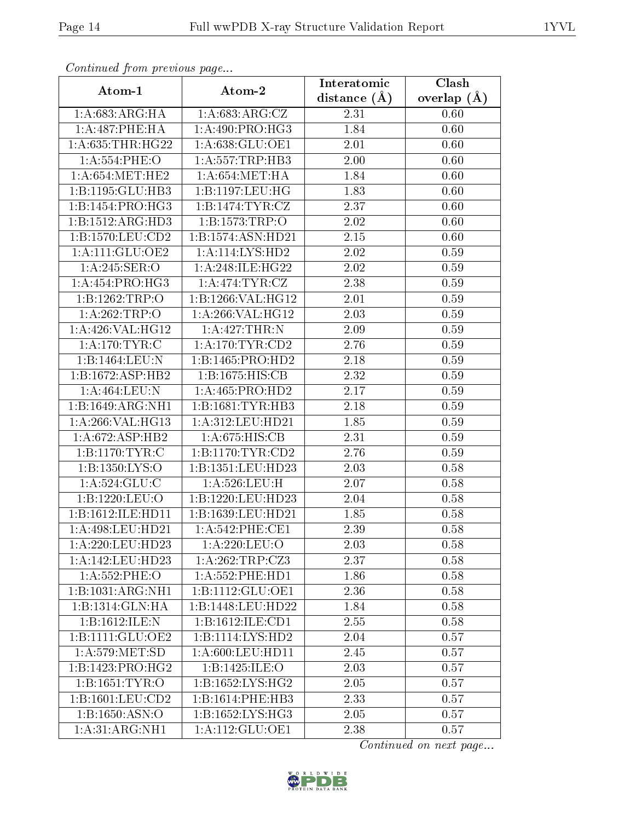|                      | Atom-2               | Interatomic      | Clash         |
|----------------------|----------------------|------------------|---------------|
| Atom-1               |                      | distance $(\AA)$ | overlap $(A)$ |
| 1: A:683:ARG:HA      | 1:A:683:ARG:CZ       | 2.31             | 0.60          |
| 1: A:487:PHE:HA      | 1: A:490: PRO:HG3    | 1.84             | 0.60          |
| 1: A:635:THR:HG22    | 1:A:638:GLU:OE1      | 2.01             | 0.60          |
| 1: A: 554: PHE: O    | 1: A: 557: TRP: HB3  | 2.00             | 0.60          |
| 1: A:654: MET:HE2    | 1: A:654: MET:HA     | 1.84             | 0.60          |
| 1:B:1195:GLU:HB3     | 1: B: 1197: LEU: HG  | 1.83             | 0.60          |
| 1:B:1454:PRO:HG3     | 1:B:1474:TYR:CZ      | 2.37             | 0.60          |
| 1:B:1512:ARG:HD3     | 1:B:1573:TRP:O       | 2.02             | 0.60          |
| 1: B: 1570: LEU: CD2 | 1:B:1574:ASN:HD21    | 2.15             | 0.60          |
| 1: A:111: GLU:OE2    | 1:A:114:LYS:HD2      | 2.02             | 0.59          |
| 1:A:245:SER:O        | 1:A:248:ILE:HG22     | 2.02             | 0.59          |
| 1:A:454:PRO:HG3      | 1: A:474: TYR: CZ    | 2.38             | 0.59          |
| 1:B:1262:TRP:O       | 1:B:1266:VAL:HG12    | 2.01             | 0.59          |
| 1: A:262:TRP:O       | 1:A:266:VAL:HG12     | 2.03             | 0.59          |
| 1: A:426: VAL:HG12   | 1:A:427:THR:N        | 2.09             | 0.59          |
| 1: A:170:TYR:C       | 1: A:170: TYR: CD2   | 2.76             | 0.59          |
| 1:B:1464:LEU:N       | 1:B:1465:PRO:HD2     | 2.18             | 0.59          |
| 1:B:1672:ASP:HB2     | 1:B:1675:HIS:CB      | 2.32             | $0.59\,$      |
| 1: A:464:LEU: N      | 1: A:465: PRO:HD2    | 2.17             | 0.59          |
| 1:B:1649:ARG:NH1     | 1:B:1681:TYR:HB3     | 2.18             | 0.59          |
| 1: A:266: VAL:HG13   | 1:A:312:LEU:HD21     | 1.85             | 0.59          |
| 1: A:672: ASP:HB2    | 1: A:675: HIS: CB    | 2.31             | 0.59          |
| 1: B: 1170: TYR: C   | 1:B:1170:TYR:CD2     | 2.76             | 0.59          |
| 1:B:1350:LYS:O       | 1:B:1351:LEU:HD23    | 2.03             | 0.58          |
| 1: A: 524: GLU: C    | 1: A:526:LEU:H       | 2.07             | 0.58          |
| 1:B:1220:LEU:O       | 1:B:1220:LEU:HD23    | 2.04             | 0.58          |
| 1:B:1612:ILE:HD11    | 1:B:1639:LEU:HD21    | 1.85             | 0.58          |
| 1:A:498:LEU:HD21     | 1: A:542:PHE:CE1     | 2.39             | 0.58          |
| 1:A:220:LEU:HD23     | 1: A:220: LEU:O      | 2.03             | 0.58          |
| 1:A:142:LEU:HD23     | 1: A:262:TRP:CZ3     | 2.37             | 0.58          |
| 1: A: 552: PHE: O    | 1: A: 552: PHE: HD1  | 1.86             | 0.58          |
| 1:B:1031:ARG:NH1     | 1:B:1112:GLU:OE1     | 2.36             | 0.58          |
| 1:B:1314:GLN:HA      | 1:B:1448:LEU:HD22    | 1.84             | 0.58          |
| 1:B:1612:ILE:N       | 1:B:1612:ILE:CD1     | 2.55             | 0.58          |
| 1:B:1111:GLU:OE2     | 1:B:1114:LYS:HD2     | 2.04             | 0.57          |
| 1: A:579:MET:SD      | 1: A:600: LEU: HD11  | 2.45             | 0.57          |
| 1:B:1423:PRO:HG2     | 1:B:1425:ILE:O       | 2.03             | 0.57          |
| 1:B:1651:TYR:O       | 1: B: 1652: LYS: HG2 | 2.05             | 0.57          |
| 1:B:1601:LEU:CD2     | 1:B:1614:PHE:HB3     | 2.33             | 0.57          |
| 1:B:1650:ASN:O       | 1:B:1652:LYS:HG3     | 2.05             | 0.57          |
| 1:A:31:ARG:NH1       | 1: A:112: GLU:OE1    | 2.38             | 0.57          |

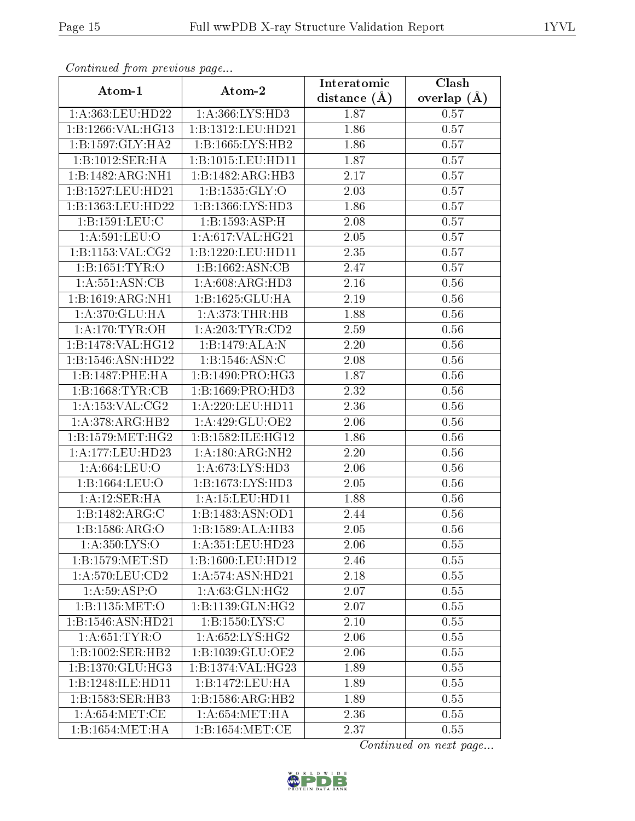| contentava promo procto ao pago |                     | Interatomic    | Clash         |
|---------------------------------|---------------------|----------------|---------------|
| Atom-1                          | Atom-2              | distance $(A)$ | overlap $(A)$ |
| 1:A:363:LEU:HD22                | 1: A:366: LYS: HD3  | 1.87           | 0.57          |
| 1:B:1266:VAL:HG13               | 1:B:1312:LEU:HD21   | 1.86           | 0.57          |
| 1:B:1597:GLY:HA2                | 1:B:1665:LYS:HB2    | 1.86           | 0.57          |
| 1:B:1012:SER:HA                 | 1:B:1015:LEU:HD11   | 1.87           | 0.57          |
| 1:B:1482:ARG:NH1                | 1:B:1482:ARG:HB3    | 2.17           | 0.57          |
| 1:B:1527:LEU:HD21               | 1:B:1535:GLY:O      | 2.03           | 0.57          |
| 1:B:1363:LEU:HD22               | 1:B:1366:LYS:HD3    | 1.86           | 0.57          |
| 1:B:1591:LEU:C                  | 1:B:1593:ASP:H      | 2.08           | 0.57          |
| 1: A:591:LEU:O                  | 1:A:617:VAL:HG21    | 2.05           | 0.57          |
| 1:B:1153:VAL:CG2                | 1:B:1220:LEU:HD11   | 2.35           | 0.57          |
| 1: B: 1651: TYR: O              | 1:B:1662:ASN:CB     | 2.47           | 0.57          |
| 1:A:551:ASN:CB                  | 1: A:608: ARG:HD3   | 2.16           | 0.56          |
| 1:B:1619:ARG:NH1                | 1:B:1625:GLU:HA     | 2.19           | 0.56          |
| 1:A:370:GLU:HA                  | 1: A:373:THR:HB     | 1.88           | 0.56          |
| 1: A:170:TYR:OH                 | 1: A:203:TYR:CD2    | 2.59           | 0.56          |
| 1:B:1478:VAL:HG12               | 1:B:1479:ALA:N      | 2.20           | 0.56          |
| 1:B:1546:ASN:HD22               | 1:B:1546:ASN:C      | 2.08           | 0.56          |
| 1:B:1487:PHE:HA                 | 1:B:1490:PRO:HG3    | 1.87           | 0.56          |
| 1: B: 1668: TYR: CB             | 1:B:1669:PRO:HD3    | 2.32           | 0.56          |
| 1: A: 153: VAL: CG2             | 1: A:220: LEU: HD11 | 2.36           | 0.56          |
| 1:A:378:ARG:HB2                 | 1: A:429: GLU:OE2   | 2.06           | 0.56          |
| 1: B: 1579: MET:HG2             | 1:B:1582:ILE:HG12   | 1.86           | 0.56          |
| 1:A:177:LEU:HD23                | 1: A:180:ARG:NH2    | 2.20           | 0.56          |
| 1:A:664:LEU:O                   | 1:A:673:LYS:HD3     | 2.06           | 0.56          |
| 1:B:1664:LEU:O                  | 1:B:1673:LYS:HD3    | 2.05           | 0.56          |
| 1:A:12:SER:HA                   | 1: A: 15: LEU: HD11 | 1.88           | 0.56          |
| 1:B:1482:ARG:C                  | 1:B:1483:ASN:OD1    | 2.44           | 0.56          |
| 1:B:1586:ARG:O                  | 1:B:1589:ALA:HB3    | 2.05           | 0.56          |
| 1: A: 350: LYS:O                | 1:A:351:LEU:HD23    | 2.06           | 0.55          |
| 1: B: 1579: MET: SD             | 1:B:1600:LEU:HD12   | 2.46           | 0.55          |
| $1: A:570: LE\overline{U:CD2}$  | 1: A:574: ASN: HD21 | 2.18           | 0.55          |
| 1: A:59: ASP:O                  | 1: A:63: GLN: HG2   | 2.07           | 0.55          |
| 1:Bi:1135:MET:O                 | 1:B:1139:GLN:HG2    | 2.07           | 0.55          |
| 1:B:1546:ASN:HD21               | 1:B:1550:LYS:C      | 2.10           | 0.55          |
| 1: A:651:TYR:O                  | 1: A:652:LYS:HG2    | 2.06           | 0.55          |
| 1:B:1002:SER:HB2                | 1:B:1039:GLU:OE2    | 2.06           | 0.55          |
| 1:B:1370:GLU:HG3                | 1:B:1374:VAL:HG23   | 1.89           | 0.55          |
| 1:B:1248:ILE:HD11               | 1:B:1472:LEU:HA     | 1.89           | 0.55          |
| 1:B:1583:SER:HB3                | 1:B:1586:ARG:HB2    | 1.89           | 0.55          |
| 1: A:654: MET:CE                | 1: A:654: MET:HA    | 2.36           | 0.55          |
| 1:B:1654:MET:HA                 | 1:B:1654:MET:CE     | 2.37           | 0.55          |

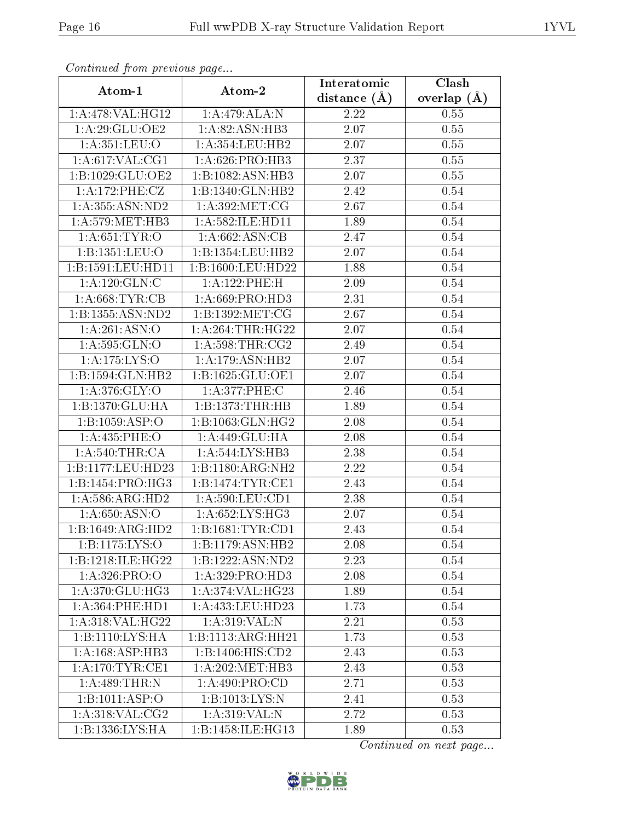| continuou promo provio uo pugo  |                       | Interatomic    | Clash         |
|---------------------------------|-----------------------|----------------|---------------|
| Atom-1                          | Atom-2                | distance $(A)$ | overlap $(A)$ |
| 1:A:478:VAL:HG12                | 1:A:479:ALA:N         | 2.22           | 0.55          |
| 1: A:29: GLU:OE2                | 1:A:82:ASN:HB3        | 2.07           | 0.55          |
| 1:A:351:LEU:O                   | 1:A:354:LEU:HB2       | 2.07           | 0.55          |
| 1: A:617: VAL:CG1               | 1: A:626: PRO:HB3     | 2.37           | 0.55          |
| 1:B:1029:GLU:OE2                | 1:B:1082:ASN:HB3      | 2.07           | 0.55          |
| 1:A:172:PHE:CZ                  | 1:B:1340:GLN:HB2      | 2.42           | 0.54          |
| 1: A:355: ASN:ND2               | 1: A:392:MET:CG       | 2.67           | 0.54          |
| 1: A:579:MET:HB3                | 1: A:582: ILE: HD11   | 1.89           | 0.54          |
| 1: A:651: TYR:O                 | 1: A:662: ASN:CB      | 2.47           | 0.54          |
| 1:B:1351:LEU:O                  | 1:B:1354:LEU:HB2      | 2.07           | 0.54          |
| 1:B:1591:LEU:HD11               | $1:$ B:1600:LEU:HD22  | 1.88           | 0.54          |
| 1: A: 120: GLN: C               | 1:A:122:PHE:H         | 2.09           | 0.54          |
| 1: A:668:TYR:CB                 | 1: A:669: PRO:HD3     | 2.31           | $0.54\,$      |
| 1:B:1355:ASN:ND2                | 1:B:1392:MET:CG       | 2.67           | 0.54          |
| 1: A:261: ASN:O                 | 1: A:264:THR:HG22     | 2.07           | 0.54          |
| 1: A:595: GLN:O                 | 1: A:598:THR:CG2      | 2.49           | 0.54          |
| 1:A:175:LYS:O                   | 1:A:179:ASN:HB2       | 2.07           | 0.54          |
| 1:B:1594:GLN:HB2                | 1:B:1625:GLU:OE1      | 2.07           | 0.54          |
| 1: A:376: GLY:O                 | 1: A:377:PHE:C        | 2.46           | 0.54          |
| 1:B:1370:GLU:HA                 | 1:B:1373:THR:HB       | 1.89           | 0.54          |
| 1:B:1059:ASP:O                  | 1:B:1063:GLN:HG2      | 2.08           | 0.54          |
| 1:A:435:PHE:O                   | 1:A:449:GLU:HA        | 2.08           | 0.54          |
| 1: A:540:THR:CA                 | 1:A:544:LYS:HB3       | 2.38           | 0.54          |
| 1:B:1177:LEU:HD23               | 1:B:1180:ARG:NH2      | 2.22           | 0.54          |
| 1:B:1454:PRO:HG3                | 1:B:1474:TYR:CE1      | 2.43           | 0.54          |
| 1: A:586: ARG:HD2               | 1:A:590:LEU:CD1       | 2.38           | 0.54          |
| 1: A:650: ASN:O                 | 1: A:652:LYS:HG3      | 2.07           | 0.54          |
| 1:B:1649:ARG:HD2                | 1:B:1681:TYR:CD1      | 2.43           | 0.54          |
| 1:B:1175:LYS:O                  | 1:B:1179:ASN:HB2      | 2.08           | 0.54          |
| 1:B:1218:ILE:HG22               | 1:B:1222:ASN:ND2      | 2.23           | 0.54          |
| 1: A:326: PRO:O                 | 1: A:329: PRO:HD3     | 2.08           | 0.54          |
| $1: A:370: GLU: \overline{HG3}$ | 1:A:374:VAL:H G23     | 1.89           | 0.54          |
| 1: A:364: PHE: HD1              | $1: A: 433:$ LEU:HD23 | 1.73           | 0.54          |
| 1: A:318: VAL:HG22              | 1:A:319:VAL:N         | 2.21           | 0.53          |
| 1:B:1110:LYS:HA                 | 1:B:1113:ARG:HH21     | 1.73           | 0.53          |
| 1:A:168:ASP:HB3                 | 1:B:1406:HIS:CD2      | 2.43           | 0.53          |
| 1: A:170: TYR: CE1              | 1: A:202:MET:HB3      | 2.43           | 0.53          |
| 1:A:489:THR:N                   | 1:A:490:PRO:CD        | 2.71           | 0.53          |
| 1:B:1011:ASP:O                  | 1:B:1013:LYS:N        | 2.41           | 0.53          |
| 1: A:318: VAL: CG2              | 1: A:319: VAL: N      | 2.72           | 0.53          |
| 1:B:1336:LYS:HA                 | 1:B:1458:ILE:HG13     | 1.89           | 0.53          |

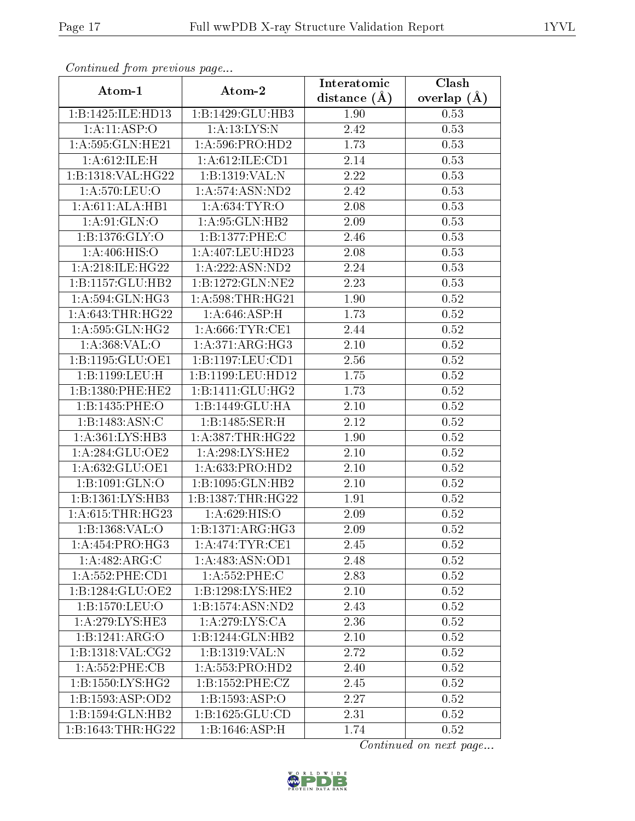| $\sum_{i=1}^{n}$<br>Atom-1   | Atom-2               | Interatomic    | Clash         |
|------------------------------|----------------------|----------------|---------------|
|                              |                      | distance $(A)$ | overlap $(A)$ |
| 1:B:1425:ILE:HD13            | 1:B:1429:GLU:HB3     | 1.90           | 0.53          |
| 1:A:11:ASP:O                 | 1: A: 13: LYS: N     | 2.42           | 0.53          |
| 1:A:595:GLN:HE21             | 1: A:596: PRO:HD2    | 1.73           | 0.53          |
| 1: A:612: ILE:H              | 1:A:612:ILE:CD1      | 2.14           | 0.53          |
| 1:B:1318:VAL:HG22            | 1:B:1319:VAL:N       | 2.22           | 0.53          |
| 1: A:570: LEU:O              | 1: A:574: ASN:ND2    | 2.42           | 0.53          |
| 1:A:611:ALA:HB1              | 1: A:634:TYR:O       | 2.08           | 0.53          |
| 1: A:91: GLN:O               | 1: A:95: GLN:HB2     | 2.09           | 0.53          |
| 1: B: 1376: GLY:O            | 1:B:1377:PHE:C       | 2.46           | 0.53          |
| 1:A:406:HIS:O                | 1:A:407:LEU:HD23     | 2.08           | 0.53          |
| 1: A:218: ILE:HG22           | 1: A: 222: ASN: ND2  | 2.24           | 0.53          |
| 1:B:1157:GLU:HB2             | 1:B:1272:GLN:NE2     | 2.23           | 0.53          |
| 1: A:594: GLN: HG3           | 1: A:598:THR:HG21    | 1.90           | 0.52          |
| 1: A:643:THR:HG22            | 1: A:646:ASP:H       | 1.73           | 0.52          |
| 1: A:595: GLN: HG2           | 1: A:666:TYR:CE1     | 2.44           | 0.52          |
| 1:A:368:VAL:O                | 1:A:371:ARG:HG3      | 2.10           | 0.52          |
| 1: B: 1195: GLU: OE1         | 1:B:1197:LEU:CD1     | 2.56           | 0.52          |
| 1:B:1199:LEU:H               | 1:B:1199:LEU:HD12    | 1.75           | 0.52          |
| 1:B:1380:PHE:HE2             | 1:B:1411:GLU:HG2     | 1.73           | 0.52          |
| 1:B:1435:PHE:O               | 1:B:1449:GLU:HA      | 2.10           | 0.52          |
| 1:B:1483:ASN:C               | 1:B:1485:SER:H       | 2.12           | 0.52          |
| 1:A:361:LYS:HB3              | 1: A: 387: THR: HG22 | 1.90           | 0.52          |
| 1: A:284: GLU:OE2            | 1:A:298:LYS:HE2      | 2.10           | 0.52          |
| 1:A:632:GLU:OE1              | 1: A:633: PRO:HD2    | 2.10           | 0.52          |
| 1:B:1091:GLN:O               | 1:B:1095:GLN:HB2     | 2.10           | 0.52          |
| 1:B:1361:LYS:HB3             | 1:B:1387:THR:HG22    | 1.91           | 0.52          |
| 1: A:615:THR:HG23            | 1: A:629: HIS:O      | $2.09\,$       | 0.52          |
| 1: B: 1368: VAL: O           | 1:B:1371:ARG:HG3     | 2.09           | 0.52          |
| 1: A: 454: PRO:HG3           | 1: A:474:TYR:CE1     | 2.45           | 0.52          |
| 1:A:482:ARG:C                | 1:A:483:ASN:OD1      | 2.48           | 0.52          |
| $1:A:552:PHE:\overline{CD1}$ | $1: A:552:$ PHE:C    | 2.83           | 0.52          |
| 1:B:1284:GLU:OE2             | 1:B:1298:LYS:HE2     | 2.10           | 0.52          |
| 1:B:1570:LEU:O               | 1:B:1574:ASN:ND2     | 2.43           | 0.52          |
| 1:A:279:LYS:HE3              | 1: A:279: LYS:CA     | 2.36           | 0.52          |
| 1:B:1241:ARG:O               | 1:B:1244:GLN:HB2     | 2.10           | 0.52          |
| 1:B:1318:VAL:CG2             | 1:B:1319:VAL: N      | 2.72           | 0.52          |
| 1:A:552:PHE:CB               | 1:A:553:PRO:HD2      | 2.40           | 0.52          |
| 1:B:1550:LYS:HG2             | 1: B: 1552: PHE: CZ  | 2.45           | 0.52          |
| 1:B:1593:ASP:OD2             | 1:B:1593:ASP:O       | 2.27           | 0.52          |
| 1:B:1594:GLN:HB2             | 1:B:1625:GLU:CD      | 2.31           | 0.52          |
| 1:B:1643:THR:HG22            | 1:B:1646:ASP:H       | 1.74           | 0.52          |

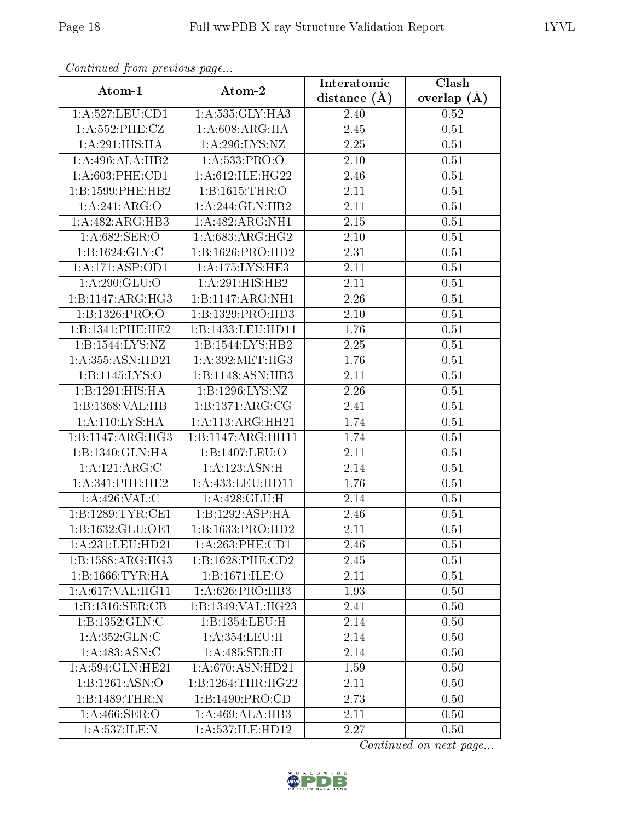| contentava promono ao pago          |                                | Interatomic    | Clash             |
|-------------------------------------|--------------------------------|----------------|-------------------|
| Atom-1                              | Atom-2                         | distance $(A)$ | overlap $(A)$     |
| 1:A:527:LEU:CD1                     | 1:A:535:GLY:HA3                | 2.40           | 0.52              |
| 1: A: 552:PHE: CZ                   | 1: A:608:ARG:HA                | 2.45           | 0.51              |
| 1:A:291:HIS:HA                      | 1:A:296:LYS:NZ                 | 2.25           | 0.51              |
| $1:A:496:\overline{\text{ALA:HB2}}$ | 1:A:533:PRO:O                  | 2.10           | $\overline{0}.51$ |
| $1: A:603:$ PHE: $CD1$              | 1:A:612:ILE:HG22               | 2.46           | 0.51              |
| 1:B:1599:PHE:HB2                    | 1:B:1615:THR:O                 | 2.11           | 0.51              |
| 1:A:241:ARG:O                       | 1: A:244: GLN:HB2              | 2.11           | 0.51              |
| 1:A:482:ARG:HB3                     | 1: A:482: ARG:NH1              | 2.15           | 0.51              |
| 1:A:682:SER:O                       | 1: A:683:ARG:HG2               | 2.10           | 0.51              |
| 1: B: 1624: GLY: C                  | 1:B:1626:PRO:HD2               | 2.31           | 0.51              |
| 1:A:171:ASP:OD1                     | 1:A:175:LYS:HE3                | 2.11           | 0.51              |
| 1: A:290: GLU:O                     | 1: A:291:HIS:HB2               | 2.11           | 0.51              |
| 1:B:1147:ARG:HG3                    | 1:B:1147:ARG:NH1               | 2.26           | 0.51              |
| 1:B:1326:PRO:O                      | 1:B:1329:PRO:HD3               | 2.10           | 0.51              |
| 1:B:1341:PHE:HE2                    | 1:B:1433:LEU:HD11              | 1.76           | 0.51              |
| 1:B:1544:LYS:NZ                     | 1:B:1544:LYS:HB2               | 2.25           | 0.51              |
| 1:A:355:ASN:HD21                    | 1: A:392:MET:HG3               | 1.76           | 0.51              |
| 1:B:1145:LYS:O                      | 1:B:1148:ASN:HB3               | 2.11           | 0.51              |
| 1:B:1291:HIS:HA                     | 1:B:1296:LYS:NZ                | 2.26           | 0.51              |
| 1:B:1368: VAL: HB                   | 1:B:1371:ARG:CG                | 2.41           | 0.51              |
| 1: A:110:LYS:HA                     | 1:A:113:ARG:HH21               | 1.74           | 0.51              |
| 1:B:1147:ARG:HG3                    | 1:B:1147:ARG:HH11              | 1.74           | 0.51              |
| 1:B:1340:GLN:HA                     | 1:B:1407:LEU:O                 | 2.11           | 0.51              |
| 1:A:121:ARG:C                       | 1:A:123:ASN:H                  | 2.14           | 0.51              |
| 1:A:341:PHE:HE2                     | 1: A: 433: LEU: HD11           | 1.76           | 0.51              |
| 1:A:426:VAL:C                       | 1: A:428: GLU: H               | 2.14           | 0.51              |
| 1:B:1289:TYR:CE1                    | 1:B:1292:ASP:HA                | 2.46           | 0.51              |
| 1:B:1632:GLU:OE1                    | 1:B:1633:PRO:HD2               | 2.11           | 0.51              |
| 1:A:231:LEU:HD21                    | 1:A:263:PHE:CD1                | 2.46           | 0.51              |
| 1:B:1588:ARG:HG3                    | 1:B:1628:PHE:CD2               | 2.45           | 0.51              |
| 1: B: 1666: TYR: HA                 | 1:B:1671:ILE:O                 | 2.11           | 0.51              |
| 1: A:617: VAL:HGI1                  | 1: A:626: PRO:HB3              | 1.93           | 0.50              |
| $1:B:1316:\overline{\text{SER:CB}}$ | $1:B:1349:\overline{VAL:HG23}$ | 2.41           | 0.50              |
| 1:B:1352:GLN:C                      | 1:B:1354:LEU:H                 | 2.14           | 0.50              |
| 1: A:352: GLN: C                    | 1: A:354:LEU:H                 | 2.14           | 0.50              |
| 1:A:483:ASN:C                       | 1: A:485: SER:H                | 2.14           | 0.50              |
| 1: A:594: GLN: HE21                 | 1: A:670: ASN:HD21             | 1.59           | 0.50              |
| 1:B:1261:ASN:O                      | 1:B:1264:THR:HG22              | 2.11           | 0.50              |
| 1:B:1489:THR:N                      | 1:B:1490:PRO:CD                | 2.73           | 0.50              |
| 1:A:466:SER:O                       | 1:A:469:ALA:HB3                | 2.11           | 0.50              |
| 1:A:537:ILE:N                       | 1:A:537:ILE:HD12               | 2.27           | 0.50              |

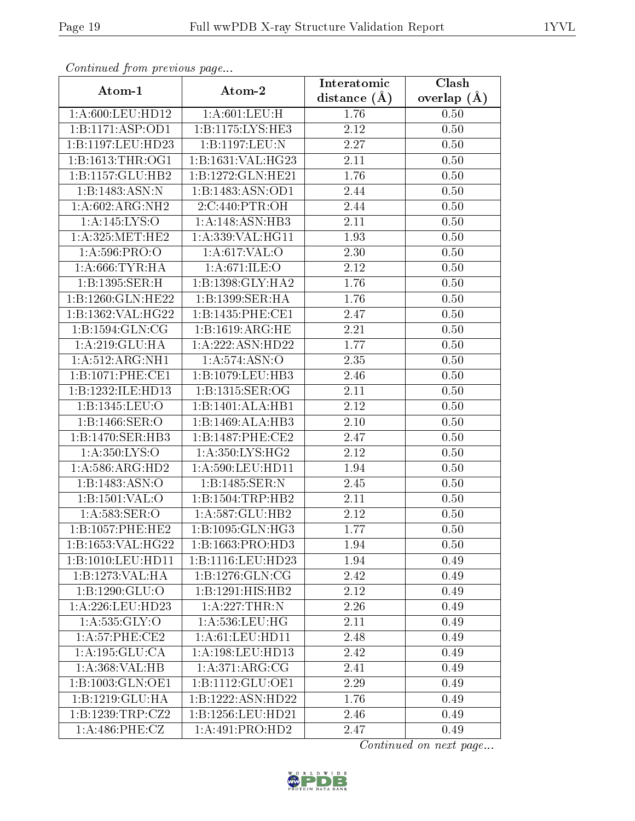| Atom-1              | Atom-2                       | Interatomic       | $\overline{\text{Clash}}$ |
|---------------------|------------------------------|-------------------|---------------------------|
|                     |                              | distance $(\AA)$  | overlap $(A)$             |
| 1:A:600:LEU:HD12    | 1: A:601:LEU:H               | 1.76              | 0.50                      |
| 1:B:1171:ASP:OD1    | 1:B:1175:LYS:HE3             | 2.12              | 0.50                      |
| 1:B:1197:LEU:HD23   | 1:B:1197:LEU:N               | 2.27              | 0.50                      |
| 1:B:1613:THR:OG1    | 1:B:1631:VAL:HG23            | 2.11              | 0.50                      |
| 1:B:1157:GLU:HB2    | 1:B:1272:GLN:HE21            | 1.76              | 0.50                      |
| 1:B:1483:ASN:N      | 1:B:1483:ASN:OD1             | 2.44              | 0.50                      |
| 1:A:602:ARG:NH2     | 2:C:440:PTR:OH               | 2.44              | 0.50                      |
| 1:A:145:LYS:O       | 1:A:148:ASN:HB3              | 2.11              | 0.50                      |
| 1: A:325: MET:HE2   | 1:A:339:VAL:HG11             | 1.93              | 0.50                      |
| 1: A:596: PRO:O     | 1: A:617: VAL:O              | 2.30              | 0.50                      |
| 1: A:666:TYR:HA     | 1: A:671: ILE: O             | 2.12              | 0.50                      |
| 1: B: 1395: SER:H   | 1:B:1398:GLY:HA2             | 1.76              | 0.50                      |
| 1:B:1260:GLN:HE22   | 1:B:1399:SER:HA              | 1.76              | 0.50                      |
| 1:B:1362:VAL:HG22   | 1:B:1435:PHE:CE1             | 2.47              | 0.50                      |
| 1: B: 1594: GLN: CG | 1:B:1619:ARG:HE              | 2.21              | 0.50                      |
| 1:A:219:GLU:HA      | 1:A:222:ASN:HD22             | 1.77              | 0.50                      |
| 1:A:512:ARG:NH1     | 1: A:574: ASN:O              | 2.35              | 0.50                      |
| 1:B:1071:PHE:CE1    | 1:B:1079:LEU:HB3             | 2.46              | 0.50                      |
| 1:B:1232:ILE:HD13   | 1:B:1315:SER:OG              | 2.11              | 0.50                      |
| 1:B:1345:LEU:O      | 1:B:1401:ALA:HB1             | 2.12              | 0.50                      |
| 1:B:1466:SER:O      | 1:B:1469:ALA:HB3             | $2.10\,$          | 0.50                      |
| 1:B:1470:SER:HB3    | 1:B:1487:PHE:CE2             | 2.47              | 0.50                      |
| 1: A:350: LYS:O     | 1: A:350: LYS: HG2           | 2.12              | 0.50                      |
| 1: A:586: ARG:HD2   | 1:A:590:LEU:HD11             | 1.94              | 0.50                      |
| 1:B:1483:ASN:O      | 1:B:1485:SER:N               | 2.45              | 0.50                      |
| 1:B:1501:VAL:O      | 1:B:1504:TRP:HB2             | $\overline{2.11}$ | $0.50\,$                  |
| 1: A:583:SER:O      | 1: A:587: GLU:HB2            | 2.12              | 0.50                      |
| 1:B:1057:PHE:HE2    | 1:B:1095:GLN:HG3             | 1.77              | 0.50                      |
| 1:B:1653:VAL:HG22   | 1:B:1663:PRO:HD3             | 1.94              | 0.50                      |
| 1:B:1010:LEU:HD11   | 1:B:1116:LEU:HD23            | 1.94              | 0.49                      |
| 1:B:1273:VAL:HA     | 1: B: 1276: GLN: CG          | 2.42              | 0.49                      |
| 1:B:1290:GLU:O      | 1:B:1291:HIS:HB2             | 2.12              | 0.49                      |
| 1:A:226:LEU:HD23    | 1:A:227:THR:N                | 2.26              | 0.49                      |
| 1: A: 535: GLY: O   | 1: A:536:LEU:HG              | 2.11              | 0.49                      |
| 1: A:57:PHE:CE2     | 1: A:61: LEU: HD11           | 2.48              | 0.49                      |
| 1: A: 195: GLU: CA  | 1: A: 198: LEU: HD13         | 2.42              | 0.49                      |
| 1:A:368:VAL:HB      | 1: A:371:ARG:CG              | 2.41              | 0.49                      |
| 1:B:1003:GLN:OE1    | 1:B:1112:GLU:OE1             | 2.29              | 0.49                      |
| 1:B:1219:GLU:HA     | 1:B:1222:ASN:HD22            | 1.76              | 0.49                      |
| 1:B:1239:TRP:CZ2    | 1:B:1256:LEU:HD21            | 2.46              | 0.49                      |
| 1:A:486:PHE:CZ      | $1:A:491:P\overline{RO:HD2}$ | 2.47              | 0.49                      |

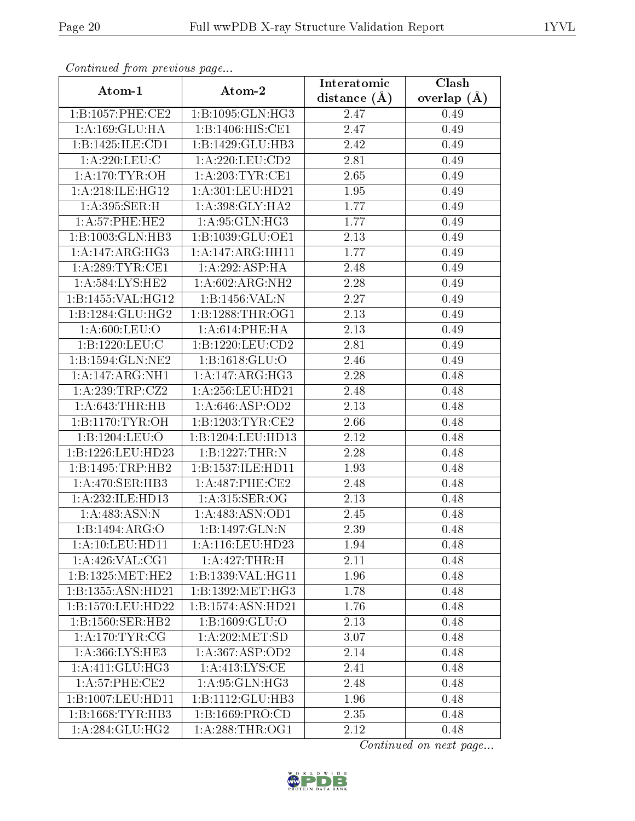| Atom-1               | Atom-2                        | Interatomic    | Clash           |
|----------------------|-------------------------------|----------------|-----------------|
|                      |                               | distance $(A)$ | overlap $(\AA)$ |
| 1:B:1057:PHE:CE2     | 1:B:1095:GLN:HG3              | 2.47           | 0.49            |
| 1:A:169:GLU:HA       | 1:B:1406:HIS:CE1              | 2.47           | 0.49            |
| 1:B:1425:ILE:CD1     | 1:B:1429:GLU:HB3              | 2.42           | 0.49            |
| 1:A:220:LEU:C        | 1:A:220:LEU:CD2               | 2.81           | 0.49            |
| 1: A:170: TYR:OH     | 1:A:203:TYR:CE1               | 2.65           | 0.49            |
| 1:A:218:ILE:HG12     | 1: A:301: LEU:HD21            | 1.95           | 0.49            |
| 1:A:395:SER:H        | 1:A:398:GLY:HA2               | 1.77           | 0.49            |
| 1:A:57:PHE:HE2       | 1: A:95: GLN:HG3              | 1.77           | 0.49            |
| 1:B:1003:GLN:HB3     | 1:B:1039:GLU:OE1              | 2.13           | 0.49            |
| 1: A:147: ARG: HG3   | 1:A:147:ARG:HH11              | 1.77           | 0.49            |
| 1: A:289:TYR:CE1     | 1: A:292: ASP: HA             | 2.48           | 0.49            |
| 1: A:584:LYS:HE2     | 1: A:602:ARG:NH2              | 2.28           | 0.49            |
| 1:B:1455:VAL:HG12    | 1:B:1456:VAL:N                | 2.27           | 0.49            |
| 1: B: 1284: GLU: HG2 | 1: B: 1288: THR: OG1          | 2.13           | 0.49            |
| 1: A:600:LEU:O       | 1: A:614:PHE:HA               | 2.13           | 0.49            |
| 1:B:1220:LEU:C       | 1:B:1220:LEU:CD2              | 2.81           | 0.49            |
| 1:B:1594:GLN:NE2     | 1:B:1618:GLU:O                | 2.46           | 0.49            |
| 1:A:147:ARG:NH1      | 1:A:147:ARG:HG3               | 2.28           | 0.48            |
| 1:A:239:TRP:CZ2      | 1: A:256:LEU:HD21             | 2.48           | 0.48            |
| 1: A:643:THR:HB      | 1:A:646:ASP:OD2               | 2.13           | 0.48            |
| 1: B: 1170: TYR: OH  | 1:B:1203:TYR:CE2              | 2.66           | 0.48            |
| 1:B:1204:LEU:O       | 1:B:1204:LEU:HD13             | 2.12           | 0.48            |
| 1:B:1226:LEU:HD23    | 1:B:1227:THR:N                | 2.28           | 0.48            |
| 1:B:1495:TRP:HB2     | 1:B:1537:ILE:HD11             | 1.93           | 0.48            |
| 1: A:470: SER:HB3    | 1:A:487:PHE:CE2               | 2.48           | 0.48            |
| 1:A:232:ILE:HD13     | 1: A:315: SER:OG              | 2.13           | 0.48            |
| 1: A:483:ASN:N       | 1: A:483: ASN:OD1             | 2.45           | 0.48            |
| 1:B:1494:ARG:O       | 1:B:1497:GLN:N                | 2.39           | 0.48            |
| 1: A:10:LEU:HD11     | 1: A:116: LEU: HD23           | 1.94           | 0.48            |
| 1: A:426: VAL:CG1    | 1:A:427:THR:H                 | 2.11           | 0.48            |
| 1:B:1325:MET:HE2     | 1:B:1339:VAL:HG11             | 1.96           | 0.48            |
| 1:B:1355:ASN:HD21    | $1:B:1392:MET:H\overline{G3}$ | 1.78           | 0.48            |
| 1:B:1570:LEU:HD22    | 1:B:1574:ASN:HD21             | 1.76           | 0.48            |
| 1:B:1560:SER:HB2     | 1:B:1609:GLU:O                | 2.13           | 0.48            |
| 1: A:170: TYR: CG    | 1:A:202:MET:SD                | 3.07           | 0.48            |
| 1: A: 366: LYS: HE3  | 1:A:367:ASP:OD2               | 2.14           | 0.48            |
| 1: A:411: GLU:HG3    | 1: A: 413: LYS: CE            | 2.41           | 0.48            |
| 1: A:57:PHE:CE2      | 1:A:95:GLN:HG3                | 2.48           | 0.48            |
| 1:B:1007:LEU:HD11    | 1:B:1112:GLU:HB3              | 1.96           | 0.48            |
| 1:B:1668:TYR:HB3     | 1: B: 1669: PRO: CD           | 2.35           | 0.48            |
| 1: A:284: GLU:HG2    | 1: A:288:THR:OG1              | 2.12           | 0.48            |

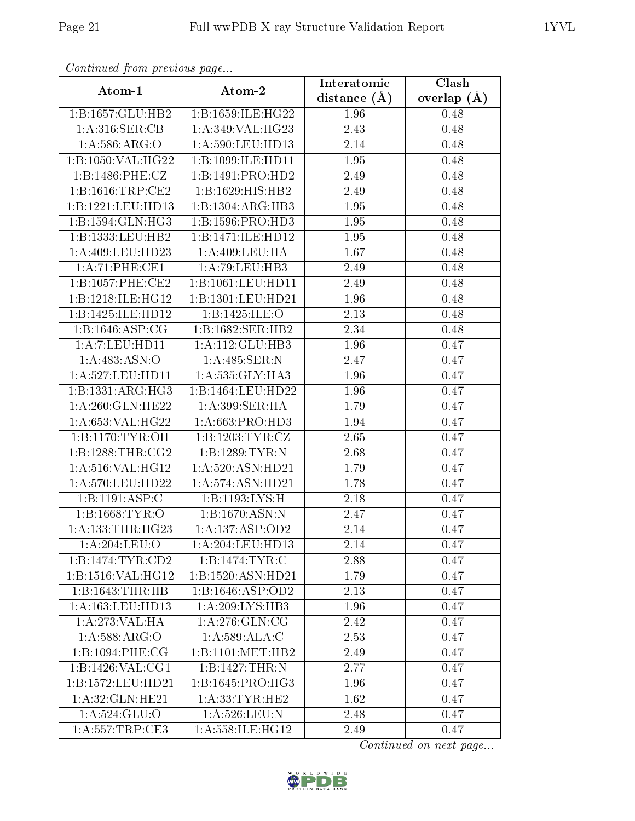| Continuation provided puga |                     | Interatomic       | Clash         |
|----------------------------|---------------------|-------------------|---------------|
| Atom-1                     | Atom-2              | distance $(A)$    | overlap $(A)$ |
| 1:B:1657:GLU:HB2           | 1:B:1659:ILE:HG22   | 1.96              | 0.48          |
| 1: A:316: SER: CB          | 1:A:349:VAL:HG23    | 2.43              | 0.48          |
| 1:A:586:ARG:O              | 1: A:590: LEU: HD13 | 2.14              | 0.48          |
| 1:B:1050:VAL:HG22          | 1:B:1099:ILE:HD11   | 1.95              | 0.48          |
| 1:B:1486:PHE:CZ            | 1:B:1491:PRO:HD2    | 2.49              | 0.48          |
| 1:B:1616:TRP:CE2           | 1:B:1629:HIS:HB2    | 2.49              | 0.48          |
| 1:B:1221:LEU:HD13          | 1:B:1304:ARG:HB3    | 1.95              | 0.48          |
| 1:B:1594:GLN:HG3           | 1:B:1596:PRO:HD3    | 1.95              | 0.48          |
| 1:B:1333:LEU:HB2           | 1:B:1471:ILE:HD12   | $\overline{1.95}$ | 0.48          |
| 1:A:409:LEU:HD23           | 1: A:409:LEU:HA     | 1.67              | 0.48          |
| 1:A:71:PHE:CE1             | 1:A:79:LEU:HB3      | 2.49              | 0.48          |
| 1: B: 1057: PHE: CE2       | 1:B:1061:LEU:HD11   | 2.49              | 0.48          |
| 1:B:1218:ILE:HG12          | 1:B:1301:LEU:HD21   | 1.96              | 0.48          |
| 1:B:1425:ILE:HD12          | 1:B:1425:ILE:O      | 2.13              | 0.48          |
| 1:B:1646:ASP:CG            | 1:B:1682:SER:HB2    | 2.34              | 0.48          |
| 1: A: 7: LEU: HD11         | 1: A:112: GLU:HB3   | 1.96              | 0.47          |
| 1:A:483:ASN:O              | 1: A:485: SER: N    | 2.47              | 0.47          |
| 1:A:527:LEU:HD11           | 1: A: 535: GLY: HA3 | 1.96              | 0.47          |
| 1:B:1331:ARG:HG3           | 1:B:1464:LEU:HD22   | 1.96              | 0.47          |
| 1:A:260:GLN:HE22           | 1: A:399: SER: HA   | 1.79              | 0.47          |
| 1: A:653: VAL:HG22         | 1: A:663: PRO:HD3   | 1.94              | 0.47          |
| 1: B: 1170: TYR: OH        | 1:B:1203:TYR:CZ     | 2.65              | 0.47          |
| 1: B: 1288: THR: CG2       | 1:B:1289:TYR:N      | 2.68              | 0.47          |
| 1: A:516: VAL:HG12         | 1:A:520:ASN:HD21    | 1.79              | 0.47          |
| 1: A:570:LEU:HD22          | 1:A:574:ASN:HD21    | 1.78              | 0.47          |
| 1:B:1191:ASP:C             | 1:B:1193:LYS:H      | 2.18              | 0.47          |
| 1: B: 1668: TYR:O          | 1:B:1670:ASN:N      | 2.47              | 0.47          |
| 1: A: 133: THR: HG23       | 1:A:137:ASP:OD2     | 2.14              | 0.47          |
| 1:A:204:LEU:O              | 1:A:204:LEU:HD13    | 2.14              | 0.47          |
| 1:B:1474:TYR:CD2           | 1:B:1474:TYR:C      | 2.88              | 0.47          |
| 1:B:1516:VAL:HG12          | 1:B:1520:ASN:HD21   | 1.79              | 0.47          |
| 1:B:1643:THR:HB            | 1:B:1646:ASP:OD2    | 2.13              | 0.47          |
| 1:A:163:LEU:HD13           | 1:A:209:LYS:HB3     | 1.96              | 0.47          |
| 1:A:273:VAL:HA             | 1: A:276: GLN:CG    | 2.42              | 0.47          |
| 1: A:588: ARG:O            | 1: A:589:ALA:C      | 2.53              | 0.47          |
| 1:B:1094:PHE:CG            | 1:B:1101:MET:HB2    | 2.49              | 0.47          |
| 1:B:1426:VAL:CG1           | 1:B:1427:THR:N      | 2.77              | 0.47          |
| 1:B:1572:LEU:HD21          | 1:B:1645:PRO:HG3    | 1.96              | 0.47          |
| 1: A:32: GLN: HE21         | 1: A: 33: TYR: HE2  | 1.62              | 0.47          |
| 1:A:524:GLU:O              | 1: A:526:LEU: N     | 2.48              | 0.47          |
| 1: A: 557: TRP: CE3        | 1:A:558:ILE:HG12    | 2.49              | 0.47          |

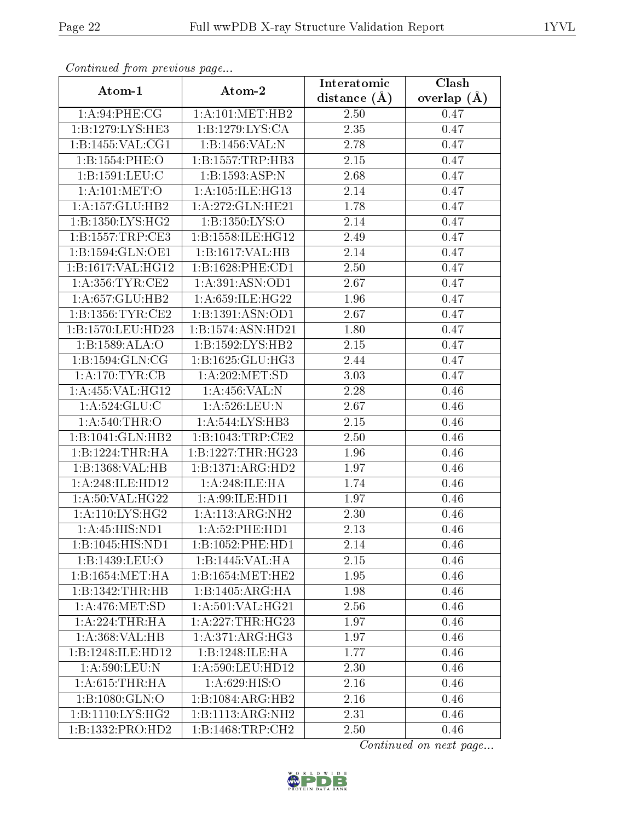| contentava promo provisão pago  |                              | Interatomic       | Clash         |
|---------------------------------|------------------------------|-------------------|---------------|
| Atom-1                          | Atom-2                       | distance $(A)$    | overlap $(A)$ |
| 1:A:94:PHE:CG                   | 1: A:101: MET:HB2            | 2.50              | 0.47          |
| 1:B:1279:LYS:HE3                | 1:B:1279:LYS:CA              | 2.35              | 0.47          |
| 1:B:1455:VAL:CG1                | 1:B:1456:VAL:N               | 2.78              | 0.47          |
| 1:B:1554:PHE:O                  | 1:B:1557:TRP:HB3             | 2.15              | 0.47          |
| 1:B:1591:LEU:C                  | 1:B:1593:ASP:N               | 2.68              | 0.47          |
| 1: A: 101: MET:O                | 1:A:105:ILE:HG13             | 2.14              | 0.47          |
| 1:A:157:GLU:HB2                 | 1:A:272:GLN:HE21             | 1.78              | 0.47          |
| 1:B:1350:LYS:HG2                | 1:B:1350:LYS:O               | 2.14              | 0.47          |
| 1:B:1557:TRP:CE3                | 1:B:1558:ILE:HG12            | 2.49              | 0.47          |
| 1:B:1594:GLN:OE1                | 1:B:1617:VAL:HB              | 2.14              | 0.47          |
| 1:B:1617:VAL:HG12               | 1:B:1628:PHE:CD1             | 2.50              | 0.47          |
| 1: A: 356: TYR: CE2             | 1:A:391:ASN:OD1              | 2.67              | 0.47          |
| 1:A:657:GLU:HB2                 | 1:A:659:ILE:HG22             | 1.96              | 0.47          |
| 1:B:1356:TYR:CE2                | 1:B:1391:ASN:OD1             | 2.67              | 0.47          |
| 1:B:1570:LEU:HD23               | 1:B:1574:ASN:HD21            | 1.80              | 0.47          |
| 1:B:1589:ALA:O                  | 1:B:1592:LYS:HB2             | 2.15              | 0.47          |
| 1: B: 1594: GLN: CG             | 1:B:1625:GLU:HG3             | 2.44              | 0.47          |
| 1: A:170: TYR: CB               | 1:A:202:MET:SD               | 3.03              | 0.47          |
| 1:A:455:VAL:HG12                | 1:A:456:VAL:N                | 2.28              | 0.46          |
| 1: A: 524: GLU: C               | 1: A:526:LEU: N              | 2.67              | 0.46          |
| 1: A:540:THR:O                  | 1:A:544:LYS:HB3              | 2.15              | 0.46          |
| 1:B:1041:GLN:HB2                | 1:B:1043:TRP:CE2             | 2.50              | $0.46\,$      |
| 1:B:1224:THR:HA                 | 1:B:1227:THR:HG23            | 1.96              | 0.46          |
| 1:B:1368: VAL: HB               | 1:B:1371:ARG:HD2             | 1.97              | 0.46          |
| 1:A:248:ILE:HD12                | 1: A:248: ILE: HA            | 1.74              | 0.46          |
| 1: A:50: VAL:HG22               | 1: A:99: ILE: HD11           | 1.97              | 0.46          |
| 1: A:110: LYS: HG2              | 1:A:113:ARG:NH2              | $\overline{2}.30$ | 0.46          |
| $1: A: 45: HIS: \overline{ND1}$ | 1: A:52: PHE: HD1            | 2.13              | 0.46          |
| 1:B:1045:HIS:ND1                | 1:B:1052:PHE:HD1             | 2.14              | 0.46          |
| 1:B:1439:LEU:O                  | 1:B:1445: VAL: HA            | 2.15              | 0.46          |
| 1:B:1654:MET:HA                 | 1:B:1654:MET:HE2             | 1.95              | 0.46          |
| 1:B:1342:THR:HB                 | $1:B:1405:ARG:\overline{HA}$ | 1.98              | 0.46          |
| 1: A:476: MET:SD                | 1: A:501:VAL:HG21            | 2.56              | 0.46          |
| 1: A:224:THR:HA                 | 1: A:227:THR:HG23            | 1.97              | 0.46          |
| 1:A:368:VAL:HB                  | 1:A:371:ARG:HG3              | 1.97              | 0.46          |
| 1:B:1248:ILE:HD12               | 1:B:1248:ILE:HA              | 1.77              | 0.46          |
| 1:A:590:LEU:N                   | 1:A:590:LEU:HD12             | 2.30              | 0.46          |
| 1: A:615:THR:HA                 | 1: A:629: HIS:O              | 2.16              | 0.46          |
| 1:B:1080:GLN:O                  | 1:B:1084:ARG:HB2             | 2.16              | 0.46          |
| 1:B:1110:LYS:HG2                | 1:B:1113:ARG:NH2             | 2.31              | 0.46          |
| 1:B:1332:PRO:HD2                | 1:B:1468:TRP:CH2             | 2.50              | 0.46          |

![](_page_21_Picture_6.jpeg)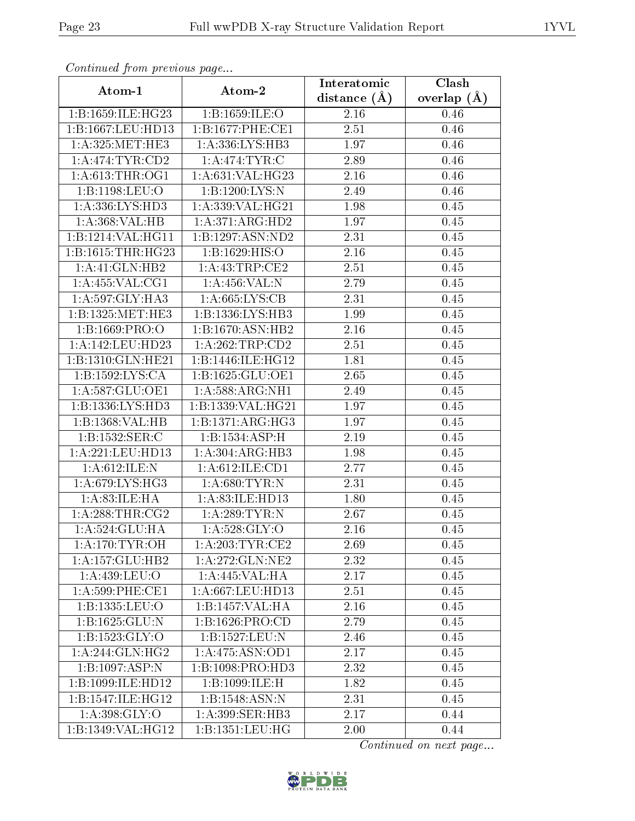|                                     | Atom-2               | Interatomic      | $\overline{\text{Clash}}$ |
|-------------------------------------|----------------------|------------------|---------------------------|
| Atom-1                              |                      | distance $(\AA)$ | overlap $(A)$             |
| 1:B:1659:ILE:HG23                   | 1:B:1659:ILE:O       | 2.16             | 0.46                      |
| 1:B:1667:LEU:HD13                   | 1:B:1677:PHE:CE1     | $2.51\,$         | 0.46                      |
| 1: A:325: MET:HE3                   | 1:A:336:LYS:HB3      | 1.97             | 0.46                      |
| 1: A:474:TYR:CD2                    | 1: A:474: TYR: C     | 2.89             | 0.46                      |
| 1: A:613:THR:OG1                    | 1:A:631:VAL:HG23     | 2.16             | 0.46                      |
| 1:B:1198:LEU:O                      | 1:B:1200:LYS:N       | 2.49             | 0.46                      |
| 1:A:336:LYS:HD3                     | 1:A:339:VAL:HG21     | 1.98             | 0.45                      |
| 1:A:368:VAL:HB                      | 1: A:371: ARG:HD2    | 1.97             | 0.45                      |
| 1:B:1214:VAL:HG11                   | 1:B:1297:ASN:ND2     | 2.31             | 0.45                      |
| 1:B:1615:THR:HG23                   | 1: B: 1629: HIS: O   | 2.16             | 0.45                      |
| 1: A:41: GLN:HB2                    | 1: A: 43: TRP: CE2   | 2.51             | 0.45                      |
| 1: A: 455: VAL: CG1                 | 1:A:456:VAL:N        | 2.79             | 0.45                      |
| 1: A:597: GLY:HA3                   | 1: A:665:LYS:CB      | 2.31             | 0.45                      |
| 1:B:1325:MET:HE3                    | 1:B:1336:LYS:HB3     | 1.99             | 0.45                      |
| 1: B: 1669: PRO: O                  | 1:B:1670:ASN:HB2     | 2.16             | 0.45                      |
| 1:A:142:LEU:HD23                    | 1: A:262:TRP:CD2     | 2.51             | 0.45                      |
| 1:B:1310:GLN:HE21                   | 1:B:1446:ILE:HG12    | 1.81             | 0.45                      |
| 1:B:1592:LYS:CA                     | 1:B:1625:GLU:OE1     | 2.65             | 0.45                      |
| 1: A:587: GLU:OE1                   | 1: A:588:ARG:NH1     | 2.49             | 0.45                      |
| 1:B:1336:LYS:HD3                    | $1:$ B:1339:VAL:HG21 | 1.97             | 0.45                      |
| 1:B:1368: VAL: HB                   | 1:B:1371:ARG:HG3     | 1.97             | 0.45                      |
| 1:B:1532:SER:C                      | 1:B:1534:ASP:H       | 2.19             | 0.45                      |
| 1:A:221:LEU:HD13                    | 1: A:304: ARG:HB3    | 1.98             | 0.45                      |
| 1: A:612: ILE:N                     | 1:A:612:ILE:CD1      | 2.77             | 0.45                      |
| 1: A:679: LYS: HG3                  | 1: A:680:TYR:N       | 2.31             | 0.45                      |
| 1: A:83: ILE: HA                    | 1:A:83:ILE:HD13      | 1.80             | 0.45                      |
| 1: A:288:THR:CG2                    | 1: A:289:TYR:N       | 2.67             | 0.45                      |
| 1:A:524:GLU:HA                      | 1: A:528: GLY:O      | 2.16             | 0.45                      |
| 1: A:170: TYR:OH                    | 1: A:203:TYR:CE2     | 2.69             | 0.45                      |
| 1:A:157:GLU:HB2                     | 1:A:272:GLN:NE2      | 2.32             | 0.45                      |
| 1:A:439:LEU:O                       | 1:A:445:VAL:HA       | 2.17             | 0.45                      |
| $1: A:599:$ PHE:CE1                 | 1:A:667:LEU:HD13     | 2.51             | 0.45                      |
| 1:B:1335:LEU:O                      | 1:B:1457:VAL:HA      | 2.16             | 0.45                      |
| 1:B:1625:GLU:N                      | 1:B:1626:PRO:CD      | 2.79             | 0.45                      |
| 1:B:1523:GLY:O                      | 1:B:1527:LEU:N       | 2.46             | 0.45                      |
| 1:A:244:GLN:HG2                     | 1:A:475:ASN:OD1      | 2.17             | 0.45                      |
| $1:B:1097: \overline{\text{ASP:N}}$ | 1:B:1098:PRO:HD3     | 2.32             | 0.45                      |
| 1:B:1099:ILE:HD12                   | 1:B:1099:ILE:H       | 1.82             | 0.45                      |
| 1:B:1547:ILE:HGI2                   | 1:B:1548:ASN:N       | 2.31             | $0.45\,$                  |
| 1: A:398: GLY:O                     | 1:A:399:SER:HB3      | 2.17             | 0.44                      |
| 1:B:1349:VAL:HG12                   | 1: B: 1351: LEU: HG  | 2.00             | 0.44                      |

![](_page_22_Picture_6.jpeg)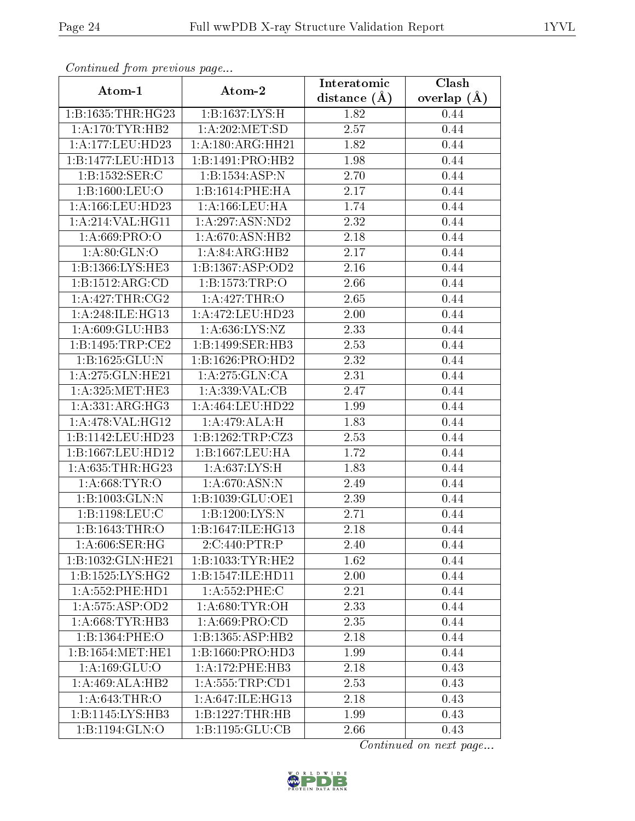| contentava promono ao pago |                      | Interatomic    | Clash         |
|----------------------------|----------------------|----------------|---------------|
| Atom-1                     | Atom-2               | distance $(A)$ | overlap $(A)$ |
| 1:B:1635:THR:HG23          | 1:B:1637:LYS:H       | 1.82           | 0.44          |
| 1: A:170:TYR:HB2           | 1: A:202: MET:SD     | $2.57\,$       | 0.44          |
| 1:A:177:LEU:HD23           | 1:A:180:ARG:HH21     | 1.82           | 0.44          |
| 1:B:1477:LEU:HD13          | 1:B:1491:PRO:HB2     | 1.98           | 0.44          |
| 1:B:1532:SER:C             | 1:B:1534:ASP:N       | 2.70           | 0.44          |
| 1:B:1600:LEU:O             | 1:B:1614:PHE:HA      | 2.17           | 0.44          |
| 1:A:166:LEU:HD23           | 1: A: 166: LEU: HA   | 1.74           | 0.44          |
| 1: A:214:VAL:HG11          | 1: A:297: ASN:ND2    | 2.32           | 0.44          |
| 1: A:669: PRO:O            | 1: A:670: ASN: HB2   | 2.18           | 0.44          |
| 1: A:80: GLN:O             | 1:A:84:ARG:HB2       | 2.17           | 0.44          |
| 1:B:1366:LYS:HE3           | 1:B:1367:ASP:OD2     | 2.16           | 0.44          |
| 1:B:1512:ARG:CD            | 1:B:1573:TRP:O       | 2.66           | 0.44          |
| 1: A:427:THR:CG2           | 1:A:427:THR:O        | 2.65           | 0.44          |
| 1: A:248: ILE: HG13        | 1: A:472:LEU:HD23    | 2.00           | 0.44          |
| 1: A:609: GLU:HB3          | 1: A:636: LYS: NZ    | 2.33           | 0.44          |
| 1:B:1495:TRP:CE2           | 1:B:1499:SER:HB3     | 2.53           | 0.44          |
| 1:B:1625:GLU:N             | 1:B:1626:PRO:HD2     | 2.32           | 0.44          |
| 1: A:275: GLN: HE21        | 1:A:275:GLN:CA       | 2.31           | 0.44          |
| 1: A:325: MET:HE3          | 1:A:339:VAL:CB       | 2.47           | 0.44          |
| 1: A: 331: ARG: HG3        | 1: A: 464: LEU: HD22 | 1.99           | 0.44          |
| 1:A:478:VAL:HG12           | 1:A:479:ALA:H        | 1.83           | 0.44          |
| 1:B:1142:LEU:HD23          | 1:B:1262:TRP:CZ3     | 2.53           | 0.44          |
| 1:B:1667:LEU:HD12          | 1:B:1667:LEU:HA      | 1.72           | 0.44          |
| 1: A:635:THR:HG23          | 1: A:637:LYS:H       | 1.83           | 0.44          |
| 1: A:668:TYR:O             | 1: A:670: ASN:N      | 2.49           | 0.44          |
| 1:B:1003:GLN:N             | 1:B:1039:GLU:OE1     | 2.39           | 0.44          |
| 1:B:1198:LEU:C             | 1:B:1200:LYS:N       | 2.71           | 0.44          |
| 1:B:1643:THR:O             | 1:B:1647:ILE:HG13    | 2.18           | 0.44          |
| 1: A:606: SER: HG          | 2:C:440:PTR:P        | 2.40           | 0.44          |
| 1:B:1032:GLN:HE21          | 1:B:1033:TYR:HE2     | 1.62           | 0.44          |
| 1: B: 1525: LYS: HG2       | 1:B:1547:ILE:HD11    | 2.00           | 0.44          |
| 1: A: 552: PHE: HD1        | 1:A:552:PHE:C        | 2.21           | 0.44          |
| 1: A: 575: ASP: OD2        | 1: A:680: TYR:OH     | 2.33           | 0.44          |
| 1: A:668:TYR:HB3           | 1: A:669: PRO:CD     | 2.35           | 0.44          |
| 1:B:1364:PHE:O             | 1:B:1365:ASP:HB2     | 2.18           | 0.44          |
| 1:B:1654:MET:HE1           | 1:B:1660:PRO:HD3     | 1.99           | 0.44          |
| 1:A:169:GLU:O              | 1: A:172:PHE:HB3     | 2.18           | 0.43          |
| 1:A:469:ALA:HB2            | 1: A: 555: TRP: CD1  | 2.53           | 0.43          |
| 1: A:643:THR:O             | 1:A:647:ILE:HG13     | 2.18           | 0.43          |
| 1:B:1145:LYS:HB3           | 1:B:1227:THR:HB      | 1.99           | 0.43          |
| 1:B:1194:GLN:O             | 1:B:1195:GLU:CB      | 2.66           | 0.43          |

![](_page_23_Picture_6.jpeg)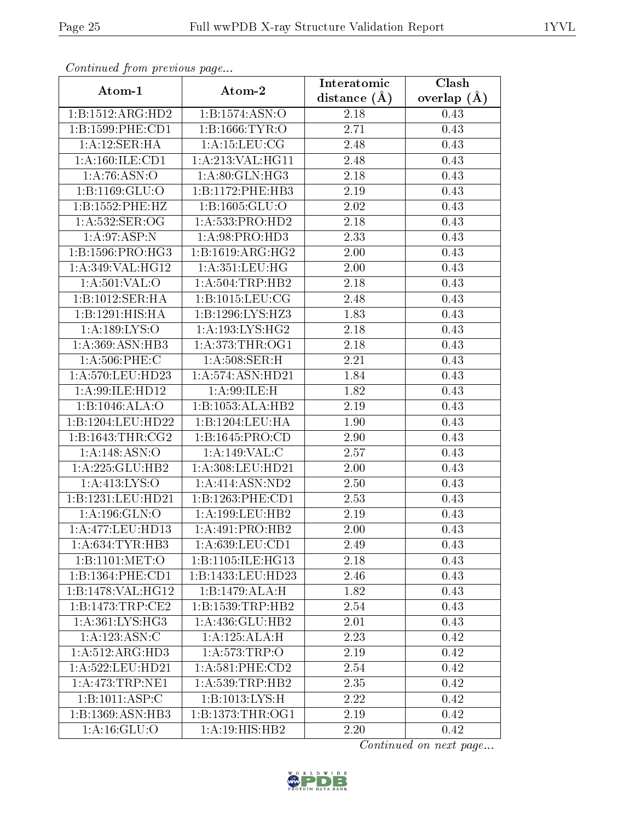| $\sum_{i=1}^{n}$     |                             | Interatomic    | Clash         |  |  |
|----------------------|-----------------------------|----------------|---------------|--|--|
| Atom-1               | Atom-2                      | distance $(A)$ | overlap $(A)$ |  |  |
| 1:B:1512:ARG:HD2     | 1:B:1574:ASN:O              | 2.18           | 0.43          |  |  |
| 1:B:1599:PHE:CD1     | 1:B:1666:TYR:O              | 2.71           | 0.43          |  |  |
| 1:A:12:SER:HA        | 1: A: 15: LEU: CG           | 2.48           | 0.43          |  |  |
| 1:A:160:ILE:CD1      | 1:A:213:VAL:HG11            | 2.48           | 0.43          |  |  |
| 1:A:76:ASN:O         | 1: A:80: GLN: HG3           | 2.18           | 0.43          |  |  |
| 1:B:1169:GLU:O       | 1:B:1172:PHE:HB3            | 2.19           | 0.43          |  |  |
| 1:B:1552:PHE:HZ      | 1: B: 1605: GLU:O           | 2.02           | 0.43          |  |  |
| 1: A: 532: SER: OG   | 1: A:533: PRO:HD2           | 2.18           | 0.43          |  |  |
| 1: A:97: ASP:N       | 1: A:98: PRO:HD3            | 2.33           | 0.43          |  |  |
| 1: B: 1596: PRO:HG3  | 1:B:1619:ARG:HG2            | 2.00           | 0.43          |  |  |
| 1:A:349:VAL:HG12     | 1: A:351:LEU:HG             | 2.00           | 0.43          |  |  |
| 1: A:501:VAL:O       | 1: A:504:TRP:HB2            | 2.18           | 0.43          |  |  |
| 1:B:1012:SER:HA      | 1:B:1015:LEU:CG             | 2.48           | 0.43          |  |  |
| 1:B:1291:HIS:HA      | 1:B:1296:LYS:HZ3            | 1.83           | 0.43          |  |  |
| 1: A: 189: LYS: O    | 1: A: 193: LYS: HG2         | 2.18           | 0.43          |  |  |
| 1:A:369:ASN:HB3      | 1: A:373:THR:OG1            | 2.18           | 0.43          |  |  |
| $1: A:506:$ PHE:C    | 1: A:508: SER:H             | 2.21           | 0.43          |  |  |
| 1:A:570:LEU:HD23     | 1:A:574:ASN:HD21            | 1.84           | 0.43          |  |  |
| 1: A:99: ILE: HD12   | 1:A:99:ILE:H                | 1.82           | 0.43          |  |  |
| 1:B:1046:ALA:O       | 1:B:1053:ALA:HB2            | 2.19           | 0.43          |  |  |
| 1:B:1204:LEU:HD22    | 1:B:1204:LEU:HA             | 1.90           | 0.43          |  |  |
| 1: B: 1643: THR: CG2 | 1:B:1645:PRO:CD             | 2.90           | 0.43          |  |  |
| 1: A: 148: ASN: O    | 1:A:149:VAL:CC              | 2.57           | 0.43          |  |  |
| 1:A:225:GLU:HB2      | 1:A:308:LEU:HD21            | 2.00           | 0.43          |  |  |
| 1: A: 413: LYS: O    | 1: A:414: ASN:ND2           | 2.50           | 0.43          |  |  |
| 1:B:1231:LEU:HD21    | 1:B:1263:PHE:CD1            | 2.53           | 0.43          |  |  |
| 1: A: 196: GLN:O     | 1: A: 199: LEU: HB2         | 2.19           | 0.43          |  |  |
| 1:A:477:LEU:HD13     | 1:A:491:PRO:HB2             | 2.00           | 0.43          |  |  |
| 1: A:634:TYR:HB3     | 1: A:639:LEU:CD1            | 2.49           | 0.43          |  |  |
| 1:B:1101:MET:O       | 1:B:1105:ILE:HG13           | 2.18           | 0.43          |  |  |
| 1:B:1364:PHE:CD1     | 1:B:1433:LEU:HD23           | 2.46           | 0.43          |  |  |
| 1:B:1478:VAL:HG12    | 1:B:1479:ALA:H              | 1.82           | 0.43          |  |  |
| 1:B:1473:TRP:CE2     | 1:B:1539:TRP:HB2            | 2.54           | 0.43          |  |  |
| 1: A:361: LYS: HG3   | 1:A:436:GLU:HB2             | 2.01           | 0.43          |  |  |
| 1:A:123:ASN:C        | 1:A:125:ALA:H               | 2.23           | 0.42          |  |  |
| 1:A:512:ARG:HD3      | 1:A:573:TRP:O               | 2.19           | 0.42          |  |  |
| 1:A:522:LEU:HD21     | 1: A:581:PHE:CD2            | 2.54           | 0.42          |  |  |
| 1: A:473:TRP:NE1     | 1: A:539:TRP:HB2            | 2.35           | 0.42          |  |  |
| 1:B:1011:ASP:C       | 1:B:1013:LYS:H              | 2.22           | 0.42          |  |  |
| 1:B:1369:ASN:HB3     | 1:B:1373:THR:OG1            | 2.19           | 0.42          |  |  |
| 1: A: 16: GLU: O     | $1:\overline{A:19:HIS:HB2}$ | 2.20           | 0.42          |  |  |

![](_page_24_Picture_6.jpeg)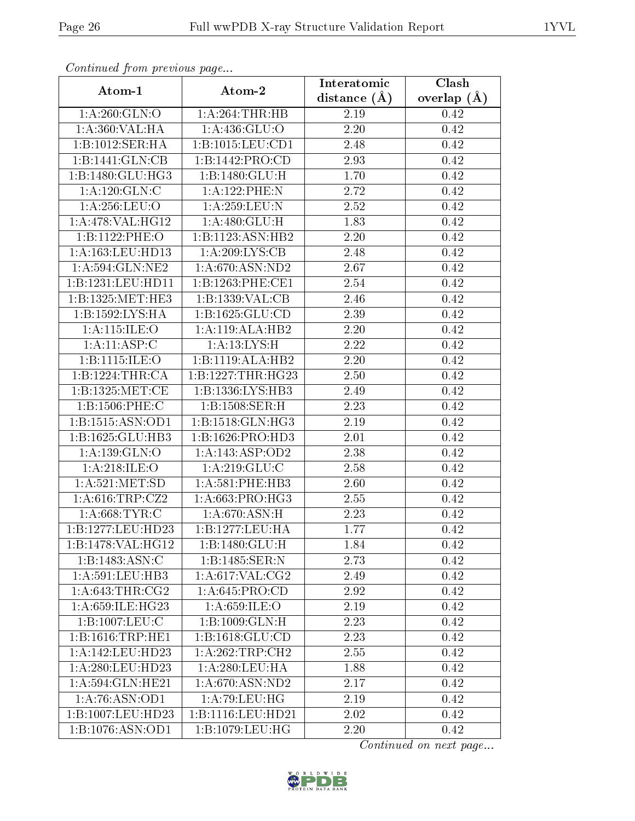| $P$ . The set of $P$ is the $P$ is the set of $P$ and $P$ is the set of $P$ |                     | Interatomic    | Clash           |
|-----------------------------------------------------------------------------|---------------------|----------------|-----------------|
| Atom-1                                                                      | Atom-2              | distance $(A)$ | overlap $(\AA)$ |
| 1: A:260: GLN:O                                                             | $1:A:264$ : THR: HB | 2.19           | 0.42            |
| 1: A:360: VAL:HA                                                            | 1: A:436: GLU:O     | 2.20           | 0.42            |
| 1:B:1012:SER:HA                                                             | 1:B:1015:LEU:CD1    | 2.48           | 0.42            |
| 1:B:1441:GLN:CB                                                             | 1:B:1442:PRO:CD     | 2.93           | 0.42            |
| 1:B:1480:GLU:HG3                                                            | 1:B:1480:GLU:H      | 1.70           | 0.42            |
| 1: A:120: GLN: C                                                            | 1:A:122:PHE:N       | 2.72           | 0.42            |
| 1: A:256:LEU:O                                                              | 1: A:259:LEU: N     | 2.52           | 0.42            |
| 1: A:478: VAL:HG12                                                          | 1: A:480: GLU: H    | 1.83           | 0.42            |
| 1:B:1122:PHE:O                                                              | 1:B:1123:ASN:HB2    | 2.20           | 0.42            |
| 1: A: 163: LEU: HD13                                                        | 1:A:209:LYS:CB      | 2.48           | 0.42            |
| 1: A:594: GLN: NE2                                                          | 1: A:670: ASN:ND2   | 2.67           | 0.42            |
| 1:B:1231:LEU:HD11                                                           | 1:B:1263:PHE:CE1    | 2.54           | 0.42            |
| 1:B:1325:MET:HE3                                                            | 1:B:1339:VAL:CB     | 2.46           | 0.42            |
| 1:B:1592:LYS:HA                                                             | 1:B:1625:GLU:CD     | 2.39           | 0.42            |
| 1: A:115: ILE: O                                                            | 1:A:119:ALA:HB2     | 2.20           | 0.42            |
| 1:A:11:ASP:C                                                                | 1: A: 13: LYS: H    | 2.22           | 0.42            |
| 1:B:1115:ILE:O                                                              | 1:B:1119:ALA:HB2    | 2.20           | 0.42            |
| 1:B:1224:THR:CA                                                             | 1:B:1227:THR:HG23   | 2.50           | 0.42            |
| 1: B: 1325: MET:CE                                                          | 1:B:1336:LYS:HB3    | 2.49           | 0.42            |
| 1:B:1506:PHE:C                                                              | 1:B:1508:SER:H      | 2.23           | 0.42            |
| 1:B:1515:ASN:OD1                                                            | 1:B:1518:GLN:HG3    | 2.19           | 0.42            |
| 1:B:1625:GLU:HB3                                                            | 1:B:1626:PRO:HD3    | 2.01           | 0.42            |
| 1: A: 139: GLN:O                                                            | 1:A:143:ASP:OD2     | 2.38           | 0.42            |
| 1: A:218: ILE: O                                                            | 1: A:219: GLU:C     | 2.58           | 0.42            |
| 1: A:521: MET:SD                                                            | 1: A:581:PHE:HB3    | 2.60           | 0.42            |
| 1:A:616:TRP:CZ2                                                             | 1: A:663:PRO:HG3    | 2.55           | 0.42            |
| 1: A:668:TYR:C                                                              | 1: A:670: ASN:H     | 2.23           | 0.42            |
| 1:B:1277:LEU:HD23                                                           | 1:B:1277:LEU:HA     | 1.77           | 0.42            |
| 1:B:1478:VAL:HG12                                                           | 1:B:1480:GLU:H      | 1.84           | 0.42            |
| 1:B:1483:ASN:C                                                              | 1:B:1485:SER:N      | 2.73           | 0.42            |
| 1: A:591:LEU:HB3                                                            | 1: A:617: VAL: CG2  | 2.49           | 0.42            |
| $1: A:643:THR: \overline{CG2}$                                              | 1: A:645: PRO:CD    | 2.92           | 0.42            |
| 1: A:659: ILE:HG23                                                          | 1: A:659: ILE:O     | 2.19           | 0.42            |
| 1:B:1007:LEU:C                                                              | 1:B:1009:GLN:H      | 2.23           | 0.42            |
| 1:B:1616:TRP:HE1                                                            | 1:B:1618:GLU:CD     | 2.23           | 0.42            |
| 1:A:142:LEU:HD23                                                            | 1: A:262:TRP:CH2    | 2.55           | 0.42            |
| 1:A:280:LEU:HD23                                                            | 1:A:280:LEU:HA      | 1.88           | 0.42            |
| 1:A:594:GLN:HE21                                                            | 1: A:670:ASN:ND2    | 2.17           | 0.42            |
| 1:A:76:ASN:OD1                                                              | 1: A:79:LEU:HG      | 2.19           | 0.42            |
| 1:B:1007:LEU:HD23                                                           | 1:B:1116:LEU:HD21   | 2.02           | 0.42            |
| 1:B:1076:ASN:OD1                                                            | 1: B: 1079: LEU: HG | 2.20           | 0.42            |

![](_page_25_Picture_6.jpeg)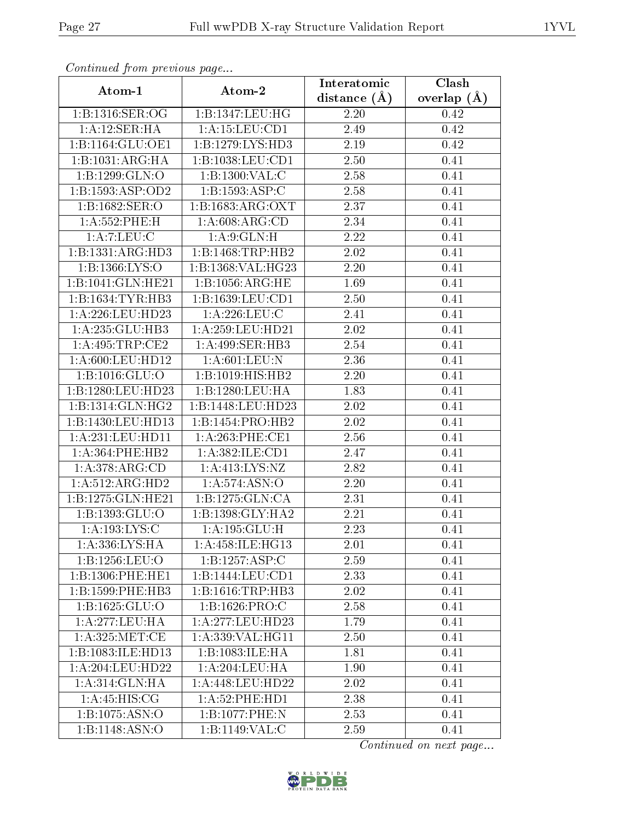| $\frac{1}{r}$ . $\frac{1}{r}$ . $\frac{1}{r}$ . $\frac{1}{r}$ . $\frac{1}{r}$ . $\frac{1}{r}$ . $\frac{1}{r}$ |                                | Interatomic       | Clash         |
|---------------------------------------------------------------------------------------------------------------|--------------------------------|-------------------|---------------|
| Atom-1                                                                                                        | Atom-2                         | distance $(\AA)$  | overlap $(A)$ |
| 1: B: 1316: SER: OG                                                                                           | 1:B:1347:LEU:HG                | $2.20\,$          | 0.42          |
| 1:A:12:SER:HA                                                                                                 | 1: A: 15: LEU: CD1             | 2.49              | 0.42          |
| 1:B:1164:GLU:OE1                                                                                              | 1:B:1279:LYS:HD3               | 2.19              | 0.42          |
| 1:B:1031:ARG:HA                                                                                               | 1:B:1038:LEU:CD1               | 2.50              | 0.41          |
| 1:B:1299:GLN:O                                                                                                | 1:B:1300:VAL:C                 | 2.58              | 0.41          |
| 1:B:1593:ASP:OD2                                                                                              | 1:B:1593:ASP:C                 | 2.58              | 0.41          |
| 1:B:1682:SER:O                                                                                                | 1:B:1683:ARG:OXT               | 2.37              | 0.41          |
| 1: A: 552: PHE:H                                                                                              | 1: A:608: ARG:CD               | 2.34              | 0.41          |
| 1: A: 7: LEU: C                                                                                               | 1: A:9: GLN:H                  | 2.22              | 0.41          |
| 1:B:1331:ARG:HD3                                                                                              | 1:B:1468:TRP:HB2               | 2.02              | 0.41          |
| 1: B: 1366: LYS: O                                                                                            | 1:B:1368:VAL:HG23              | 2.20              | 0.41          |
| 1:B:1041:GLN:HE21                                                                                             | 1:B:1056:ARG:HE                | 1.69              | 0.41          |
| 1:B:1634:TYR:HB3                                                                                              | 1:B:1639:LEU:CD1               | 2.50              | 0.41          |
| 1:A:226:LEU:HD23                                                                                              | 1: A:226:LEU:C                 | $\overline{2.41}$ | 0.41          |
| 1:A:235:GLU:HB3                                                                                               | 1:A:259:LEU:HD21               | 2.02              | 0.41          |
| 1:A:495:TRP:CE2                                                                                               | 1:A:499:SER:HB3                | 2.54              | 0.41          |
| 1: A:600:LEU:HD12                                                                                             | 1: A:601:LEU: N                | 2.36              | 0.41          |
| 1:B:1016:GLU:O                                                                                                | 1:B:1019:HIS:HB2               | 2.20              | 0.41          |
| 1:B:1280:LEU:HD23                                                                                             | 1:B:1280:LEU:HA                | 1.83              | 0.41          |
| 1:B:1314:GLN:HG2                                                                                              | 1:B:1448:LEU:HD23              | 2.02              | 0.41          |
| 1:B:1430:LEU:HD13                                                                                             | $1:B:1454: \overline{PRO:HB2}$ | 2.02              | 0.41          |
| 1:A:231:LEU:HD11                                                                                              | 1: A:263:PHE:CE1               | 2.56              | 0.41          |
| $1: A:364:$ PHE:HB2                                                                                           | 1:A:382:ILE:CD1                | 2.47              | 0.41          |
| 1:A:378:ARG:CD                                                                                                | 1:A:413:LYS:NZ                 | 2.82              | 0.41          |
| 1:A:512:ARG:HD2                                                                                               | 1: A:574: ASN:O                | 2.20              | 0.41          |
| 1:B:1275:GLN:HE21                                                                                             | 1:B:1275:GLN:CA                | 2.31              | 0.41          |
| 1:B:1393:GLU:O                                                                                                | 1:B:1398:GLY:HA2               | 2.21              | 0.41          |
| 1: A: 193: LYS:C                                                                                              | 1: A: 195: GLU: H              | 2.23              | 0.41          |
| 1: A: 336: LYS: HA                                                                                            | 1: A: 458: ILE: HG13           | 2.01              | 0.41          |
| 1:B:1256:LEU:O                                                                                                | 1:B:1257:ASP:C                 | 2.59              | 0.41          |
| 1:B:1306:PHE:HE1                                                                                              | 1:B:1444:LEU:CD1               | 2.33              | 0.41          |
| 1:B:1599:PHE:HB3                                                                                              | 1:B:1616:TRP:HB3               | 2.02              | 0.41          |
| 1:B:1625:GLU:O                                                                                                | 1:B:1626:PRO:C                 | 2.58              | 0.41          |
| 1: A:277:LEU:HA                                                                                               | 1:A:277:LEU:HD23               | 1.79              | 0.41          |
| 1: A:325: MET:CE                                                                                              | 1:A:339:VAL:HG11               | 2.50              | 0.41          |
| 1:B:1083:ILE:HD13                                                                                             | 1:B:1083:ILE:HA                | 1.81              | 0.41          |
| 1:A:204:LEU:HD22                                                                                              | 1: A:204:LEU:HA                | 1.90              | 0.41          |
| 1: A:314: GLN: HA                                                                                             | 1:A:448:LEU:HD22               | 2.02              | 0.41          |
| 1:A:45:HIS:CG                                                                                                 | 1: A:52: PHE: HD1              | 2.38              | 0.41          |
| 1:B:1075:ASN:O                                                                                                | 1:B:1077:PHE:N                 | 2.53              | 0.41          |
| 1: B: 1148: ASN: O                                                                                            | 1:B:1149:VAL:C                 | 2.59              | 0.41          |

![](_page_26_Picture_6.jpeg)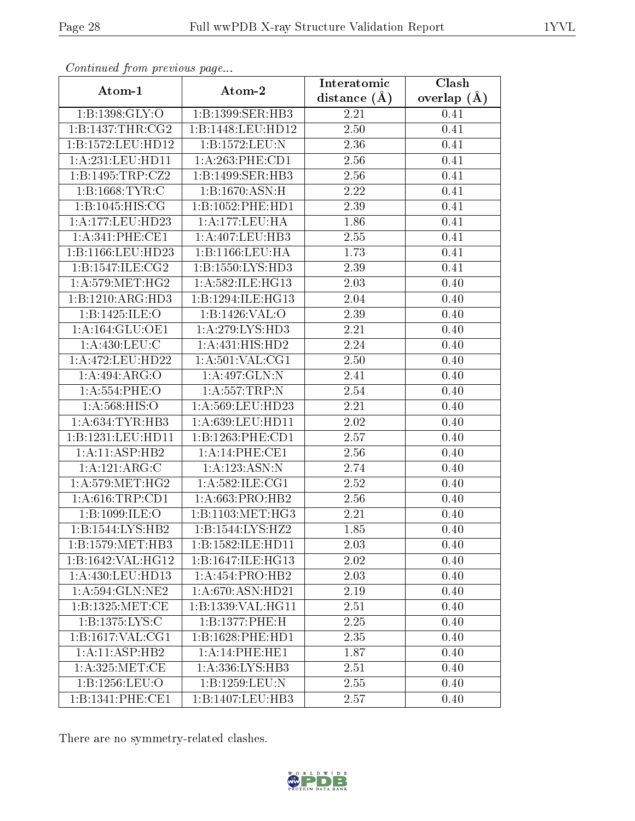| . <i>. . .</i><br>Atom-1           | $\cdots$ $\cdots$<br>Atom-2 | Interatomic      | $\overline{\text{Clash}}$ |
|------------------------------------|-----------------------------|------------------|---------------------------|
|                                    |                             | distance $(\AA)$ | overlap $(\AA)$           |
| $1:B:1398:\overline{\text{GLY:O}}$ | 1:B:1399:SER:HB3            | 2.21             | 0.41                      |
| 1: B: 1437: THR: CG2               | 1:B:1448:LEU:HD12           | 2.50             | 0.41                      |
| 1:B:1572:LEU:HD12                  | 1:B:1572:LEU:N              | 2.36             | 0.41                      |
| 1:A:231:LEU:HD11                   | 1:A:263:PHE:CD1             | 2.56             | 0.41                      |
| 1:B:1495:TRP:CZ2                   | 1:B:1499:SER:HB3            | 2.56             | 0.41                      |
| 1:B:1668:TYR:C                     | 1:B:1670:A SN:H             | 2.22             | 0.41                      |
| 1: B: 1045: HIS: CG                | 1:B:1052:PHE:HD1            | 2.39             | 0.41                      |
| 1:A:177:LEU:HD23                   | 1: A: 177: LEU: HA          | 1.86             | 0.41                      |
| 1: A:341:PHE:CE1                   | 1:A:407:LEU:HB3             | 2.55             | 0.41                      |
| 1:B:1166:LEU:HD23                  | 1:B:1166:LEU:HA             | 1.73             | 0.41                      |
| 1: B: 1547: ILE: CG2               | 1:B:1550:LYS:HD3            | 2.39             | 0.41                      |
| 1: A:579:MET:HG2                   | 1:A:582:ILE:HG13            | 2.03             | 0.40                      |
| 1:B:1210:ARG:HD3                   | 1:B:1294:ILE:HG13           | 2.04             | 0.40                      |
| 1:B:1425:ILE:O                     | 1:B:1426:VAL:O              | 2.39             | 0.40                      |
| 1: A: 164: GLU: OE1                | 1: A:279: LYS: HD3          | 2.21             | 0.40                      |
| 1: A: 430: LEU: C                  | 1:A:431:HIS:HD2             | 2.24             | 0.40                      |
| 1:A:472:LEU:HD22                   | 1: A:501:VAL:CG1            | 2.50             | 0.40                      |
| 1:A:494:ARG:O                      | 1:A:497:GLN:N               | 2.41             | 0.40                      |
| 1: A: 554: PHE: O                  | 1:A:557:TRP:N               | 2.54             | 0.40                      |
| 1: A: 568: HIS: O                  | 1:A:569:LEU:HD23            | 2.21             | 0.40                      |
| 1: A:634:TYR:HB3                   | 1: A:639:LEU:HD11           | 2.02             | 0.40                      |
| 1:B:1231:LEU:HD11                  | 1:B:1263:PHE:CD1            | 2.57             | 0.40                      |
| 1:A:11:ASP:HB2                     | 1: A:14:PHE:CE1             | 2.56             | 0.40                      |
| 1:A:121:ARG:C                      | 1:A:123:ASN:N               | 2.74             | 0.40                      |
| 1: A:579: MET:HG2                  | 1: A:582: ILE: CG1          | 2.52             | 0.40                      |
| 1: A:616:TRP:CD1                   | 1: A:663:PRO:HB2            | 2.56             | 0.40                      |
| 1:B:1099:ILE:O                     | 1:B:1103:MET:HG3            | 2.21             | 0.40                      |
| 1:B:1544:LYS:HB2                   | 1:B:1544:LYS:HZ2            | 1.85             | 0.40                      |
| 1: B: 1579: MET: HB3               | 1:B:1582:ILE:HD11           | 2.03             | 0.40                      |
| 1:B:1642:VAL:HG12                  | 1:B:1647:ILE:HG13           | 2.02             | 0.40                      |
| 1:A:430:LEU:HD13                   | 1: A: 454: PRO: HB2         | 2.03             | 0.40                      |
| 1: A:594: GLN: NE2                 | 1: A:670: ASN:HD21          | 2.19             | 0.40                      |
| 1:B:1325:MET:CE                    | 1:B:1339:VAL:HG11           | 2.51             | 0.40                      |
| 1:B:1375:LYS:C                     | 1:B:1377:PHE:H              | 2.25             | 0.40                      |
| 1:B:1617:VAL:CG1                   | 1:B:1628:PHE:HD1            | 2.35             | 0.40                      |
| 1:A:11:ASP:HB2                     | 1:A:14:PHE:HE1              | 1.87             | 0.40                      |
| 1: A:325:MET:CE                    | 1:A:336:LYS:HB3             | 2.51             | 0.40                      |
| 1:B:1256:LEU:O                     | 1:B:1259:LEU:N              | 2.55             | 0.40                      |
| 1:B:1341:PHE:CE1                   | 1:B:1407:LEU:HB3            | 2.57             | 0.40                      |

There are no symmetry-related clashes.

![](_page_27_Picture_6.jpeg)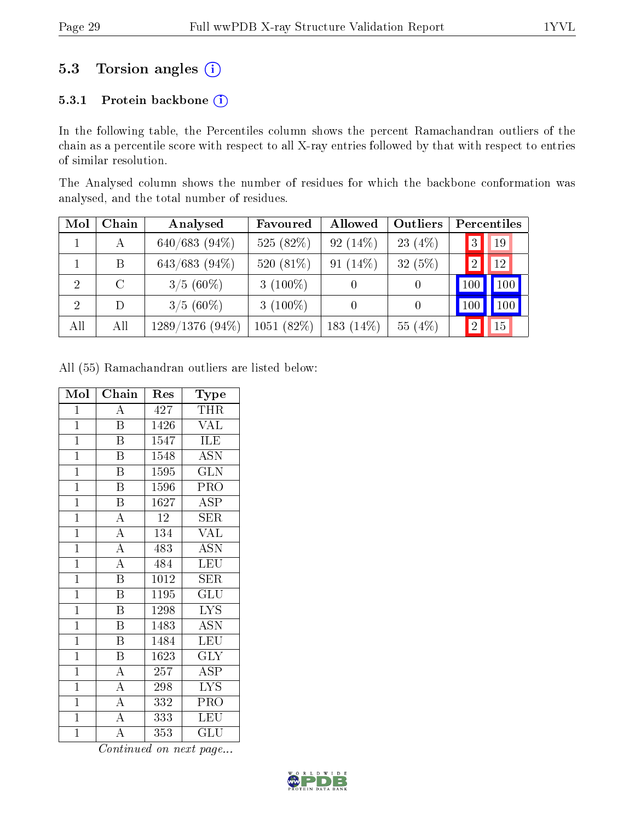### 5.3 Torsion angles (i)

#### 5.3.1 Protein backbone (i)

In the following table, the Percentiles column shows the percent Ramachandran outliers of the chain as a percentile score with respect to all X-ray entries followed by that with respect to entries of similar resolution.

The Analysed column shows the number of residues for which the backbone conformation was analysed, and the total number of residues.

| Mol            | Chain | Analysed          | Favoured    | Allowed     | Outliers   |                | Percentiles |  |
|----------------|-------|-------------------|-------------|-------------|------------|----------------|-------------|--|
|                | А     | $640/683$ (94\%)  | 525 (82%)   | 92 $(14\%)$ | 23 $(4\%)$ | 3              | 19          |  |
|                | Β     | 643/683 (94%)     | 520 (81%)   | 91 $(14\%)$ | $32(5\%)$  | $\overline{2}$ | 12          |  |
| $\overline{2}$ | C     | $3/5(60\%)$       | 3 $(100\%)$ |             |            | 100            | 100         |  |
| 2              | D     | $3/5(60\%)$       | 3 $(100\%)$ |             |            | 100            | 100         |  |
| All            | All   | $1289/1376(94\%)$ | 1051 (82%)  | 183 (14%)   | 55 (4%)    | $\overline{2}$ | 15          |  |

All (55) Ramachandran outliers are listed below:

| Mol            | Chain                   | Res  | Type                      |
|----------------|-------------------------|------|---------------------------|
| $\mathbf{1}$   | $\boldsymbol{A}$        | 427  | THR                       |
| $\mathbf{1}$   | $\overline{\mathrm{B}}$ | 1426 | <b>VAL</b>                |
| $\overline{1}$ | $\overline{\mathrm{B}}$ | 1547 | <b>ILE</b>                |
| $\overline{1}$ | B                       | 1548 | <b>ASN</b>                |
| $\mathbf{1}$   | $\boldsymbol{B}$        | 1595 | <b>GLN</b>                |
| $\mathbf{1}$   | $\overline{\mathrm{B}}$ | 1596 | PRO                       |
| $\overline{1}$ | $\overline{\mathrm{B}}$ | 1627 | <b>ASP</b>                |
| $\mathbf{1}$   | $\overline{\rm A}$      | 12   | <b>SER</b>                |
| $\mathbf{1}$   | $\overline{\rm A}$      | 134  | <b>VAL</b>                |
| $\overline{1}$ | $\overline{A}$          | 483  | <b>ASN</b>                |
| $\overline{1}$ | $\overline{A}$          | 484  | LEU                       |
| $\mathbf{1}$   | B                       | 1012 | <b>SER</b>                |
| $\mathbf{1}$   | $\overline{\mathrm{B}}$ | 1195 | $\overline{\mathrm{GLU}}$ |
| $\mathbf{1}$   | $\, {\bf B}$            | 1298 | <b>LYS</b>                |
| $\overline{1}$ | $\overline{\mathrm{B}}$ | 1483 | $\overline{\mathrm{ASN}}$ |
| $\mathbf{1}$   | $\overline{B}$          | 1484 | <b>LEU</b>                |
| $\mathbf{1}$   | $\boldsymbol{B}$        | 1623 | <b>GLY</b>                |
| $\overline{1}$ | $\overline{A}$          | 257  | <b>ASP</b>                |
| $\overline{1}$ | $\overline{A}$          | 298  | $\overline{\text{LYS}}$   |
| $\overline{1}$ | $\overline{A}$          | 332  | PRO                       |
| $\mathbf{1}$   | $\overline{A}$          | 333  | <b>LEU</b>                |
| $\mathbf 1$    | $\overline{\rm A}$      | 353  | $\operatorname{GLU}$      |

![](_page_28_Picture_11.jpeg)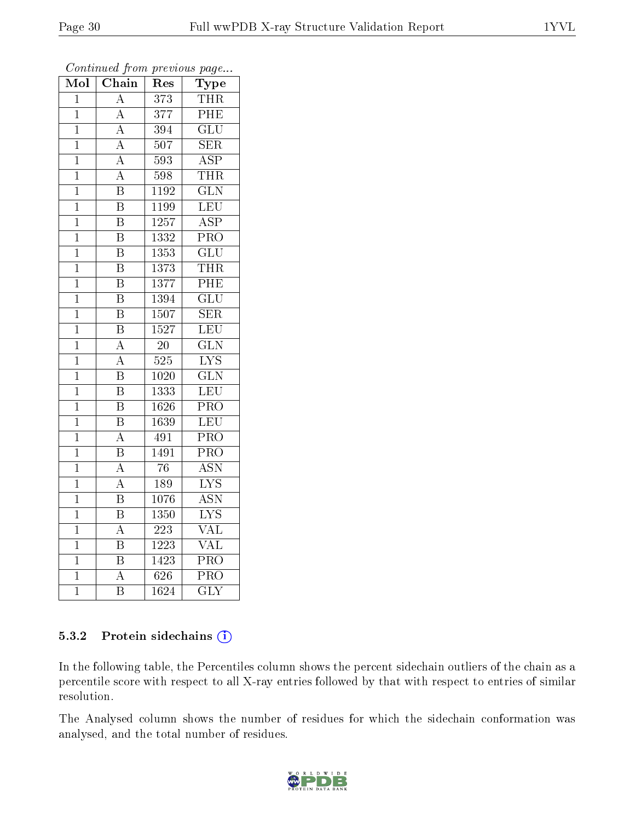| $\overline{\text{Mol}}$ | Chain                   | $\operatorname{Res}% \left( \mathcal{N}\right) \equiv\operatorname{Res}(\mathcal{N}_{0})\cap\mathcal{N}_{1}$ | Type                      |
|-------------------------|-------------------------|--------------------------------------------------------------------------------------------------------------|---------------------------|
| 1                       | $\overline{A}$          | 373                                                                                                          | THR                       |
| $\mathbf 1$             | $\boldsymbol{A}$        | $\overline{377}$                                                                                             | $\overline{\rm PHE}$      |
| $\overline{1}$          | $\overline{\rm A}$      | 394                                                                                                          | $\overline{\mathrm{GLU}}$ |
| $\overline{1}$          | $\overline{\rm A}$      | 507                                                                                                          | $\overline{\text{SER}}$   |
| $\overline{1}$          | $\overline{A}$          | 593                                                                                                          | $\overline{\text{ASP}}$   |
| $\mathbf{1}$            | $\overline{\rm A}$      | 598                                                                                                          | <b>THR</b>                |
| $\overline{1}$          | $\overline{\mathrm{B}}$ | 1192                                                                                                         | $\overline{\text{GLN}}$   |
| $\mathbf{1}$            | $\overline{\text{B}}$   | 1199                                                                                                         | LEU                       |
| $\mathbf 1$             | $\overline{\mathrm{B}}$ | 1257                                                                                                         | $\overline{\text{ASP}}$   |
| $\mathbf 1$             | $\overline{\mathrm{B}}$ | $\overline{1332}$                                                                                            | $\overline{\text{PRO}}$   |
| $\mathbf 1$             | $\overline{\mathrm{B}}$ | 1353                                                                                                         | $\overline{\text{GLU}}$   |
| $\mathbf 1$             | $\overline{\mathrm{B}}$ | 1373                                                                                                         | <b>THR</b>                |
| $\mathbf 1$             | $\overline{B}$          | 1377                                                                                                         | $\overline{\rm PHE}$      |
| $\mathbf 1$             | $\overline{\mathrm{B}}$ | 1394                                                                                                         | $\overline{\text{GLU}}$   |
| $\mathbf 1$             | $\overline{\mathrm{B}}$ | 1507                                                                                                         | SER                       |
| $\mathbf 1$             | $\overline{B}$          | $\overline{15}27$                                                                                            | LEU                       |
| $\mathbf{1}$            | $\overline{\rm A}$      | $\overline{2}0$                                                                                              | $\overline{\text{GLN}}$   |
| $\mathbf 1$             | $\boldsymbol{A}$        | 525                                                                                                          | $\overline{\text{LYS}}$   |
| $\mathbf 1$             | $\overline{\mathrm{B}}$ | 1020                                                                                                         | $\overline{\text{GLN}}$   |
| $\mathbf{1}$            | $\overline{\mathrm{B}}$ | 1333                                                                                                         | LEU                       |
| $\mathbf{1}$            | $\overline{\mathrm{B}}$ | 1626                                                                                                         | $\overline{\text{PRO}}$   |
| $\mathbf 1$             | $\overline{\mathrm{B}}$ | $\overline{1639}$                                                                                            | LEU                       |
| $\mathbf{1}$            | A                       | 491                                                                                                          | $\overline{\text{PRO}}$   |
| $\mathbf{1}$            | $\overline{\mathrm{B}}$ | 1491                                                                                                         | $\overline{\text{PRO}}$   |
| $\mathbf 1$             | $\overline{\rm A}$      | 76                                                                                                           | <b>ASN</b>                |
| $\mathbf{1}$            | $\overline{\rm A}$      | 189                                                                                                          | $\overline{\text{LYS}}$   |
| $\mathbf 1$             | $\overline{\mathrm{B}}$ | 1076                                                                                                         | <b>ASN</b>                |
| $\mathbf 1$             | $\overline{\mathrm{B}}$ | 1350                                                                                                         | $\overline{\text{LYS}}$   |
| $\mathbf 1$             | $\overline{\rm A}$      | $\overline{223}$                                                                                             | $\overline{\text{VAL}}$   |
| $\mathbf 1$             | $\overline{\mathrm{B}}$ | 1223                                                                                                         | VAL                       |
| $\mathbf 1$             | $\overline{\mathrm{B}}$ | 1423                                                                                                         | PRO                       |
| $\mathbf 1$             | $\overline{\rm A}$      | 626                                                                                                          | PRO                       |
| $\mathbf 1$             | $\overline{B}$          | 1624                                                                                                         | $\overline{\text{GLY}}$   |

Continued from previous page...

#### 5.3.2 Protein sidechains (i)

In the following table, the Percentiles column shows the percent sidechain outliers of the chain as a percentile score with respect to all X-ray entries followed by that with respect to entries of similar resolution.

The Analysed column shows the number of residues for which the sidechain conformation was analysed, and the total number of residues.

![](_page_29_Picture_8.jpeg)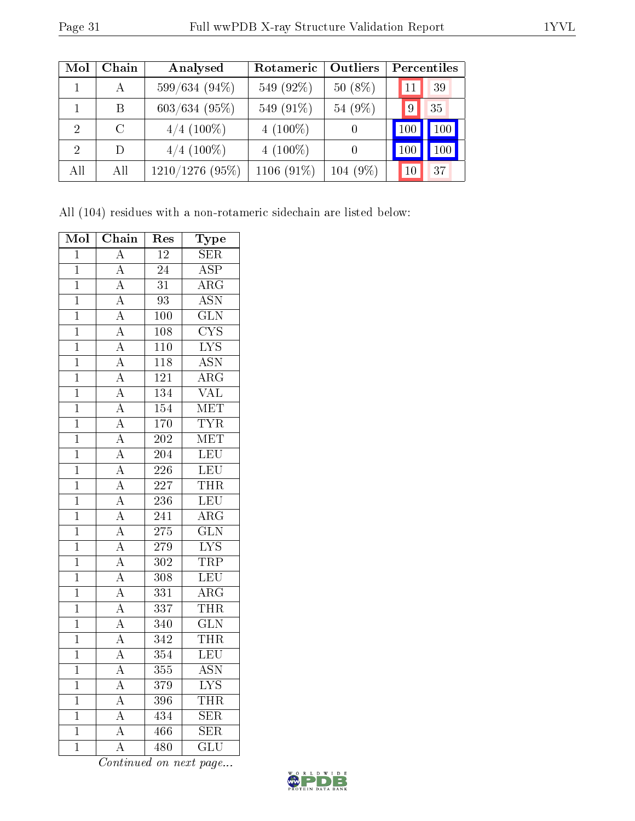| Mol            | Chain         | Analysed          | Rotameric     | Outliers         | Percentiles            |
|----------------|---------------|-------------------|---------------|------------------|------------------------|
|                | А             | 599/634 (94%)     | 549 (92%)     | $50(8\%)$        | 39<br>11               |
|                | B             | $603/634$ (95%)   | 549 (91%)     | 54 (9%)          | 35<br>9                |
| $\overline{2}$ | $\mathcal{C}$ | $4/4$ (100%)      | $4(100\%)$    | $\left( \right)$ | 100<br>100             |
| $\mathcal{D}$  | D             | $4/4$ (100\%)     | $4(100\%)$    | $\theta$         | 100<br>10 <sup>C</sup> |
| All            | All           | $1210/1276$ (95%) | 1106 $(91\%)$ | $104(9\%)$       | 37                     |

All (104) residues with a non-rotameric sidechain are listed below:

| Mol            | $\overline{\text{Chain}}$           | Res              | Type                    |
|----------------|-------------------------------------|------------------|-------------------------|
| $\mathbf 1$    | $\overline{A}$                      | $\overline{12}$  | $\overline{\text{SER}}$ |
| $\mathbf{1}$   | $\overline{\rm A}$                  | $\overline{2}4$  | $\overline{\text{ASP}}$ |
| $\overline{1}$ | $\overline{A}$                      | $\overline{31}$  | $\overline{\rm{ARG}}$   |
| $\mathbf 1$    | $\overline{\rm A}$                  | 93               | <b>ASN</b>              |
| $\mathbf 1$    | $\overline{A}$                      | $\overline{100}$ | $\overline{\text{GLN}}$ |
| $\overline{1}$ | $\overline{A}$                      | $\overline{108}$ | $\overline{\text{CYS}}$ |
| $\overline{1}$ | $\frac{\overline{A}}{\overline{A}}$ | $\overline{110}$ | <b>LYS</b>              |
| $\overline{1}$ |                                     | $\overline{118}$ | $\overline{\text{ASN}}$ |
| $\mathbf{1}$   | $\overline{A}$                      | 121              | $\overline{\rm{ARG}}$   |
| $\mathbf 1$    | $\overline{A}$                      | $\overline{134}$ | $\overline{\text{VAL}}$ |
| $\overline{1}$ | $\overline{A}$                      | $\overline{154}$ | <b>MET</b>              |
| $\overline{1}$ |                                     | $\overline{170}$ | <b>TYR</b>              |
| $\overline{1}$ | $\frac{\overline{A}}{\overline{A}}$ | $\overline{202}$ | <b>MET</b>              |
| $\mathbf{1}$   | $\overline{A}$                      | $\overline{204}$ | LEU                     |
| $\overline{1}$ | $\overline{A}$                      | $\overline{226}$ | LEU                     |
| $\overline{1}$ | $\overline{A}$                      | $\overline{227}$ | <b>THR</b>              |
| $\mathbf 1$    | $\frac{\overline{A}}{A}$            | $\overline{236}$ | $\overline{\text{LEU}}$ |
| $\overline{1}$ |                                     | 241              | $\overline{\rm{ARG}}$   |
| $\mathbf{1}$   | $\overline{A}$                      | 275              | $\overline{\text{GLN}}$ |
| $\overline{1}$ | $\overline{\rm A}$                  | $\overline{279}$ | $\overline{\text{LYS}}$ |
| $\mathbf{1}$   | $\overline{A}$                      | $\overline{302}$ | TRP                     |
| $\overline{1}$ | $\overline{A}$                      | $\overline{308}$ | $\overline{\text{LEU}}$ |
| $\overline{1}$ | $\overline{A}$                      | $\overline{331}$ | $\overline{\text{ARG}}$ |
| $\overline{1}$ | $\overline{A}$                      | $\overline{337}$ | <b>THR</b>              |
| $\overline{1}$ | $\overline{A}$                      | 340              | $\overline{\text{GLN}}$ |
| $\mathbf 1$    | $\overline{A}$                      | $\overline{342}$ | THR                     |
| $\overline{1}$ | $\overline{A}$                      | $\overline{354}$ | LEU                     |
| $\mathbf 1$    | $\overline{A}$                      | 355              | <b>ASN</b>              |
| $\mathbf 1$    | $\overline{A}$                      | 379              | $\overline{\text{LYS}}$ |
| $\mathbf{1}$   | $\overline{\rm A}$                  | 396              | THR                     |
| $\overline{1}$ | $\overline{\rm A}$                  | 434              | $\overline{\text{SER}}$ |
| $\mathbf 1$    | $\overline{A}$                      | 466              | $\overline{\text{SER}}$ |
| $\overline{1}$ | $\overline{\rm A}$                  | 480              | $\overline{\text{GLU}}$ |

![](_page_30_Picture_7.jpeg)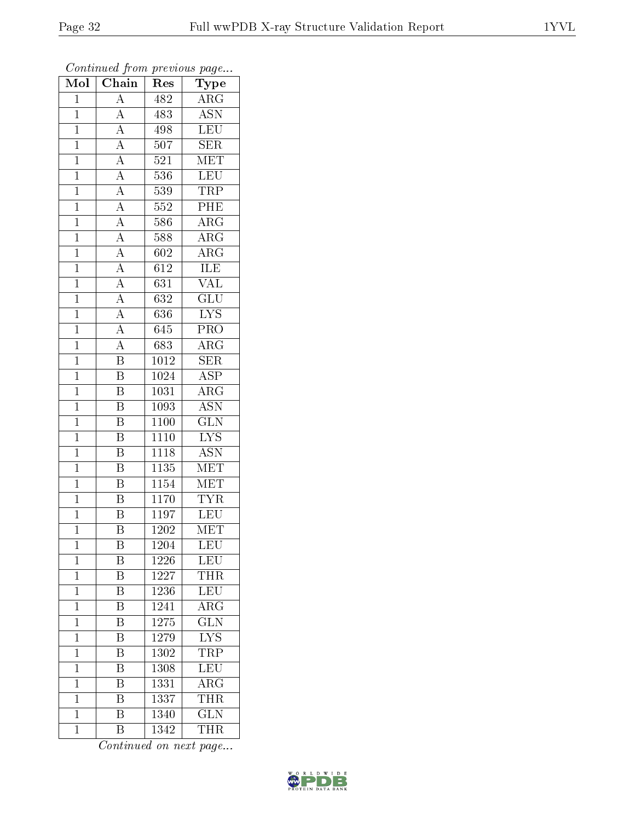| Mol            | Chain                               | Res               | Type                      |
|----------------|-------------------------------------|-------------------|---------------------------|
| $\mathbf{1}$   | $\overline{\rm A}$                  | 482               | $\rm{ARG}$                |
| $\mathbf{1}$   | $\overline{A}$                      | 483               | $\overline{ASN}$          |
| $\mathbf{1}$   | $\overline{A}$                      | 498               | <b>LEU</b>                |
| $\overline{1}$ | $\overline{A}$                      | 507               | $\overline{\text{SER}}$   |
| $\mathbf{1}$   | $\frac{\overline{A}}{\overline{A}}$ | $52\overline{1}$  | $\overline{\text{MET}}$   |
| $\mathbf{1}$   |                                     | 536               | <b>LEU</b>                |
| $\mathbf{1}$   | $\frac{\overline{A}}{A}$            | 539               | <b>TRP</b>                |
| $\mathbf{1}$   |                                     | 552               | PHE                       |
| $\mathbf{1}$   | $\frac{\overline{A}}{A}$            | 586               | $\rm{ARG}$                |
| $\mathbf{1}$   |                                     | 588               | $\overline{\rm{ARG}}$     |
| $\mathbf{1}$   | $\frac{\overline{A}}{A}$            | 602               | $\rm{ARG}$                |
| $\mathbf{1}$   |                                     | 612               | <b>ILE</b>                |
| $\mathbf{1}$   | $\overline{A}$                      | 631               | <b>VAL</b>                |
| $\overline{1}$ | $\overline{A}$                      | $63\overline{2}$  | $\overline{\text{GLU}}$   |
| $\mathbf{1}$   | $\frac{\overline{A}}{A}$            | $\overline{636}$  | $\overline{\text{LYS}}$   |
| $\mathbf{1}$   |                                     | 645               | $\overline{PRO}$          |
| $\mathbf{1}$   | $\overline{A}$                      | 683               | $\overline{\rm{ARG}}$     |
| $\mathbf{1}$   | $\overline{\mathrm{B}}$             | 1012              | <b>SER</b>                |
| $\overline{1}$ | $\overline{\mathrm{B}}$             | 1024              | $\overline{\text{ASP}}$   |
| $\mathbf{1}$   | $\overline{\mathrm{B}}$             | 1031              | $\overline{\text{ARG}}$   |
| $\mathbf{1}$   | $\overline{\mathrm{B}}$             | 1093              | <b>ASN</b>                |
| $\mathbf{1}$   | $\overline{\mathrm{B}}$             | 1100              | $\overline{\text{GLN}}$   |
| $\mathbf{1}$   | $\overline{\mathbf{B}}$             | 1110              | $\overline{\text{LYS}}$   |
| $\mathbf{1}$   | $\overline{\mathrm{B}}$             | 1118              | $\overline{\mathrm{ASN}}$ |
| $\mathbf{1}$   | $\overline{\mathrm{B}}$             | 1135              | $\overline{\text{MET}}$   |
| $\mathbf{1}$   | $\overline{\text{B}}$               | 1154              | MET                       |
| $\mathbf{1}$   | $\overline{\mathrm{B}}$             | 1170              | <b>TYR</b>                |
| $\mathbf{1}$   | $\overline{\mathrm{B}}$             | 1197              | <b>LEU</b>                |
| $\overline{1}$ | $\overline{\mathrm{B}}$             | $\overline{1202}$ | $\overline{\text{MET}}$   |
| 1              | Β                                   | 1204              | LEU                       |
| 1              | $\boldsymbol{B}$                    | 1226              | LEU                       |
| $\mathbf 1$    | $\overline{\mathrm{B}}$             | 1227              | THR                       |
| $\mathbf 1$    | B                                   | 1236              | LEU                       |
| $\mathbf 1$    | $\overline{\mathrm{B}}$             | 1241              | $\overline{\rm{ARG}}$     |
| $\mathbf 1$    | Β                                   | 1275              | $\widetilde{{\rm GLN}}$   |
| $\mathbf 1$    | $\overline{\mathrm{B}}$             | 1279              | $\overline{\text{LYS}}$   |
| 1              | B                                   | 1302              | TRP                       |
| $\mathbf 1$    | B                                   | 1308              | $\overline{\text{LEU}}$   |
| $\mathbf{1}$   | Β                                   | 1331              | $\widehat{\rm{ARG}}$      |
| $\mathbf{1}$   | B                                   | 1337              | <b>THR</b>                |
| $\mathbf{1}$   | $\overline{\mathrm{B}}$             | 1340              | $\overline{\text{GLN}}$   |
| $\mathbf 1$    | B                                   | 1342              | THR                       |

![](_page_31_Picture_6.jpeg)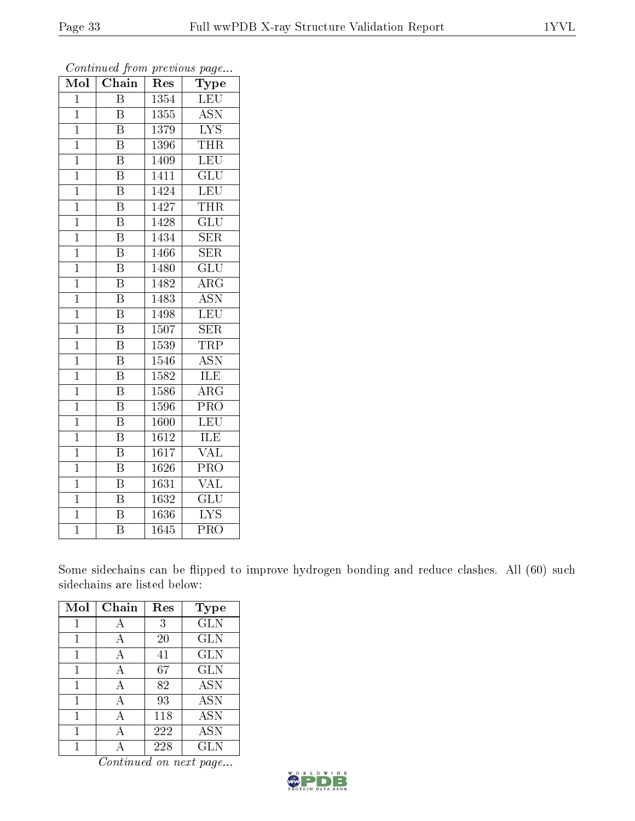| Mol            | Chain                   | Res               | Type                      |
|----------------|-------------------------|-------------------|---------------------------|
| $\mathbf{1}$   | $\overline{\mathrm{B}}$ | 1354              | <b>LEU</b>                |
| $\overline{1}$ | B                       | 1355              | <b>ASN</b>                |
| $\overline{1}$ | $\overline{\mathrm{B}}$ | 1379              | $\overline{\text{LYS}}$   |
| $\overline{1}$ | B                       | 1396              | <b>THR</b>                |
| $\overline{1}$ | $\overline{\mathrm{B}}$ | 1409              | $\overline{\text{LEU}}$   |
| $\mathbf{1}$   | $\overline{\rm B}$      | 1411              | $\overline{\mathrm{GLU}}$ |
| $\overline{1}$ | $\overline{\mathrm{B}}$ | 1424              | LEU                       |
| $\mathbf{1}$   | B                       | 1427              | <b>THR</b>                |
| $\overline{1}$ | $\overline{\mathrm{B}}$ | 1428              | $\overline{\mathrm{GLU}}$ |
| $\mathbf{1}$   | $\overline{\mathrm{B}}$ | 1434              | SER                       |
| $\mathbf{1}$   | $\overline{\rm B}$      | 1466              | <b>SER</b>                |
| $\mathbf{1}$   | $\overline{\mathrm{B}}$ | 1480              | $\overline{\mathrm{GLU}}$ |
| $\overline{1}$ | $\overline{\mathrm{B}}$ | 1482              | $\rm{ARG}$                |
| $\mathbf{1}$   | $\overline{\mathrm{B}}$ | 1483              | <b>ASN</b>                |
| $\overline{1}$ | $\overline{\mathrm{B}}$ | 1498              | $\overline{\text{LEU}}$   |
| $\mathbf{1}$   | B                       | 1507              | SER                       |
| $\overline{1}$ | $\overline{\mathrm{B}}$ | 1539              | <b>TRP</b>                |
| $\mathbf 1$    | $\overline{\mathrm{B}}$ | 1546              | <b>ASN</b>                |
| $\overline{1}$ | $\overline{\mathrm{B}}$ | 1582              | ILE                       |
| $\mathbf{1}$   | $\overline{\mathrm{B}}$ | 1586              | ARG                       |
| $\mathbf 1$    | $\overline{\mathrm{B}}$ | $\overline{1}596$ | PRO                       |
| $\mathbf 1$    | $\overline{\mathrm{B}}$ | 1600              | $\overline{\text{LEU}}$   |
| $\mathbf{1}$   | $\overline{\mathrm{B}}$ | 1612              | ILE                       |
| $\mathbf{1}$   | $\overline{\mathrm{B}}$ | 1617              | $\overline{\text{VAL}}$   |
| $\mathbf{1}$   | $\overline{\mathrm{B}}$ | 1626              | PRO                       |
| $\mathbf{1}$   | $\overline{\mathrm{B}}$ | 1631              | <b>VAL</b>                |
| $\overline{1}$ | $\overline{\mathrm{B}}$ | 1632              | $\overline{{\rm GLU}}$    |
| $\mathbf{1}$   | $\overline{\mathrm{B}}$ | 1636              | <b>LYS</b>                |
| $\mathbf 1$    | $\overline{\textrm{B}}$ | 1645              | $\overline{\mathrm{PRO}}$ |

Some sidechains can be flipped to improve hydrogen bonding and reduce clashes. All (60) such sidechains are listed below:

| Mol | Chain | Res | <b>Type</b> |
|-----|-------|-----|-------------|
| 1   | А     | 3   | <b>GLN</b>  |
|     |       | 20  | <b>GLN</b>  |
|     |       | 41  | GLN         |
| 1   | А     | 67  | <b>GLN</b>  |
| 1   | А     | 82  | <b>ASN</b>  |
| 1   | А     | 93  | <b>ASN</b>  |
| 1   | А     | 118 | <b>ASN</b>  |
| 1   | А     | 222 | <b>ASN</b>  |
|     |       | 228 | <b>GLN</b>  |

![](_page_32_Picture_8.jpeg)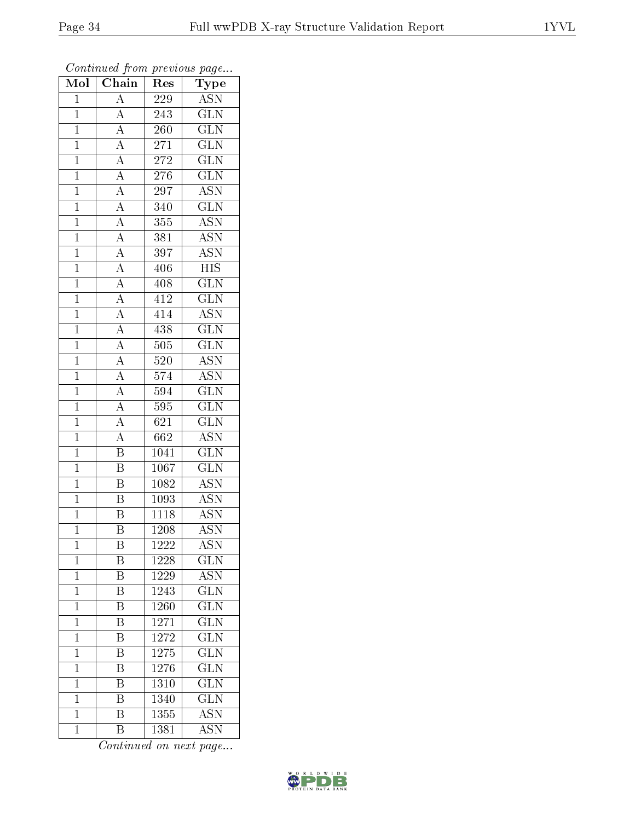| Mol            | Chain                                                                                                                                           | Res               | ${\bf Type}$              |
|----------------|-------------------------------------------------------------------------------------------------------------------------------------------------|-------------------|---------------------------|
| $\mathbf{1}$   | $\overline{A}$                                                                                                                                  | 229               | <b>ASN</b>                |
| $\overline{1}$ | $\overline{A}$                                                                                                                                  | 243               | <b>GLN</b>                |
| $\mathbf{1}$   | $\frac{\overline{A}}{\overline{A}}$                                                                                                             | 260               | $\overline{\text{GLN}}$   |
| $\mathbf{1}$   |                                                                                                                                                 | 271               | $\overline{\text{GLN}}$   |
| $\overline{1}$ | $\frac{\overline{A}}{\overline{A}}$ $\frac{\overline{A}}{\overline{A}}$                                                                         | <b>272</b>        | $\overline{\text{GLN}}$   |
| $\mathbf{1}$   |                                                                                                                                                 | 276               | $\overline{\text{GLN}}$   |
| $\overline{1}$ |                                                                                                                                                 | 297               | $\overline{\mathrm{ASN}}$ |
| $\mathbf{1}$   |                                                                                                                                                 | 340               | $\overline{\text{GLN}}$   |
| $\mathbf{1}$   |                                                                                                                                                 | 355               | <b>ASN</b>                |
| $\mathbf{1}$   |                                                                                                                                                 | 381               | $\overline{\mathrm{ASN}}$ |
| $\overline{1}$ |                                                                                                                                                 | 397               | $\overline{\text{ASN}}$   |
| $\overline{1}$ |                                                                                                                                                 | 406               | $\overline{\text{HIS}}$   |
| $\overline{1}$ |                                                                                                                                                 | 408               | $\overline{\text{GLN}}$   |
| $\mathbf{1}$   | $\frac{\overline{A}}{\overline{A}}$ $\frac{\overline{A}}{\overline{A}}$ $\frac{\overline{A}}{\overline{A}}$ $\frac{\overline{A}}{\overline{A}}$ | 412               | $\overline{\text{GLN}}$   |
| $\overline{1}$ |                                                                                                                                                 | 414               | $\overline{\text{ASN}}$   |
| $\mathbf{1}$   |                                                                                                                                                 | 438               | $\overline{{\rm GLN}}$    |
| $\overline{1}$ | $\overline{A}$                                                                                                                                  | $\overline{505}$  | $\overline{\text{GLN}}$   |
| $\mathbf{1}$   | $\frac{\overline{A}}{\overline{A}}$                                                                                                             | 520               | <b>ASN</b>                |
| $\mathbf{1}$   |                                                                                                                                                 | 574               | $\overline{\mathrm{ASN}}$ |
| $\mathbf{1}$   | $\frac{\overline{A}}{\overline{A}}$                                                                                                             | 594               | $\overline{\text{GLN}}$   |
| $\overline{1}$ |                                                                                                                                                 | 595               | $\overline{\text{GLN}}$   |
| $\overline{1}$ |                                                                                                                                                 | 621               | $\overline{\text{GLN}}$   |
| $\mathbf{1}$   | $\overline{A}$                                                                                                                                  | 662               | $\overline{\text{ASN}}$   |
| $\overline{1}$ | $\overline{\mathbf{B}}$                                                                                                                         | 1041              | $\overline{\text{GLN}}$   |
| $\mathbf{1}$   | $\overline{\mathrm{B}}$                                                                                                                         | 1067              | $\overline{\text{GLN}}$   |
| $\mathbf{1}$   | $\overline{\mathbf{B}}$                                                                                                                         | 1082              | $\overline{\text{ASN}}$   |
| $\mathbf{1}$   | $\overline{\mathrm{B}}$                                                                                                                         | 1093              | <b>ASN</b>                |
| $\mathbf{1}$   | $\overline{\mathrm{B}}$                                                                                                                         | 1118              | <b>ASN</b>                |
| $\mathbf 1$    | $\overline{\mathrm{B}}$                                                                                                                         | $\overline{1208}$ | <b>ASN</b>                |
| $\mathbf 1$    | B                                                                                                                                               | 1222              | <b>ASN</b>                |
| $\mathbf 1$    | Β                                                                                                                                               | 1228              | $\overline{\text{GLN}}$   |
| $\mathbf 1$    | $\overline{\mathrm{B}}$                                                                                                                         | 1229              | $\overline{\text{ASN}}$   |
| $\mathbf{1}$   | Β                                                                                                                                               | 1243              | $\rm GLN$                 |
| $\mathbf{1}$   | $\overline{\mathrm{B}}$                                                                                                                         | 1260              | $\overline{\text{GLN}}$   |
| $\mathbf{1}$   | Β                                                                                                                                               | 1271              | $\widetilde{{\rm GLN}}$   |
| $\mathbf 1$    | $\overline{\mathrm{B}}$                                                                                                                         | 1272              | $\overline{\text{GLN}}$   |
| $\mathbf{1}$   | Β                                                                                                                                               | 1275              | $\overline{\text{GLN}}$   |
| $\mathbf{1}$   | B                                                                                                                                               | 1276              | $\overline{\text{GLN}}$   |
| $\mathbf{1}$   | Β                                                                                                                                               | 1310              | $\widetilde{{\rm GLN}}$   |
| $\mathbf{1}$   | Β                                                                                                                                               | 1340              | <b>GLN</b>                |
| $\mathbf{1}$   | $\overline{\mathrm{B}}$                                                                                                                         | 1355              | <b>ASN</b>                |
| $\mathbf 1$    | $\boldsymbol{B}$                                                                                                                                | 1381              | <b>ASN</b>                |

![](_page_33_Picture_6.jpeg)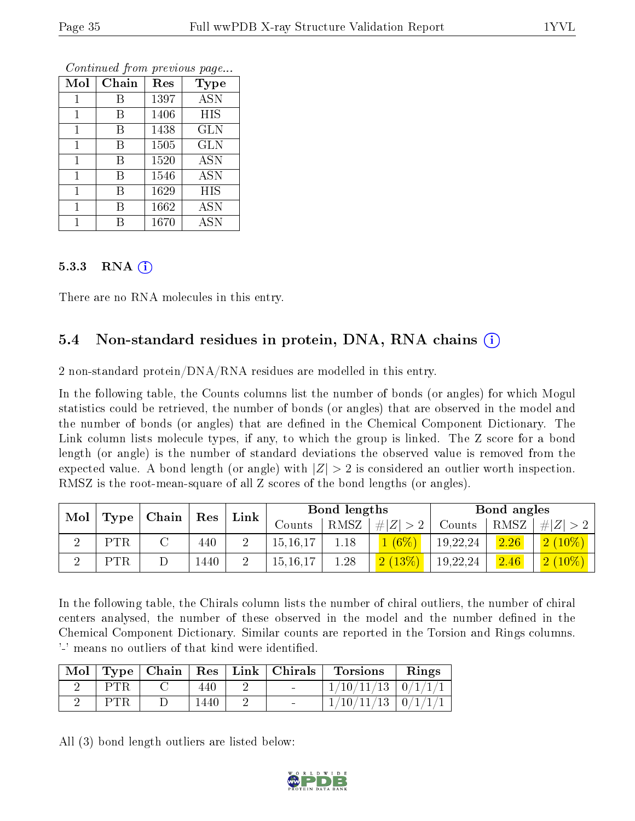| Mol | Chain | Res  | <b>Type</b> |
|-----|-------|------|-------------|
|     | В     | 1397 | <b>ASN</b>  |
| 1   | В     | 1406 | <b>HIS</b>  |
| 1   | В     | 1438 | <b>GLN</b>  |
| 1   | В     | 1505 | <b>GLN</b>  |
| 1   | В     | 1520 | <b>ASN</b>  |
| 1   | В     | 1546 | <b>ASN</b>  |
| 1   | В     | 1629 | HIS         |
|     | В     | 1662 | ASN         |
|     | R     | 1670 | <b>ASN</b>  |

#### 5.3.3 RNA  $(i)$

There are no RNA molecules in this entry.

#### 5.4 Non-standard residues in protein, DNA, RNA chains  $(i)$

2 non-standard protein/ $DNA/RNA$  residues are modelled in this entry.

In the following table, the Counts columns list the number of bonds (or angles) for which Mogul statistics could be retrieved, the number of bonds (or angles) that are observed in the model and the number of bonds (or angles) that are defined in the Chemical Component Dictionary. The Link column lists molecule types, if any, to which the group is linked. The Z score for a bond length (or angle) is the number of standard deviations the observed value is removed from the expected value. A bond length (or angle) with  $|Z| > 2$  is considered an outlier worth inspection. RMSZ is the root-mean-square of all Z scores of the bond lengths (or angles).

|     |            | Chain |                      | Link |            | <b>Bond lengths</b> |               |          | Bond angles |               |
|-----|------------|-------|----------------------|------|------------|---------------------|---------------|----------|-------------|---------------|
| Mol | Type       |       | $\operatorname{Res}$ |      | Counts     | RMSZ                | . $\# Z  > 2$ | Counts   | RMSZ        | $\# Z >2$     |
|     | <b>PTR</b> |       | 440                  |      | 15, 16, 17 | 1.18                | $(6\%)$       | 19,22,24 | 2.26        | $2(10\%)$     |
|     | PTR        |       | 1440                 |      | 15, 16, 17 | 1.28                | 2(13%)        | 19,22,24 | 2.46        | $(2 \ (10\%)$ |

In the following table, the Chirals column lists the number of chiral outliers, the number of chiral centers analysed, the number of these observed in the model and the number defined in the Chemical Component Dictionary. Similar counts are reported in the Torsion and Rings columns. '-' means no outliers of that kind were identified.

|            |      | Mol   Type   Chain   Res   Link   Chirals | <b>Torsions</b>          | Rings |
|------------|------|-------------------------------------------|--------------------------|-------|
| PTR        | 440  |                                           | $1/10/11/13$   $0/1/1/1$ |       |
| <b>PTR</b> | .440 |                                           | $1/10/11/13$   $0/1/1/1$ |       |

All (3) bond length outliers are listed below:

![](_page_34_Picture_14.jpeg)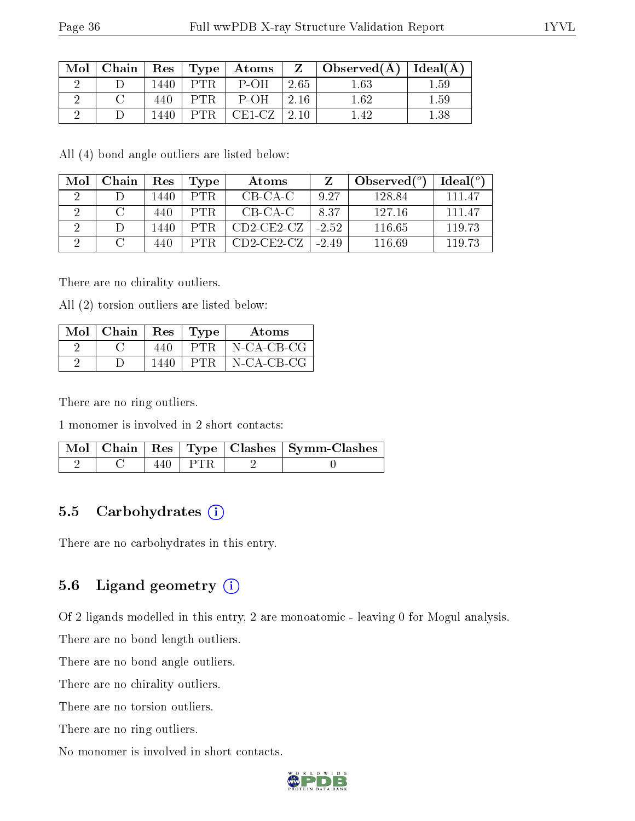| Mol | $\mid$ Chain $\mid$ |      |      | $\mid$ Res $\mid$ Type $\mid$ Atoms $\mid$ |         | $\parallel$ Z $\parallel$ Observed( $\AA$ ) $\parallel$ Ideal( $\AA$ ) |          |
|-----|---------------------|------|------|--------------------------------------------|---------|------------------------------------------------------------------------|----------|
|     |                     | 440ء | P'FR | P-OH                                       | 2.65    | 1.63                                                                   | 1.59     |
|     |                     |      |      | $P$ -OH                                    | -2.16   | 1 62                                                                   | 1.59     |
|     |                     | 440ء | PTR. | CE1-CZ                                     | $+2.10$ |                                                                        | $1.38\,$ |

All (4) bond angle outliers are listed below:

| Mol | Chain | Res  | Type | Atoms        |         | Observed $(°)$ | Ideal (°) |
|-----|-------|------|------|--------------|---------|----------------|-----------|
|     |       | 1440 | PTR. | CB-CA-C      | 9.27    | 128.84         | 111 47    |
|     |       | 440  | PTR. | CB-CA-C      | 8.37    | -127-16        | 111 47    |
|     |       | 1440 | PTR. | $CD2-CE2-cz$ | $-2.52$ | 116.65         | 119.73    |
|     |       | 440  | PTR. | $CD2-CE2-cz$ | $-2.49$ | 116.69         | 119.73    |

There are no chirality outliers.

All (2) torsion outliers are listed below:

| $Mol$   Chain | $\operatorname{Res}$ | Type | Atoms         |
|---------------|----------------------|------|---------------|
|               | 440                  | PTR. | $N$ -CA-CB-CG |
|               | 1440                 | PT R | $N$ -CA-CB-CG |

There are no ring outliers.

1 monomer is involved in 2 short contacts:

|  |        | $\parallel$ Mol $\parallel$ Chain $\parallel$ Res $\parallel$ Type $\parallel$ Clashes $\parallel$ Symm-Clashes $\parallel$ |
|--|--------|-----------------------------------------------------------------------------------------------------------------------------|
|  | ⊢ P'FR |                                                                                                                             |

#### 5.5 Carbohydrates  $(i)$

There are no carbohydrates in this entry.

#### 5.6 Ligand geometry  $(i)$

Of 2 ligands modelled in this entry, 2 are monoatomic - leaving 0 for Mogul analysis.

There are no bond length outliers.

There are no bond angle outliers.

There are no chirality outliers.

There are no torsion outliers.

There are no ring outliers.

No monomer is involved in short contacts.

![](_page_35_Picture_22.jpeg)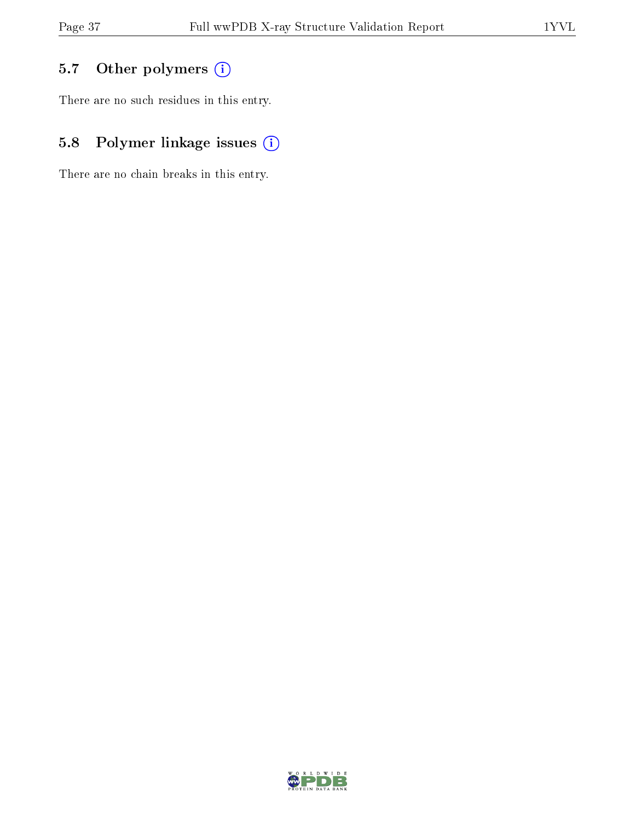### 5.7 [O](https://www.wwpdb.org/validation/2017/XrayValidationReportHelp#nonstandard_residues_and_ligands)ther polymers (i)

There are no such residues in this entry.

### 5.8 Polymer linkage issues (i)

There are no chain breaks in this entry.

![](_page_36_Picture_7.jpeg)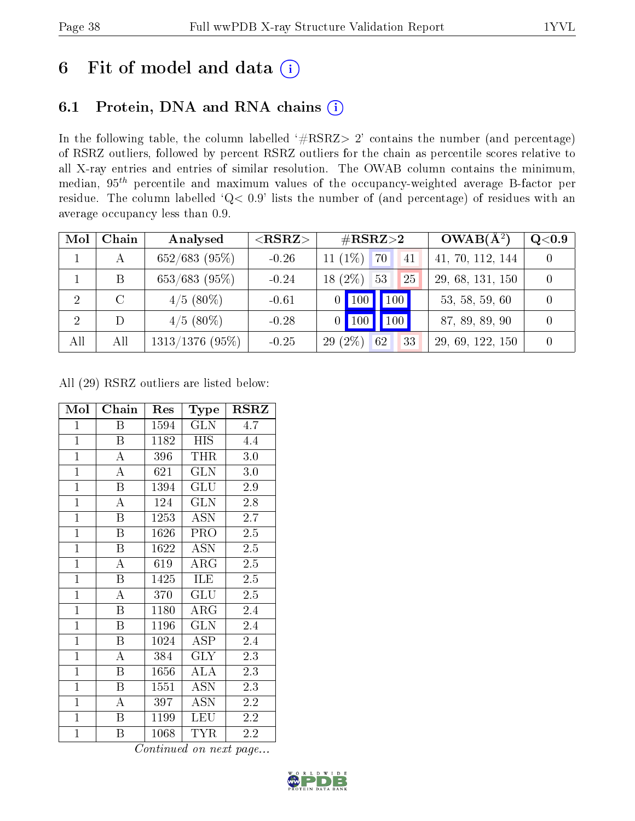## 6 Fit of model and data  $(i)$

### 6.1 Protein, DNA and RNA chains  $(i)$

In the following table, the column labelled  $#RSRZ> 2'$  contains the number (and percentage) of RSRZ outliers, followed by percent RSRZ outliers for the chain as percentile scores relative to all X-ray entries and entries of similar resolution. The OWAB column contains the minimum, median,  $95<sup>th</sup>$  percentile and maximum values of the occupancy-weighted average B-factor per residue. The column labelled ' $Q< 0.9$ ' lists the number of (and percentage) of residues with an average occupancy less than 0.9.

| Mol            | Chain         | Analysed          | ${ <\hspace{-1.5pt}{\mathrm{RSRZ}} \hspace{-1.5pt}>}$ | $\#\text{RSRZ}{>}2$       | $OWAB(A^2)$      | Q <sub>0.9</sub> |
|----------------|---------------|-------------------|-------------------------------------------------------|---------------------------|------------------|------------------|
|                | А             | $652/683$ (95%)   | $-0.26$                                               | $11(1\%)$<br>70<br>41     | 41, 70, 112, 144 |                  |
|                | B             | $653/683$ (95%)   | $-0.24$                                               | $(2\%)$<br>53<br>25<br>18 | 29, 68, 131, 150 |                  |
| $\overline{2}$ | $\mathcal{C}$ | $4/5$ (80%)       | $-0.61$                                               | 100<br>$100\,$<br>0.      | 53, 58, 59, 60   |                  |
| $\overline{2}$ | D             | $4/5$ (80%)       | $-0.28$                                               | 100<br>100                | 87, 89, 89, 90   |                  |
| All            | All           | $1313/1376$ (95%) | $-0.25$                                               | $29(2\%)$<br>62<br>33     | 29, 69, 122, 150 |                  |

All (29) RSRZ outliers are listed below:

| Mol            | Chain                   | Res  | Type            | <b>RSRZ</b> |
|----------------|-------------------------|------|-----------------|-------------|
| $\mathbf{1}$   | B                       | 1594 | GLN             | 4.7         |
| $\overline{1}$ | B                       | 1182 | <b>HIS</b>      | 4.4         |
| $\overline{1}$ | A                       | 396  | THR             | 3.0         |
| $\mathbf{1}$   | $\boldsymbol{A}$        | 621  | GLN             | 3.0         |
| $\overline{1}$ | $\overline{\mathrm{B}}$ | 1394 | GLU             | 2.9         |
| $\overline{1}$ | $\boldsymbol{A}$        | 124  | <b>GLN</b>      | 2.8         |
| $\overline{1}$ | $\, {\bf B}$            | 1253 | <b>ASN</b>      | $2.7\,$     |
| $\overline{1}$ | Β                       | 1626 | <b>PRO</b>      | 2.5         |
| $\mathbf{1}$   | B                       | 1622 | <b>ASN</b>      | 2.5         |
| $\overline{1}$ | $\boldsymbol{A}$        | 619  | $\rm{ARG}$      | $2.5\,$     |
| $\mathbf{1}$   | B                       | 1425 | ILE             | 2.5         |
| $\overline{1}$ | $\overline{\rm A}$      | 370  | GLU             | 2.5         |
| $\mathbf{1}$   | B                       | 1180 | $\rm{ARG}$      | 2.4         |
| $\mathbf{1}$   | $\boldsymbol{B}$        | 1196 | <b>GLN</b>      | 2.4         |
| $\overline{1}$ | B                       | 1024 | ASP.            | 2.4         |
| $\overline{1}$ | $\bf{A}$                | 384  | <b>GLY</b>      | 2.3         |
| $\overline{1}$ | $\overline{\mathrm{B}}$ | 1656 | $\rm AL\bar{A}$ | 2.3         |
| $\mathbf{1}$   | Β                       | 1551 | ASN             | 2.3         |
| $\mathbf{1}$   | A                       | 397  | <b>ASN</b>      | 2.2         |
| $\overline{1}$ | B                       | 1199 | <b>LEU</b>      | 2.2         |
| $\overline{1}$ | Β                       | 1068 | <b>TYR</b>      | 2.2         |

![](_page_37_Picture_10.jpeg)